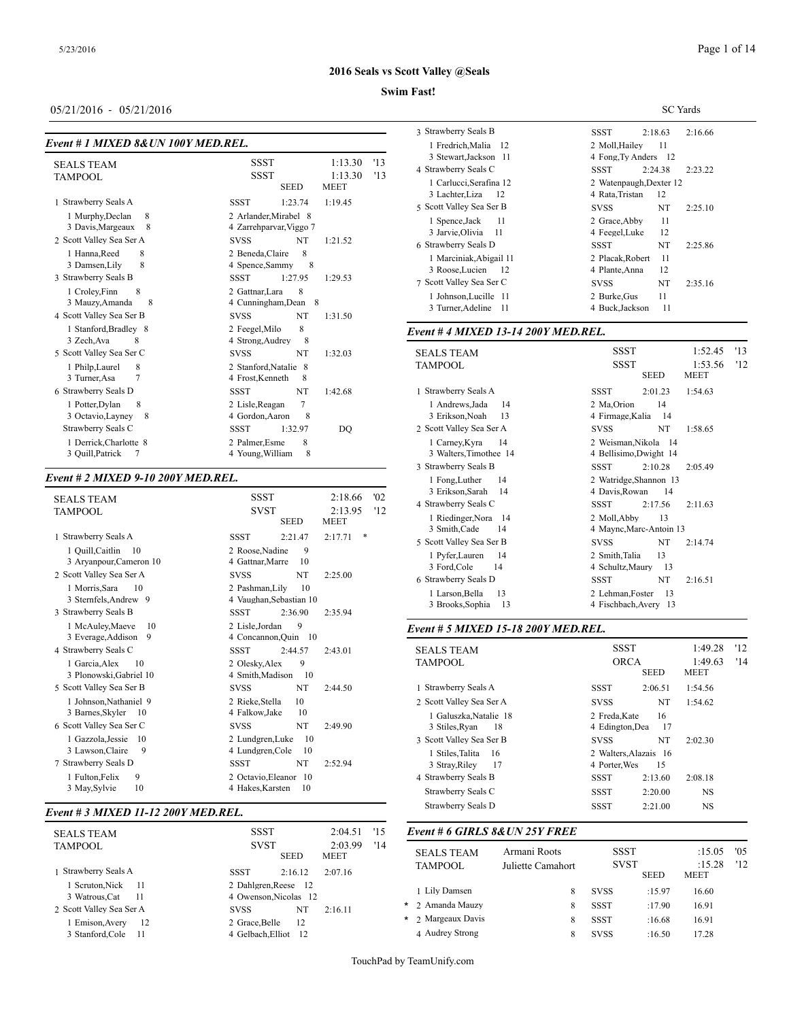## **Swim Fast!**

## 05/21/2016 - 05/21/2016

| Event # 1 MIXED 8& UN 100Y MED.REL. |
|-------------------------------------|
|-------------------------------------|

|                                                                             |                                                                                    | 1 1 1 cui ch, 1 riul                                     |
|-----------------------------------------------------------------------------|------------------------------------------------------------------------------------|----------------------------------------------------------|
| <b>SEALS TEAM</b>                                                           | <b>SSST</b><br>1:13.30<br>'13<br><b>SSST</b><br>1:13.30<br>'13                     | 3 Stewart, Jack:<br>4 Strawberry Seal                    |
| TAMPOOL                                                                     | <b>SEED</b><br><b>MEET</b>                                                         | 1 Carlucci, Sera<br>3 Lachter, Liza                      |
| 1 Strawberry Seals A                                                        | <b>SSST</b><br>1:23.74<br>1:19.45                                                  | 5 Scott Valley Sea                                       |
| 1 Murphy, Declan<br>8<br>3 Davis, Margeaux<br>8<br>2 Scott Valley Sea Ser A | 2 Arlander, Mirabel 8<br>4 Zarrehparvar, Viggo 7<br>NT<br><b>SVSS</b><br>1:21.52   | 1 Spence.Jack<br>3 Jarvie, Olivia<br>6 Strawberry Seal   |
| 1 Hanna, Reed<br>8<br>8<br>3 Damsen, Lily<br>3 Strawberry Seals B           | 2 Beneda, Claire<br>8<br>4 Spence, Sammy<br>8<br><b>SSST</b><br>1:27.95<br>1:29.53 | 1 Marciniak, Al<br>3 Roose, Lucier<br>7 Scott Valley Sea |
| 8<br>1 Croley, Finn<br>3 Mauzy, Amanda<br>8<br>4 Scott Valley Sea Ser B     | 2 Gattnar, Lara<br>8<br>4 Cunningham, Dean 8<br>NT<br><b>SVSS</b><br>1:31.50       | 1 Johnson, Luci<br>3 Turner, Adeli                       |
| 1 Stanford, Bradley 8<br>3 Zech, Ava<br>8                                   | 8<br>2 Feegel, Milo<br>8<br>4 Strong, Audrey                                       | Event #4 MIXE                                            |
| 5 Scott Valley Sea Ser C<br>1 Philp, Laurel<br>8<br>3 Turner, Asa           | NT<br><b>SVSS</b><br>1:32.03<br>2 Stanford, Natalie 8<br>4 Frost, Kenneth<br>8     | <b>SEALS TEAM</b><br><b>TAMPOOL</b>                      |
| 6 Strawberry Seals D                                                        | NT<br><b>SSST</b><br>1:42.68                                                       | 1 Strawberry Seal:                                       |
| 1 Potter, Dylan<br>8<br>3 Octavio, Layney<br>8<br>Strawberry Seals C        | 7<br>2 Lisle, Reagan<br>4 Gordon, Aaron<br>8<br><b>SSST</b><br>1:32.97<br>DQ       | 1 Andrews, Jad<br>3 Erikson, Noal<br>2 Scott Valley Sea  |
| 1 Derrick, Charlotte 8<br>3 Quill, Patrick<br>7                             | 8<br>2 Palmer, Esme<br>8<br>4 Young, William                                       | 1 Carney, Kyra<br>3 Walters, Time                        |

## *Event # 2 MIXED 9-10 200Y MED.REL.*

|                                                                                                      |                                                                                                       | 1 rong, Luther                                                           |
|------------------------------------------------------------------------------------------------------|-------------------------------------------------------------------------------------------------------|--------------------------------------------------------------------------|
| <b>SEALS TEAM</b><br><b>TAMPOOL</b>                                                                  | <b>SSST</b><br>'02<br>2:18.66<br><b>SVST</b><br>2:13.95<br>'12<br><b>SEED</b><br><b>MEET</b>          | 3 Erikson, Sara<br>4 Strawberry Seal<br>1 Riedinger, No<br>3 Smith, Cade |
| 1 Strawberry Seals A                                                                                 | *<br><b>SSST</b><br>2:21.47<br>2:17.71                                                                | 5 Scott Valley Sea                                                       |
| 1 Quill, Caitlin<br>10<br>3 Aryanpour, Cameron 10<br>2 Scott Valley Sea Ser A                        | 2 Roose, Nadine<br>9<br>4 Gattnar, Marre<br>10<br>NT<br><b>SVSS</b><br>2:25.00                        | 1 Pvfer.Lauren<br>3 Ford, Cole<br>6 Strawberry Seal                      |
| 1 Morris, Sara<br>10<br>3 Sternfels, Andrew 9<br>3 Strawberry Seals B                                | 10<br>2 Pashman.Lilv<br>4 Vaughan, Sebastian 10<br><b>SSST</b><br>2:36.90<br>2:35.94                  | 1 Larson, Bella<br>3 Brooks, Soph                                        |
| 1 McAuley, Maeve<br>10<br>3 Everage, Addison<br>9                                                    | 2 Lisle, Jordan<br>9<br>4 Concannon, Quin 10                                                          | Event # 5 MIXE                                                           |
| 4 Strawberry Seals C<br>1 Garcia, Alex<br>10<br>3 Plonowski, Gabriel 10                              | <b>SSST</b><br>2:44.57<br>2:43.01<br>2 Olesky, Alex<br>9<br>4 Smith, Madison<br>10                    | <b>SEALS TEAM</b><br><b>TAMPOOL</b>                                      |
| 5 Scott Valley Sea Ser B<br>1 Johnson, Nathaniel 9<br>3 Barnes, Skyler<br>-10                        | <b>SVSS</b><br>NT<br>2:44.50<br>2 Rieke, Stella<br>10<br>4 Falkow, Jake<br>10                         | 1 Strawberry Seal:<br>2 Scott Valley Sea<br>1 Galuszka, Na               |
| 6 Scott Valley Sea Ser C<br>1 Gazzola, Jessie<br>10<br>9<br>3 Lawson, Claire<br>7 Strawberry Seals D | NT<br><b>SVSS</b><br>2:49.90<br>2 Lundgren, Luke<br>10<br>4 Lundgren, Cole<br>10<br>NT<br><b>SSST</b> | 3 Stiles, Ryan<br>3 Scott Valley Sea<br>1 Stiles, Talita                 |
| 9<br>1 Fulton, Felix<br>3 May, Sylvie<br>10                                                          | 2:52.94<br>2 Octavio, Eleanor 10<br>4 Hakes, Karsten<br>10                                            | 3 Stray, Riley<br>4 Strawberry Seal<br>Strawberry Seal                   |

#### *Event # 3 MIXED 11-12 200Y MED.REL.*

| <b>SEALS TEAM</b>                |      | <b>SSST</b>                                  |             | 15<br>2:04.51          |     | Event # 6 GIRLS 8& UN 25Y FREE      |                                   |                            |             |                  |
|----------------------------------|------|----------------------------------------------|-------------|------------------------|-----|-------------------------------------|-----------------------------------|----------------------------|-------------|------------------|
| TAMPOOL                          |      | <b>SVST</b>                                  | <b>SEED</b> | 2:03.99<br><b>MEET</b> | '14 | <b>SEALS TEAM</b><br><b>TAMPOOL</b> | Armani Roots<br>Juliette Camahort | <b>SSST</b><br><b>SVST</b> |             | :15.05<br>:15.28 |
| Strawberry Seals A               |      | <b>SSST</b>                                  | 2:16.12     | 2:07.16                |     |                                     |                                   |                            | <b>SEED</b> | <b>MEET</b>      |
| Scruton.Nick 11<br>3 Watrous.Cat | - 11 | 2 Dahlgren.Reese 12<br>4 Owenson. Nicolas 12 |             |                        |     | 1 Lily Damsen                       | 8                                 | <b>SVSS</b>                | :15.97      | 16.60            |
| 2 Scott Valley Sea Ser A         |      | <b>SVSS</b>                                  | NT          | 2:16.11                |     | * 2 Amanda Mauzy                    | 8                                 | <b>SSST</b>                | :17.90      | 16.91            |
| Emison.Avery                     | 12   | 2 Grace.Belle                                | 12          |                        |     | * 2 Margeaux Davis                  | 8                                 | SSST                       | :16.68      | 16.91            |
| 3 Stanford.Cole                  | -11  | 4 Gelbach.Elliot                             | 12          |                        |     | 4 Audrey Strong                     | 8                                 | <b>SVSS</b>                | :16.50      | 17.28            |

|                                                              | SC Yards                                         |  |  |  |  |  |
|--------------------------------------------------------------|--------------------------------------------------|--|--|--|--|--|
| 3 Strawberry Seals B                                         | SSST<br>2:18.63<br>2:16.66                       |  |  |  |  |  |
| 1 Fredrich.Malia 12<br>3 Stewart, Jackson 11                 | 2 Moll.Hailey<br>11<br>4 Fong, Ty Anders 12      |  |  |  |  |  |
| 4 Strawberry Seals C                                         | SSST<br>2:24.38<br>2:23.22                       |  |  |  |  |  |
| 1 Carlucci, Serafina 12<br>3 Lachter, Liza<br>$\frac{12}{2}$ | 2 Watenpaugh, Dexter 12<br>4 Rata, Tristan<br>12 |  |  |  |  |  |
| 5 Scott Valley Sea Ser B                                     | NT<br><b>SVSS</b><br>2:25.10                     |  |  |  |  |  |
| 1 Spence, Jack<br>-11<br>3 Jarvie, Olivia 11                 | 11<br>2 Grace.Abby<br>4 Feegel, Luke<br>12       |  |  |  |  |  |
| 6 Strawberry Seals D                                         | SSST<br>NT<br>2:25.86                            |  |  |  |  |  |
| 1 Marciniak, Abigail 11<br>3 Roose, Lucien<br>- 12           | 11<br>2 Placak, Robert<br>12<br>4 Plante, Anna   |  |  |  |  |  |
| 7 Scott Valley Sea Ser C                                     | NT<br>2:35.16<br><b>SVSS</b>                     |  |  |  |  |  |
| 1 Johnson, Lucille 11<br>3 Turner, Adeline<br>-11            | 11<br>2 Burke, Gus<br>11<br>4 Buck, Jackson      |  |  |  |  |  |

## *Event # 4 MIXED 13-14 200Y MED.REL.*

| <b>SEALS TEAM</b><br><b>TAMPOOL</b> | <b>SSST</b><br><b>SSST</b> | 1:52.45<br>1:53.56 | 13<br>'12 |
|-------------------------------------|----------------------------|--------------------|-----------|
|                                     | <b>SEED</b>                | <b>MEET</b>        |           |
| 1 Strawberry Seals A                | SSST<br>2:01.23            | 1:54.63            |           |
| 1 Andrews, Jada<br>14               | 2 Ma, Orion<br>14          |                    |           |
| 3 Erikson, Noah<br>13               | 4 Firmage, Kalia<br>14     |                    |           |
| 2 Scott Valley Sea Ser A            | NT<br><b>SVSS</b>          | 1:58.65            |           |
| 1 Carney, Kyra<br>14                | 2 Weisman, Nikola 14       |                    |           |
| 3 Walters, Timothee 14              | 4 Bellisimo, Dwight 14     |                    |           |
| 3 Strawberry Seals B                | <b>SSST</b><br>2:10.28     | 2:05.49            |           |
| 1 Fong, Luther<br>14                | 2 Watridge, Shannon 13     |                    |           |
| 3 Erikson, Sarah<br>14              | 4 Davis, Rowan<br>14       |                    |           |
| 4 Strawberry Seals C                | <b>SSST</b><br>2:17.56     | 2:11.63            |           |
| 1 Riedinger, Nora<br>-14            | 13<br>2 Moll, Abby         |                    |           |
| 3 Smith, Cade<br>14                 | 4 Maync, Marc-Antoin 13    |                    |           |
| 5 Scott Valley Sea Ser B            | NT<br><b>SVSS</b>          | 2:14.74            |           |
| 1 Pyfer, Lauren<br>14               | 2 Smith, Talia<br>13       |                    |           |
| 3 Ford, Cole<br>14                  | 4 Schultz, Maury<br>-13    |                    |           |
| 6 Strawberry Seals D                | NT<br><b>SSST</b>          | 2:16.51            |           |
| 13<br>1 Larson, Bella               | 13<br>2 Lehman, Foster     |                    |           |
| 13<br>3 Brooks, Sophia              | 4 Fischbach, Avery 13      |                    |           |

#### *Event # 5 MIXED 15-18 200Y MED.REL.*

| <b>SEALS TEAM</b><br><b>TAMPOOL</b>                                        | <b>SSST</b><br><b>ORCA</b><br><b>SEED</b>                         | 1:49.28<br>1:49.63<br><b>MEET</b> | '12<br>'14 |
|----------------------------------------------------------------------------|-------------------------------------------------------------------|-----------------------------------|------------|
| 1 Strawberry Seals A                                                       | <b>SSST</b><br>2:06.51                                            | 1:54.56                           |            |
| 2 Scott Valley Sea Ser A                                                   | NT<br><b>SVSS</b>                                                 | 1:54.62                           |            |
| 1 Galuszka, Natalie 18<br>3 Stiles, Ryan<br>18<br>3 Scott Valley Sea Ser B | 2 Freda, Kate<br>16<br>17<br>4 Edington, Dea<br>NT<br><b>SVSS</b> | 2:02.30                           |            |
| 1 Stiles.Talita<br>16<br>17<br>3 Stray, Riley                              | 2 Walters, Alazais 16<br>4 Porter, Wes<br>15                      |                                   |            |
| 4 Strawberry Seals B                                                       | <b>SSST</b><br>2:13.60                                            | 2:08.18                           |            |
| Strawberry Seals C                                                         | <b>SSST</b><br>2:20.00                                            | NS                                |            |
| Strawberry Seals D                                                         | SSST<br>2:21.00                                                   | NS                                |            |

| <b>SEALS TEAM</b><br><b>TAMPOOL</b> | Armani Roots<br>Juliette Camahort | <b>SSST</b><br><b>SVST</b> | <b>SEED</b> | :15.05<br>:15.28<br><b>MEET</b> | '0.5<br>'12 |
|-------------------------------------|-----------------------------------|----------------------------|-------------|---------------------------------|-------------|
| 1 Lily Damsen                       | 8                                 | <b>SVSS</b>                | :15.97      | 16.60                           |             |
| * 2 Amanda Mauzy                    | 8                                 | SSST                       | :17.90      | 16.91                           |             |
| * 2 Margeaux Davis                  | 8                                 | <b>SSST</b>                | :16.68      | 16.91                           |             |
| 4 Audrey Strong                     | 8                                 | <b>SVSS</b>                | :16.50      | 17.28                           |             |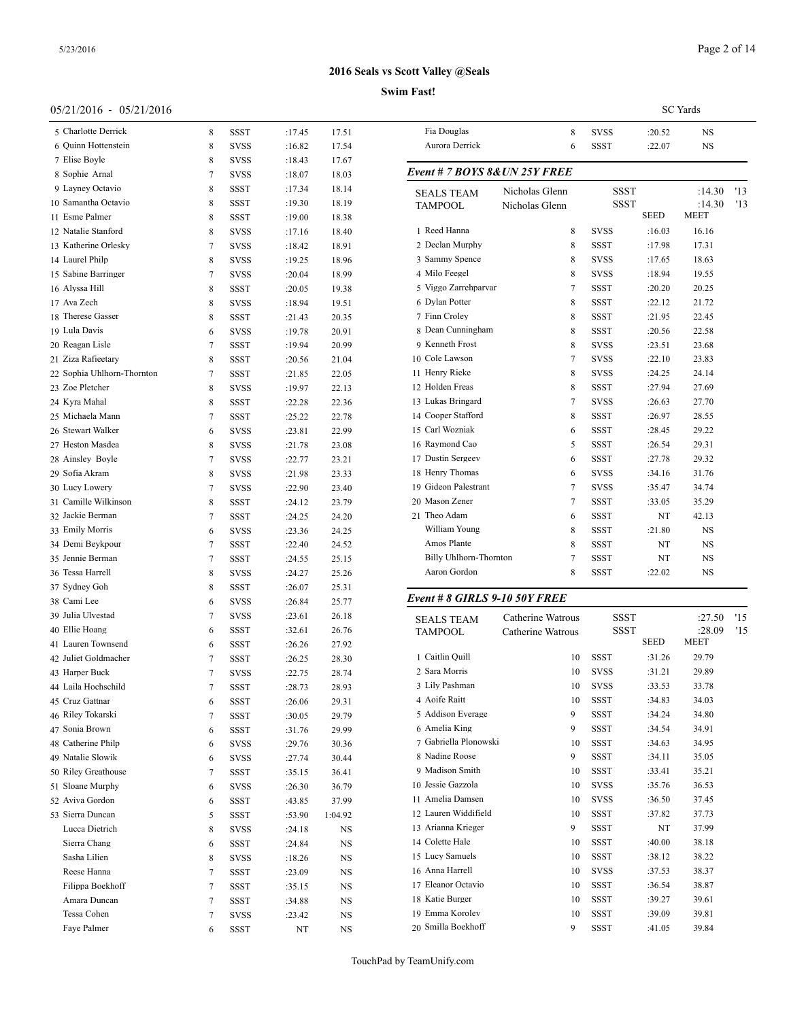## **Swim Fast!**

## 05/21/2016 - 05/21/2016

| 0 <i>01 211 2</i> 01 0<br>0.012112010 |   |             |        |         |                       |
|---------------------------------------|---|-------------|--------|---------|-----------------------|
| 5 Charlotte Derrick                   | 8 | <b>SSST</b> | :17.45 | 17.51   | Fia Do                |
| 6 Quinn Hottenstein                   | 8 | <b>SVSS</b> | :16.82 | 17.54   | Aurora                |
| 7 Elise Boyle                         | 8 | SVSS        | :18.43 | 17.67   |                       |
| 8 Sophie Arnal                        | 7 | SVSS        | :18.07 | 18.03   | Event #               |
| 9 Layney Octavio                      | 8 | SSST        | :17.34 | 18.14   | <b>SEALS</b>          |
| 10 Samantha Octavio                   | 8 | SSST        | :19.30 | 18.19   | TAMPC                 |
| 11 Esme Palmer                        | 8 | SSST        | :19.00 | 18.38   |                       |
| 12 Natalie Stanford                   | 8 | SVSS        | :17.16 | 18.40   | 1 Reed I              |
| 13 Katherine Orlesky                  | 7 | SVSS        | :18.42 | 18.91   | 2 Declar              |
| 14 Laurel Philp                       | 8 | SVSS        | :19.25 | 18.96   | 3 Samm                |
| 15 Sabine Barringer                   | 7 | <b>SVSS</b> | :20.04 | 18.99   | 4 Milo F              |
| 16 Alyssa Hill                        | 8 | SSST        | :20.05 | 19.38   | 5 Viggo               |
| 17 Ava Zech                           | 8 | SVSS        | :18.94 | 19.51   | 6 Dylan               |
| 18 Therese Gasser                     | 8 | <b>SSST</b> | :21.43 | 20.35   | 7 Finn C              |
| 19 Lula Davis                         | 6 | SVSS        | :19.78 | 20.91   | 8 Dean                |
| 20 Reagan Lisle                       | 7 | <b>SSST</b> | :19.94 | 20.99   | 9 Kenne               |
| 21 Ziza Rafieetary                    | 8 | SSST        | :20.56 | 21.04   | 10 Cole I             |
| 22 Sophia Uhlhorn-Thornton            | 7 | SSST        | :21.85 | 22.05   | 11 Henry              |
| 23 Zoe Pletcher                       | 8 | SVSS        | :19.97 | 22.13   | 12 Holder             |
| 24 Kyra Mahal                         | 8 | SSST        | :22.28 | 22.36   | 13 Lukas              |
| 25 Michaela Mann                      | 7 | SSST        | :25.22 | 22.78   | 14 Coope              |
| 26 Stewart Walker                     | 6 | SVSS        | :23.81 | 22.99   | 15 Carl W             |
| 27 Heston Masdea                      | 8 | SVSS        | :21.78 | 23.08   | 16 Raymo              |
| 28 Ainsley Boyle                      | 7 | <b>SVSS</b> | :22.77 | 23.21   | 17 Dustin             |
| 29 Sofia Akram                        | 8 | SVSS        | :21.98 | 23.33   | 18 Henry              |
| 30 Lucy Lowery                        | 7 | SVSS        | :22.90 | 23.40   | 19 Gideo              |
| 31 Camille Wilkinson                  | 8 | SSST        | :24.12 | 23.79   | 20 Masor              |
| 32 Jackie Berman                      | 7 | <b>SSST</b> | :24.25 | 24.20   | 21 Theo $\ell$        |
| 33 Emily Morris                       | 6 | SVSS        | :23.36 | 24.25   | Willia                |
| 34 Demi Beykpour                      | 7 | SSST        | :22.40 | 24.52   | Amos                  |
| 35 Jennie Berman                      | 7 | SSST        | :24.55 | 25.15   | Billy l               |
| 36 Tessa Harrell                      | 8 | SVSS        | :24.27 | 25.26   | Aaron                 |
| 37 Sydney Goh                         | 8 | SSST        | :26.07 | 25.31   |                       |
| 38 Cami Lee                           | 6 | SVSS        | :26.84 | 25.77   | Event#                |
| 39 Julia Ulvestad                     | 7 | SVSS        | :23.61 | 26.18   |                       |
| 40 Ellie Hoang                        | 6 | <b>SSST</b> | :32.61 | 26.76   | <b>SEALS</b><br>TAMPC |
| 41 Lauren Townsend                    | 6 | SSST        | :26.26 | 27.92   |                       |
| 42 Juliet Goldmacher                  | 7 | SSST        | :26.25 | 28.30   | 1 Caitlin             |
| 43 Harper Buck                        | 7 | <b>SVSS</b> | :22.75 | 28.74   | 2 Sara M              |
| 44 Laila Hochschild                   | 7 | SSST        | :28.73 | 28.93   | 3 Lily P              |
| 45 Cruz Gattnar                       | 6 | SSST        | :26.06 | 29.31   | 4 Aoife               |
| 46 Riley Tokarski                     | 7 | SSST        | :30.05 | 29.79   | 5 Addiso              |
| 47 Sonia Brown                        | 6 | SSST        | :31.76 | 29.99   | 6 Ameli               |
| 48 Catherine Philp                    | 6 | SVSS        | :29.76 | 30.36   | 7 Gabrie              |
| 49 Natalie Slowik                     | 6 | SVSS        | :27.74 | 30.44   | 8 Nadin               |
| 50 Riley Greathouse                   | 7 | SSST        | :35.15 | 36.41   | 9 Madis               |
| 51 Sloane Murphy                      |   |             | :26.30 |         | 10 Jessie             |
| 52 Aviva Gordon                       | 6 | SVSS        |        | 36.79   | 11 Ameli              |
|                                       | 6 | SSST        | :43.85 | 37.99   | 12 Laurer             |
| 53 Sierra Duncan                      | 5 | SSST        | :53.90 | 1:04.92 | 13 Ariann             |
| Lucca Dietrich                        | 8 | SVSS        | :24.18 | NS      | 14 Colett             |
| Sierra Chang                          | 6 | SSST        | :24.84 | NS      | 15 Lucy 9             |
| Sasha Lilien                          | 8 | SVSS        | :18.26 | NS      |                       |
| Reese Hanna                           | 7 | SSST        | :23.09 | NS      | 16 Anna l             |
| Filippa Boekhoff                      | 7 | SSST        | :35.15 | NS      | 17 Eleano             |
| Amara Duncan                          | 7 | SSST        | :34.88 | NS      | 18 Katie              |
| Tessa Cohen                           | 7 | SVSS        | :23.42 | NS      | 19 Emma               |
| Faye Palmer                           | 6 | SSST        | NT     | NS      | 20 Smilla             |

|                               |                               |             |             | <b>SC</b> Yards       |     |
|-------------------------------|-------------------------------|-------------|-------------|-----------------------|-----|
| Fia Douglas                   | 8                             | <b>SVSS</b> | :20.52      | <b>NS</b>             |     |
| Aurora Derrick                | 6                             | <b>SSST</b> | :22.07      | NS.                   |     |
|                               | Event # 7 BOYS 8& UN 25Y FREE |             |             |                       |     |
| <b>SEALS TEAM</b>             | Nicholas Glenn                | <b>SSST</b> |             | :14.30                | '13 |
| <b>TAMPOOL</b>                | Nicholas Glenn                | <b>SSST</b> | <b>SEED</b> | :14.30<br><b>MEET</b> | '13 |
| 1 Reed Hanna                  | 8                             | <b>SVSS</b> | :16.03      | 16.16                 |     |
| 2 Declan Murphy               | 8                             | <b>SSST</b> | :17.98      | 17.31                 |     |
| 3 Sammy Spence                | 8                             | <b>SVSS</b> | :17.65      | 18.63                 |     |
| 4 Milo Feegel                 | 8                             | <b>SVSS</b> | :18.94      | 19.55                 |     |
| 5 Viggo Zarrehparvar          | 7                             | <b>SSST</b> | :20.20      | 20.25                 |     |
| 6 Dylan Potter                | 8                             | <b>SSST</b> | :22.12      | 21.72                 |     |
| 7 Finn Croley                 | 8                             | <b>SSST</b> | :21.95      | 22.45                 |     |
| 8 Dean Cunningham             | 8                             | <b>SSST</b> | :20.56      | 22.58                 |     |
| 9 Kenneth Frost               | 8                             | <b>SVSS</b> | :23.51      | 23.68                 |     |
| 10 Cole Lawson                | 7                             | <b>SVSS</b> | :22.10      | 23.83                 |     |
| 11 Henry Rieke                | 8                             | <b>SVSS</b> | :24.25      | 24.14                 |     |
| 12 Holden Freas               | 8                             | <b>SSST</b> | :27.94      | 27.69                 |     |
| 13 Lukas Bringard             | $\overline{7}$                | <b>SVSS</b> | :26.63      | 27.70                 |     |
| 14 Cooper Stafford            | 8                             | <b>SSST</b> | :26.97      | 28.55                 |     |
| 15 Carl Wozniak               | 6                             | <b>SSST</b> | :28.45      | 29.22                 |     |
| 16 Raymond Cao                | 5                             | <b>SSST</b> | :26.54      | 29.31                 |     |
| 17 Dustin Sergeev             | 6                             | <b>SSST</b> | :27.78      | 29.32                 |     |
| 18 Henry Thomas               | 6                             | <b>SVSS</b> | :34.16      | 31.76                 |     |
| 19 Gideon Palestrant          | $\overline{7}$                | <b>SVSS</b> | :35.47      | 34.74                 |     |
| 20 Mason Zener                | 7                             | <b>SSST</b> | :33.05      | 35.29                 |     |
| 21 Theo Adam                  | 6                             | <b>SSST</b> | NT          | 42.13                 |     |
| William Young                 | 8                             | <b>SSST</b> | :21.80      | <b>NS</b>             |     |
| Amos Plante                   | 8                             | <b>SSST</b> | NT          | <b>NS</b>             |     |
| <b>Billy Uhlhorn-Thornton</b> | 7                             | <b>SSST</b> | NT          | NS.                   |     |
| Aaron Gordon                  | 8                             | <b>SSST</b> | :22.02      | NS                    |     |
| Event # 8 GIRLS 9-10 50Y FREE |                               |             |             |                       |     |
| <b>SEALS TEAM</b>             | Catherine Watrous             | <b>SSST</b> |             | :27.50                | '15 |

| <b>SEALS TEAM</b><br>TAMPOOL | Catherine Watrous<br>Catherine Watrous | <b>SSST</b><br><b>SSST</b> | <b>SEED</b> | :27.50<br>:28.09<br>MEET | '15<br>'15 |
|------------------------------|----------------------------------------|----------------------------|-------------|--------------------------|------------|
| 1 Caitlin Quill              | 10                                     | <b>SSST</b>                | :31.26      | 29.79                    |            |
| 2 Sara Morris                | 10                                     | <b>SVSS</b>                | :31.21      | 29.89                    |            |
| 3 Lily Pashman               | 10                                     | <b>SVSS</b>                | :33.53      | 33.78                    |            |
| 4 Aoife Raitt                | 10                                     | <b>SSST</b>                | :34.83      | 34.03                    |            |
| 5 Addison Everage            | 9                                      | <b>SSST</b>                | :34.24      | 34.80                    |            |
| 6 Amelia King                | 9                                      | <b>SSST</b>                | :34.54      | 34.91                    |            |
| 7 Gabriella Plonowski        | 10                                     | <b>SSST</b>                | :34.63      | 34.95                    |            |
| 8 Nadine Roose               | 9                                      | <b>SSST</b>                | :34.11      | 35.05                    |            |
| 9 Madison Smith              | 10                                     | <b>SSST</b>                | :33.41      | 35.21                    |            |
| 10 Jessie Gazzola            | 10                                     | <b>SVSS</b>                | :35.76      | 36.53                    |            |
| 11 Amelia Damsen             | 10                                     | <b>SVSS</b>                | :36.50      | 37.45                    |            |
| 12 Lauren Widdifield         | 10                                     | <b>SSST</b>                | :37.82      | 37.73                    |            |
| 13 Arianna Krieger           | 9                                      | <b>SSST</b>                | NT          | 37.99                    |            |
| 14 Colette Hale              | 10                                     | <b>SSST</b>                | :40.00      | 38.18                    |            |
| 15 Lucy Samuels              | 10                                     | <b>SSST</b>                | :38.12      | 38.22                    |            |
| 16 Anna Harrell              | 10                                     | <b>SVSS</b>                | :37.53      | 38.37                    |            |
| 17 Eleanor Octavio           | 10                                     | <b>SSST</b>                | :36.54      | 38.87                    |            |
| 18 Katie Burger              | 10                                     | <b>SSST</b>                | :39.27      | 39.61                    |            |

 Emma Korolev 10 SSST :39.09 39.81 Smilla Boekhoff 9 SSST :41.05 39.84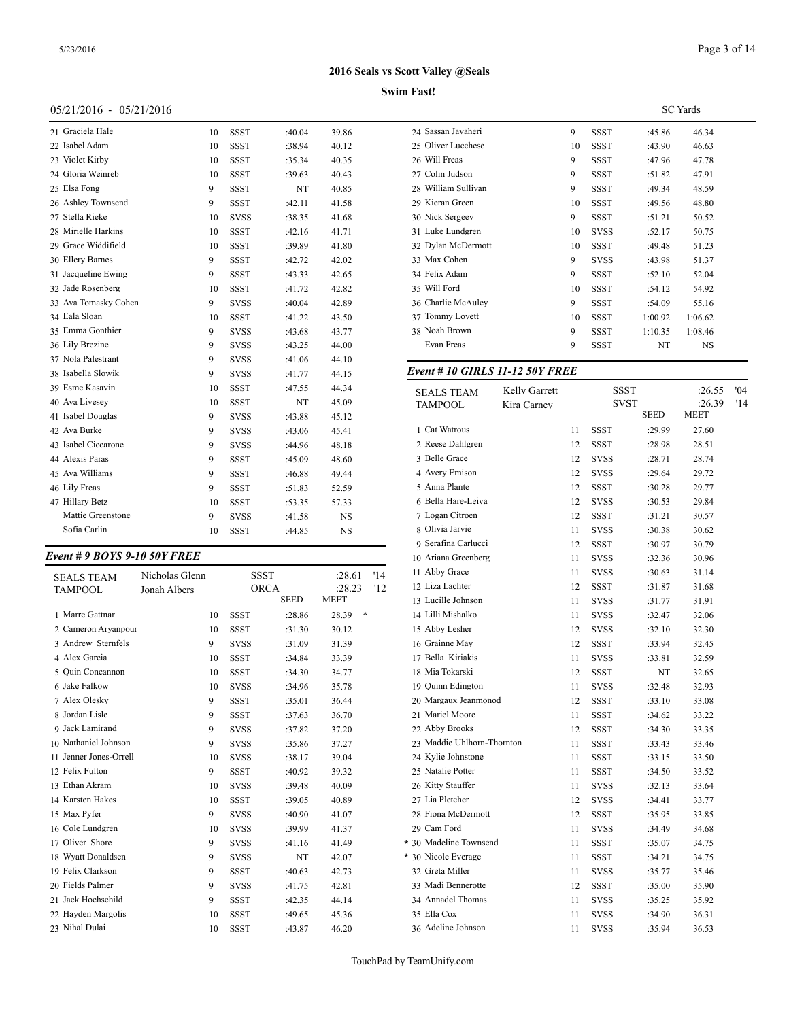## **Swim Fast!**

## 05/21/2016 - 05/21/2016

| 21 Graciela Hale     | 10 | <b>SSST</b> | :40.04 | 39.86 | 24 Sassar    |
|----------------------|----|-------------|--------|-------|--------------|
| 22 Isabel Adam       | 10 | <b>SSST</b> | :38.94 | 40.12 | 25 Oliver    |
| 23 Violet Kirby      | 10 | <b>SSST</b> | :35.34 | 40.35 | 26 Will F    |
| 24 Gloria Weinreb    | 10 | <b>SSST</b> | :39.63 | 40.43 | 27 Colin.    |
| 25 Elsa Fong         | 9  | <b>SSST</b> | NT     | 40.85 | 28 Willia    |
| 26 Ashley Townsend   | 9  | <b>SSST</b> | :42.11 | 41.58 | 29 Kierar    |
| 27 Stella Rieke      | 10 | <b>SVSS</b> | :38.35 | 41.68 | 30 Nick S    |
| 28 Mirielle Harkins  | 10 | <b>SSST</b> | :42.16 | 41.71 | 31 Luke I    |
| 29 Grace Widdifield  | 10 | <b>SSST</b> | :39.89 | 41.80 | 32 Dylan     |
| 30 Ellery Barnes     | 9  | <b>SSST</b> | :42.72 | 42.02 | 33 Max C     |
| 31 Jacqueline Ewing  | 9  | <b>SSST</b> | :43.33 | 42.65 | 34 Felix /   |
| 32 Jade Rosenberg    | 10 | <b>SSST</b> | :41.72 | 42.82 | 35 Will F    |
| 33 Ava Tomasky Cohen | 9  | <b>SVSS</b> | :40.04 | 42.89 | 36 Charli    |
| 34 Eala Sloan        | 10 | <b>SSST</b> | :41.22 | 43.50 | 37 Tomm      |
| 35 Emma Gonthier     | 9  | <b>SVSS</b> | :43.68 | 43.77 | 38 Noah 1    |
| 36 Lily Brezine      | 9  | <b>SVSS</b> | :43.25 | 44.00 | Evan I       |
| 37 Nola Palestrant   | 9  | <b>SVSS</b> | :41.06 | 44.10 |              |
| 38 Isabella Slowik   | 9  | <b>SVSS</b> | :41.77 | 44.15 | Event $#$ .  |
| 39 Esme Kasavin      | 10 | <b>SSST</b> | :47.55 | 44.34 | <b>SEALS</b> |
| 40 Ava Livesey       | 10 | <b>SSST</b> | NT     | 45.09 | TAMPC        |
| 41 Isabel Douglas    | 9  | <b>SVSS</b> | :43.88 | 45.12 |              |
| 42 Ava Burke         | 9  | <b>SVSS</b> | :43.06 | 45.41 | 1 Cat W      |
| 43 Isabel Ciccarone  | 9  | <b>SVSS</b> | :44.96 | 48.18 | 2 Reese      |
| 44 Alexis Paras      | 9  | <b>SSST</b> | :45.09 | 48.60 | 3 Belle      |
| 45 Ava Williams      | 9  | <b>SSST</b> | :46.88 | 49.44 | 4 Avery      |
| 46 Lily Freas        | 9  | <b>SSST</b> | :51.83 | 52.59 | 5 Anna l     |
| 47 Hillary Betz      | 10 | <b>SSST</b> | :53.35 | 57.33 | 6 Bella l    |
| Mattie Greenstone    | 9  | <b>SVSS</b> | :41.58 | NS    | 7 Logan      |
| Sofia Carlin         | 10 | <b>SSST</b> | :44.85 | NS    | 8 Olivia     |
|                      |    |             |        |       |              |

# *Event # 9 BOYS 9-10 50Y FREE*

| <b>SEALS TEAM</b>      | Nicholas Glenn |    |             | <b>SSST</b> | :28.61      | '14 | 11 Abby Grace       |
|------------------------|----------------|----|-------------|-------------|-------------|-----|---------------------|
| <b>TAMPOOL</b>         | Jonah Albers   |    |             | <b>ORCA</b> | :28.23      | '12 | 12 Liza Lachter     |
|                        |                |    |             | <b>SEED</b> | <b>MEET</b> |     | 13 Lucille Johnson  |
| 1 Marre Gattnar        |                | 10 | <b>SSST</b> | :28.86      | ∗<br>28.39  |     | 14 Lilli Mishalko   |
| 2 Cameron Aryanpour    |                | 10 | <b>SSST</b> | :31.30      | 30.12       |     | 15 Abby Lesher      |
| 3 Andrew Sternfels     |                | 9  | <b>SVSS</b> | :31.09      | 31.39       |     | 16 Grainne May      |
| 4 Alex Garcia          |                | 10 | <b>SSST</b> | :34.84      | 33.39       |     | 17 Bella Kiriakis   |
| 5 Ouin Concannon       |                | 10 | <b>SSST</b> | :34.30      | 34.77       |     | 18 Mia Tokarski     |
| 6 Jake Falkow          |                | 10 | <b>SVSS</b> | :34.96      | 35.78       |     | 19 Quinn Edington   |
| 7 Alex Olesky          |                | 9  | <b>SSST</b> | :35.01      | 36.44       |     | 20 Margaux Jeanm    |
| 8 Jordan Lisle         |                | 9  | <b>SSST</b> | :37.63      | 36.70       |     | 21 Mariel Moore     |
| 9 Jack Lamirand        |                | 9  | <b>SVSS</b> | :37.82      | 37.20       |     | 22 Abby Brooks      |
| 10 Nathaniel Johnson   |                | 9  | <b>SVSS</b> | :35.86      | 37.27       |     | 23 Maddie Uhlhorr   |
| 11 Jenner Jones-Orrell |                | 10 | <b>SVSS</b> | :38.17      | 39.04       |     | 24 Kylie Johnstone  |
| 12 Felix Fulton        |                | 9  | <b>SSST</b> | :40.92      | 39.32       |     | 25 Natalie Potter   |
| 13 Ethan Akram         |                | 10 | <b>SVSS</b> | :39.48      | 40.09       |     | 26 Kitty Stauffer   |
| 14 Karsten Hakes       |                | 10 | <b>SSST</b> | :39.05      | 40.89       |     | 27 Lia Pletcher     |
| 15 Max Pyfer           |                | 9  | <b>SVSS</b> | :40.90      | 41.07       |     | 28 Fiona McDermo    |
| 16 Cole Lundgren       |                | 10 | <b>SVSS</b> | :39.99      | 41.37       |     | 29 Cam Ford         |
| 17 Oliver Shore        |                | 9  | <b>SVSS</b> | :41.16      | 41.49       |     | * 30 Madeline Towns |
| 18 Wyatt Donaldsen     |                | 9  | <b>SVSS</b> | NT          | 42.07       |     | * 30 Nicole Everage |
| 19 Felix Clarkson      |                | 9  | <b>SSST</b> | :40.63      | 42.73       |     | 32 Greta Miller     |
| 20 Fields Palmer       |                | 9  | <b>SVSS</b> | :41.75      | 42.81       |     | 33 Madi Bennerotte  |
| 21 Jack Hochschild     |                | 9  | <b>SSST</b> | :42.35      | 44.14       |     | 34 Annadel Thoma    |
| 22 Hayden Margolis     |                | 10 | <b>SSST</b> | :49.65      | 45.36       |     | 35 Ella Cox         |
| 23 Nihal Dulai         |                | 10 | <b>SSST</b> | :43.87      | 46.20       |     | 36 Adeline Johnsor  |

| , таэс.             |    |             |         |                 |  |
|---------------------|----|-------------|---------|-----------------|--|
|                     |    |             |         | <b>SC</b> Yards |  |
| 24 Sassan Javaheri  | 9  | SSST        | :45.86  | 46.34           |  |
| 25 Oliver Lucchese  | 10 | SSST        | :43.90  | 46.63           |  |
| 26 Will Freas       | 9  | <b>SSST</b> | :47.96  | 47.78           |  |
| 27 Colin Judson     | 9  | <b>SSST</b> | :51.82  | 47.91           |  |
| 28 William Sullivan | 9  | SSST        | :49.34  | 48.59           |  |
| 29 Kieran Green     | 10 | <b>SSST</b> | :49.56  | 48.80           |  |
| 30 Nick Sergeev     | 9  | <b>SSST</b> | :51.21  | 50.52           |  |
| 31 Luke Lundgren    | 10 | <b>SVSS</b> | :52.17  | 50.75           |  |
| 32 Dylan McDermott  | 10 | <b>SSST</b> | :49.48  | 51.23           |  |
| 33 Max Cohen        | 9  | <b>SVSS</b> | :43.98  | 51.37           |  |
| 34 Felix Adam       | 9  | <b>SSST</b> | :52.10  | 52.04           |  |
| 35 Will Ford        | 10 | <b>SSST</b> | :54.12  | 54.92           |  |
| 36 Charlie McAuley  | 9  | <b>SSST</b> | :54.09  | 55.16           |  |
| 37 Tommy Lovett     | 10 | <b>SSST</b> | 1:00.92 | 1:06.62         |  |
| 38 Noah Brown       | 9  | <b>SSST</b> | 1:10.35 | 1:08.46         |  |
| Evan Freas          | 9  | <b>SSST</b> | NT      | NS              |  |
|                     |    |             |         |                 |  |

## *Event # 10 GIRLS 11-12 50Y FREE*

| <b>SEALS TEAM</b>          | Kelly Garrett |    | SSST        |             | :26.55 | '04 |
|----------------------------|---------------|----|-------------|-------------|--------|-----|
| <b>TAMPOOL</b>             | Kira Carney   |    | SVST        |             | :26.39 | '14 |
|                            |               |    |             | <b>SEED</b> | MEET   |     |
| 1 Cat Watrous              |               | 11 | SSST        | :29.99      | 27.60  |     |
| 2 Reese Dahlgren           |               | 12 | SSST        | :28.98      | 28.51  |     |
| 3 Belle Grace              |               | 12 | <b>SVSS</b> | :28.71      | 28.74  |     |
| 4 Avery Emison             |               | 12 | SVSS        | :29.64      | 29.72  |     |
| 5 Anna Plante              |               | 12 | SSST        | :30.28      | 29.77  |     |
| 6 Bella Hare-Leiva         |               | 12 | <b>SVSS</b> | :30.53      | 29.84  |     |
| 7 Logan Citroen            |               | 12 | SSST        | :31.21      | 30.57  |     |
| 8 Olivia Jarvie            |               | 11 | <b>SVSS</b> | :30.38      | 30.62  |     |
| 9 Serafina Carlucci        |               | 12 | SSST        | :30.97      | 30.79  |     |
| 10 Ariana Greenberg        |               | 11 | SVSS        | :32.36      | 30.96  |     |
| 11 Abby Grace              |               | 11 | SVSS        | :30.63      | 31.14  |     |
| 12 Liza Lachter            |               | 12 | SSST        | :31.87      | 31.68  |     |
| 13 Lucille Johnson         |               | 11 | <b>SVSS</b> | :31.77      | 31.91  |     |
| 14 Lilli Mishalko          |               | 11 | <b>SVSS</b> | :32.47      | 32.06  |     |
| 15 Abby Lesher             |               | 12 | <b>SVSS</b> | :32.10      | 32.30  |     |
| 16 Grainne May             |               | 12 | SSST        | :33.94      | 32.45  |     |
| 17 Bella Kiriakis          |               | 11 | SVSS        | :33.81      | 32.59  |     |
| 18 Mia Tokarski            |               | 12 | SSST        | NT          | 32.65  |     |
| 19 Quinn Edington          |               | 11 | <b>SVSS</b> | :32.48      | 32.93  |     |
| 20 Margaux Jeanmonod       |               | 12 | SSST        | :33.10      | 33.08  |     |
| 21 Mariel Moore            |               | 11 | SSST        | :34.62      | 33.22  |     |
| 22 Abby Brooks             |               | 12 | <b>SSST</b> | :34.30      | 33.35  |     |
| 23 Maddie Uhlhorn-Thornton |               | 11 | SSST        | :33.43      | 33.46  |     |
| 24 Kylie Johnstone         |               | 11 | SSST        | :33.15      | 33.50  |     |
| 25 Natalie Potter          |               | 11 | SSST        | :34.50      | 33.52  |     |
| 26 Kitty Stauffer          |               | 11 | <b>SVSS</b> | :32.13      | 33.64  |     |
| 27 Lia Pletcher            |               | 12 | SVSS        | :34.41      | 33.77  |     |
| 28 Fiona McDermott         |               | 12 | SSST        | :35.95      | 33.85  |     |
| 29 Cam Ford                |               | 11 | <b>SVSS</b> | :34.49      | 34.68  |     |
| * 30 Madeline Townsend     |               | 11 | SSST        | :35.07      | 34.75  |     |
| * 30 Nicole Everage        |               | 11 | SSST        | :34.21      | 34.75  |     |
| 32 Greta Miller            |               | 11 | <b>SVSS</b> | :35.77      | 35.46  |     |
| 33 Madi Bennerotte         |               | 12 | SSST        | :35.00      | 35.90  |     |
| 34 Annadel Thomas          |               | 11 | <b>SVSS</b> | :35.25      | 35.92  |     |
| 35 Ella Cox                |               | 11 | <b>SVSS</b> | :34.90      | 36.31  |     |
| 36 Adeline Johnson         |               | 11 | <b>SVSS</b> | :35.94      | 36.53  |     |
|                            |               |    |             |             |        |     |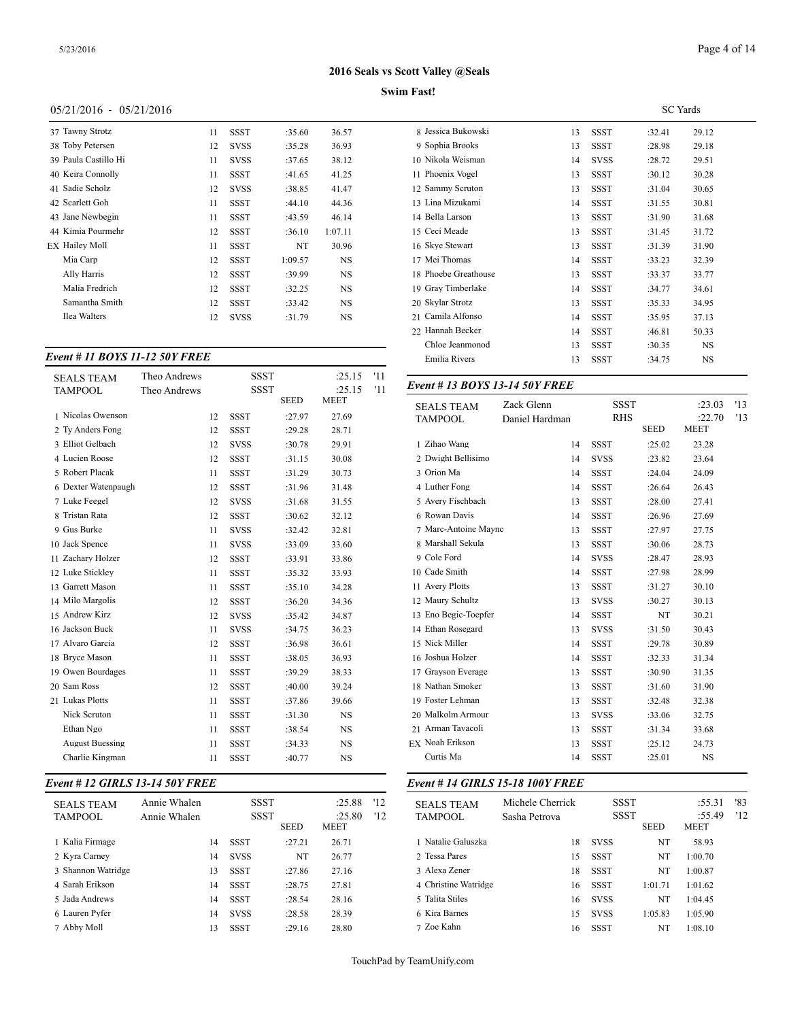## **Swim Fast!**

## 05/21/2016 - 05/21/2016

| 37 Tawny Strotz      | 11 | SSST        | :35.60  | 36.57     | 8 Jessica   |
|----------------------|----|-------------|---------|-----------|-------------|
| 38 Toby Petersen     | 12 | <b>SVSS</b> | :35.28  | 36.93     | 9 Sophia    |
| 39 Paula Castillo Hi | 11 | <b>SVSS</b> | :37.65  | 38.12     | 10 Nikola   |
| 40 Keira Connolly    | 11 | <b>SSST</b> | :41.65  | 41.25     | 11 Phoen    |
| 41 Sadie Scholz      | 12 | <b>SVSS</b> | :38.85  | 41.47     | 12 Samm     |
| 42 Scarlett Goh      | 11 | <b>SSST</b> | :44.10  | 44.36     | 13 Lina N   |
| 43 Jane Newbegin     | 11 | <b>SSST</b> | :43.59  | 46.14     | 14 Bella l  |
| 44 Kimia Pourmehr    | 12 | <b>SSST</b> | :36.10  | 1:07.11   | 15 Ceci N   |
| EX Hailey Moll       | 11 | SSST        | NT      | 30.96     | $16$ Skye S |
| Mia Carp             | 12 | <b>SSST</b> | 1:09.57 | <b>NS</b> | 17 Mei T    |
| Ally Harris          | 12 | SSST        | :39.99  | <b>NS</b> | 18 Phoeb    |
| Malia Fredrich       | 12 | <b>SSST</b> | :32.25  | NS        | 19 Gray 7   |
| Samantha Smith       | 12 | <b>SSST</b> | :33.42  | <b>NS</b> | 20 Skylar   |
| Ilea Walters         | 12 | <b>SVSS</b> | :31.79  | NS        | 21 Camila   |
|                      |    |             |         |           |             |

## *Event # 11 BOYS 11-12 50Y FREE*

| <b>SEALS TEAM</b>      | Theo Andrews |    | <b>SSST</b> |             | :25.15      | '11 |                               |                |             |             |             |
|------------------------|--------------|----|-------------|-------------|-------------|-----|-------------------------------|----------------|-------------|-------------|-------------|
| <b>TAMPOOL</b>         | Theo Andrews |    | <b>SSST</b> |             | :25.15      | '11 | Event #13 BOYS 13-14 50Y FREE |                |             |             |             |
|                        |              |    |             | <b>SEED</b> | <b>MEET</b> |     | <b>SEALS TEAM</b>             | Zack Glenn     | <b>SSST</b> |             | :23.0       |
| 1 Nicolas Owenson      |              | 12 | <b>SSST</b> | :27.97      | 27.69       |     | <b>TAMPOOL</b>                | Daniel Hardman | <b>RHS</b>  |             | :22.7       |
| 2 Ty Anders Fong       |              | 12 | <b>SSST</b> | :29.28      | 28.71       |     |                               |                |             | <b>SEED</b> | <b>MEET</b> |
| 3 Elliot Gelbach       |              | 12 | <b>SVSS</b> | :30.78      | 29.91       |     | 1 Zihao Wang                  | 14             | <b>SSST</b> | :25.02      | 23.28       |
| 4 Lucien Roose         |              | 12 | <b>SSST</b> | :31.15      | 30.08       |     | 2 Dwight Bellisimo            | 14             | <b>SVSS</b> | :23.82      | 23.64       |
| 5 Robert Placak        |              | 11 | <b>SSST</b> | :31.29      | 30.73       |     | 3 Orion Ma                    | 14             | <b>SSST</b> | :24.04      | 24.09       |
| 6 Dexter Watenpaugh    |              | 12 | <b>SSST</b> | :31.96      | 31.48       |     | 4 Luther Fong                 | 14             | <b>SSST</b> | :26.64      | 26.43       |
| 7 Luke Feegel          |              | 12 | <b>SVSS</b> | :31.68      | 31.55       |     | 5 Avery Fischbach             | 13             | <b>SSST</b> | :28.00      | 27.41       |
| 8 Tristan Rata         |              | 12 | <b>SSST</b> | :30.62      | 32.12       |     | 6 Rowan Davis                 | 14             | <b>SSST</b> | :26.96      | 27.69       |
| 9 Gus Burke            |              | 11 | <b>SVSS</b> | :32.42      | 32.81       |     | 7 Marc-Antoine Maync          | 13             | <b>SSST</b> | :27.97      | 27.75       |
| 10 Jack Spence         |              | 11 | <b>SVSS</b> | :33.09      | 33.60       |     | 8 Marshall Sekula             | 13             | <b>SSST</b> | :30.06      | 28.73       |
| 11 Zachary Holzer      |              | 12 | <b>SSST</b> | :33.91      | 33.86       |     | 9 Cole Ford                   | 14             | <b>SVSS</b> | :28.47      | 28.93       |
| 12 Luke Stickley       |              | 11 | <b>SSST</b> | :35.32      | 33.93       |     | 10 Cade Smith                 | 14             | <b>SSST</b> | :27.98      | 28.99       |
| 13 Garrett Mason       |              | 11 | <b>SSST</b> | :35.10      | 34.28       |     | 11 Avery Plotts               | 13             | <b>SSST</b> | :31.27      | 30.10       |
| 14 Milo Margolis       |              | 12 | <b>SSST</b> | :36.20      | 34.36       |     | 12 Maury Schultz              | 13             | <b>SVSS</b> | :30.27      | 30.13       |
| 15 Andrew Kirz         |              | 12 | <b>SVSS</b> | :35.42      | 34.87       |     | 13 Eno Begic-Toepfer          | 14             | <b>SSST</b> | NT          | 30.21       |
| 16 Jackson Buck        |              | 11 | <b>SVSS</b> | :34.75      | 36.23       |     | 14 Ethan Rosegard             | 13             | <b>SVSS</b> | :31.50      | 30.43       |
| 17 Alvaro Garcia       |              | 12 | <b>SSST</b> | :36.98      | 36.61       |     | 15 Nick Miller                | 14             | <b>SSST</b> | :29.78      | 30.89       |
| 18 Bryce Mason         |              | 11 | <b>SSST</b> | :38.05      | 36.93       |     | 16 Joshua Holzer              | 14             | <b>SSST</b> | :32.33      | 31.34       |
| 19 Owen Bourdages      |              | 11 | <b>SSST</b> | :39.29      | 38.33       |     | 17 Grayson Everage            | 13             | <b>SSST</b> | :30.90      | 31.35       |
| 20 Sam Ross            |              | 12 | <b>SSST</b> | :40.00      | 39.24       |     | 18 Nathan Smoker              | 13             | <b>SSST</b> | :31.60      | 31.90       |
| 21 Lukas Plotts        |              | 11 | <b>SSST</b> | :37.86      | 39.66       |     | 19 Foster Lehman              | 13             | <b>SSST</b> | :32.48      | 32.38       |
| Nick Scruton           |              | 11 | <b>SSST</b> | :31.30      | <b>NS</b>   |     | 20 Malkolm Armour             | 13             | <b>SVSS</b> | :33.06      | 32.75       |
| Ethan Ngo              |              | 11 | <b>SSST</b> | :38.54      | <b>NS</b>   |     | 21 Arman Tavacoli             | 13             | <b>SSST</b> | :31.34      | 33.68       |
| <b>August Buessing</b> |              | 11 | <b>SSST</b> | :34.33      | <b>NS</b>   |     | <b>EX Noah Erikson</b>        | 13             | <b>SSST</b> | :25.12      | 24.73       |
| Charlie Kingman        |              | 11 | <b>SSST</b> | :40.77      | <b>NS</b>   |     | Curtis Ma                     | 14             | <b>SSST</b> | :25.01      | <b>NS</b>   |
|                        |              |    |             |             |             |     |                               |                |             |             |             |

# *Event # 12 GIRLS 13-14 50Y FREE*

| <b>SEALS TEAM</b><br><b>TAMPOOL</b> | Annie Whalen<br>Annie Whalen |    | SSST<br><b>SSST</b> | <b>SEED</b> | :25.88<br>:25.80<br><b>MEET</b> | 12<br>'12 | <b>SEALS TEAM</b><br><b>TAMPOOL</b> |
|-------------------------------------|------------------------------|----|---------------------|-------------|---------------------------------|-----------|-------------------------------------|
| 1 Kalia Firmage                     |                              | 14 | <b>SSST</b>         | :27.21      | 26.71                           |           | 1 Natalie Galuszk                   |
| 2 Kyra Carney                       |                              | 14 | <b>SVSS</b>         | NT          | 26.77                           |           | 2 Tessa Pares                       |
| 3 Shannon Watridge                  |                              | 13 | <b>SSST</b>         | :27.86      | 27.16                           |           | 3 Alexa Zener                       |
| 4 Sarah Erikson                     |                              | 14 | <b>SSST</b>         | :28.75      | 27.81                           |           | 4 Christine Watrid                  |
| 5 Jada Andrews                      |                              | 14 | <b>SSST</b>         | :28.54      | 28.16                           |           | 5 Talita Stiles                     |
| 6 Lauren Pyfer                      |                              | 14 | <b>SVSS</b>         | :28.58      | 28.39                           |           | 6 Kira Barnes                       |
| 7 Abby Moll                         |                              | 13 | <b>SSST</b>         | :29.16      | 28.80                           |           | 7 Zoe Kahn                          |

|                      |    |             | <b>SC</b> Yards |           |  |
|----------------------|----|-------------|-----------------|-----------|--|
| 8 Jessica Bukowski   | 13 | <b>SSST</b> | :32.41          | 29.12     |  |
| 9 Sophia Brooks      | 13 | <b>SSST</b> | :28.98          | 29.18     |  |
| 10 Nikola Weisman    | 14 | <b>SVSS</b> | :28.72          | 29.51     |  |
| Phoenix Vogel<br>11  | 13 | <b>SSST</b> | :30.12          | 30.28     |  |
| Sammy Scruton<br>12  | 13 | <b>SSST</b> | :31.04          | 30.65     |  |
| 13 Lina Mizukami     | 14 | <b>SSST</b> | :31.55          | 30.81     |  |
| 14 Bella Larson      | 13 | <b>SSST</b> | :31.90          | 31.68     |  |
| 15 Ceci Meade        | 13 | <b>SSST</b> | :31.45          | 31.72     |  |
| 16 Skye Stewart      | 13 | <b>SSST</b> | :31.39          | 31.90     |  |
| 17 Mei Thomas        | 14 | <b>SSST</b> | :33.23          | 32.39     |  |
| 18 Phoebe Greathouse | 13 | <b>SSST</b> | :33.37          | 33.77     |  |
| 19 Gray Timberlake   | 14 | SSST        | :34.77          | 34.61     |  |
| 20 Skylar Strotz     | 13 | <b>SSST</b> | :35.33          | 34.95     |  |
| 21 Camila Alfonso    | 14 | <b>SSST</b> | :35.95          | 37.13     |  |
| 22 Hannah Becker     | 14 | <b>SSST</b> | :46.81          | 50.33     |  |
| Chloe Jeanmonod      | 13 | <b>SSST</b> | :30.35          | <b>NS</b> |  |
| Emilia Rivers        | 13 | <b>SSST</b> | :34.75          | <b>NS</b> |  |

| <b>SEALS TEAM</b>    | Zack Glenn     |             | <b>SSST</b>               | :23.03                | '13 |
|----------------------|----------------|-------------|---------------------------|-----------------------|-----|
| <b>TAMPOOL</b>       | Daniel Hardman |             | <b>RHS</b><br><b>SEED</b> | :22.70<br><b>MEET</b> | '13 |
| 1 Zihao Wang         | 14             | <b>SSST</b> | :25.02                    | 23.28                 |     |
| 2 Dwight Bellisimo   | 14             | <b>SVSS</b> | :23.82                    | 23.64                 |     |
| 3 Orion Ma           | 14             | <b>SSST</b> | :24.04                    | 24.09                 |     |
| 4 Luther Fong        | 14             | <b>SSST</b> | :26.64                    | 26.43                 |     |
| 5 Avery Fischbach    | 13             | <b>SSST</b> | :28.00                    | 27.41                 |     |
| 6 Rowan Davis        | 14             | <b>SSST</b> | :26.96                    | 27.69                 |     |
| 7 Marc-Antoine Maync | 13             | <b>SSST</b> | :27.97                    | 27.75                 |     |
| 8 Marshall Sekula    | 13             | <b>SSST</b> | :30.06                    | 28.73                 |     |
| 9 Cole Ford          | 14             | <b>SVSS</b> | :28.47                    | 28.93                 |     |
| 10 Cade Smith        | 14             | <b>SSST</b> | :27.98                    | 28.99                 |     |
| 11 Avery Plotts      | 13             | <b>SSST</b> | :31.27                    | 30.10                 |     |
| 12 Maury Schultz     | 13             | <b>SVSS</b> | :30.27                    | 30.13                 |     |
| 13 Eno Begic-Toepfer | 14             | <b>SSST</b> | NT                        | 30.21                 |     |
| 14 Ethan Rosegard    | 13             | <b>SVSS</b> | :31.50                    | 30.43                 |     |
| 15 Nick Miller       | 14             | <b>SSST</b> | :29.78                    | 30.89                 |     |
| 16 Joshua Holzer     | 14             | <b>SSST</b> | :32.33                    | 31.34                 |     |
| 17 Grayson Everage   | 13             | <b>SSST</b> | :30.90                    | 31.35                 |     |
| 18 Nathan Smoker     | 13             | <b>SSST</b> | :31.60                    | 31.90                 |     |
| 19 Foster Lehman     | 13             | <b>SSST</b> | :32.48                    | 32.38                 |     |
| 20 Malkolm Armour    | 13             | <b>SVSS</b> | :33.06                    | 32.75                 |     |
| 21 Arman Tavacoli    | 13             | <b>SSST</b> | :31.34                    | 33.68                 |     |
| EX Noah Erikson      | 13             | <b>SSST</b> | :25.12                    | 24.73                 |     |
| Curtis Ma            | 14             | <b>SSST</b> | :25.01                    | NS                    |     |
|                      |                |             |                           |                       |     |

## *Event # 14 GIRLS 15-18 100Y FREE*

| <b>SEALS TEAM</b><br><b>TAMPOOL</b> | Michele Cherrick<br>Sasha Petrova | SSST<br>SSST | <b>SEED</b> | :55.31<br>:55.49<br><b>MEET</b> | '83<br>'12 |
|-------------------------------------|-----------------------------------|--------------|-------------|---------------------------------|------------|
| 1 Natalie Galuszka                  | 18                                | <b>SVSS</b>  | NT          | 58.93                           |            |
| 2 Tessa Pares                       | 15                                | SSST         | NT          | 1:00.70                         |            |
| 3 Alexa Zener                       | 18                                | <b>SSST</b>  | NT          | 1:00.87                         |            |
| 4 Christine Watridge                | 16                                | SSST         | 1:01.71     | 1:01.62                         |            |
| 5 Talita Stiles                     | 16                                | <b>SVSS</b>  | NT          | 1:04.45                         |            |
| 6 Kira Barnes                       | 15                                | <b>SVSS</b>  | 1:05.83     | 1:05.90                         |            |
| 7 Zoe Kahn                          | 16                                | <b>SSST</b>  | NT          | 1:08.10                         |            |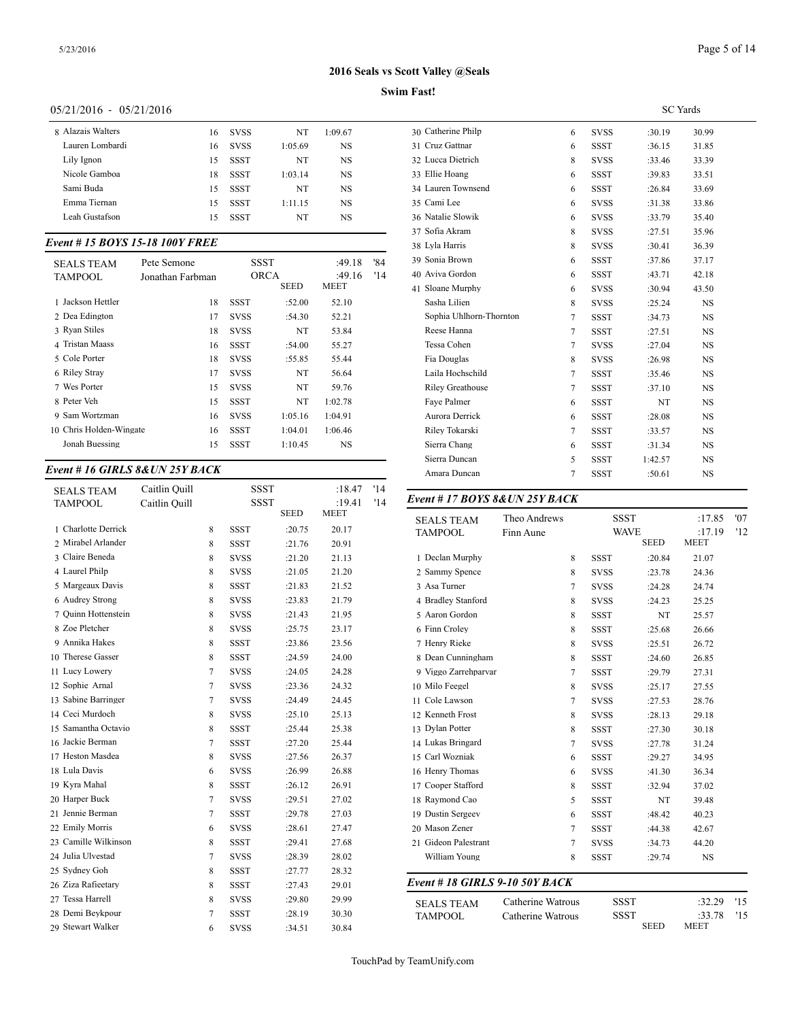## **Swim Fast!**

## 05/21/2016 - 05/21/2016

| 8 Alazais Walters | 16 | <b>SVSS</b> | NT      | 1:09.67 | 30 Cather  |
|-------------------|----|-------------|---------|---------|------------|
| Lauren Lombardi   | 16 | <b>SVSS</b> | 1:05.69 | NS      | 31 Cruz 0  |
| Lily Ignon        | 15 | <b>SSST</b> | NT      | NS      | 32 Lucca   |
| Nicole Gamboa     | 18 | <b>SSST</b> | 1:03.14 | NS      | 33 Ellie F |
| Sami Buda         | 15 | <b>SSST</b> | NT      | NS      | 34 Laurer  |
| Emma Tiernan      | 15 | <b>SSST</b> | 1:11.15 | NS      | 35 Cami 1  |
| Leah Gustafson    | 15 | <b>SSST</b> | NT      | NS      | 36 Natali  |
|                   |    |             |         |         |            |

## *Event # 15 BOYS 15-18 100Y FREE*

| <b>SEALS TEAM</b>       | Pete Semone      |             | <b>SSST</b> | :49.18      | '84 | 39 Sonia Brown         |
|-------------------------|------------------|-------------|-------------|-------------|-----|------------------------|
| <b>TAMPOOL</b>          | Jonathan Farbman |             | <b>ORCA</b> | :49.16      | '14 | 40 Aviva Gordon        |
|                         |                  |             | <b>SEED</b> | <b>MEET</b> |     | 41 Sloane Murphy       |
| 1 Jackson Hettler       | 18               | SSST        | :52.00      | 52.10       |     | Sasha Lilien           |
| 2 Dea Edington          | 17               | <b>SVSS</b> | :54.30      | 52.21       |     | Sophia Uhlhorn-        |
| 3 Ryan Stiles           | 18               | <b>SVSS</b> | NT          | 53.84       |     | Reese Hanna            |
| 4 Tristan Maass         | 16               | SSST        | :54.00      | 55.27       |     | Tessa Cohen            |
| 5 Cole Porter           | 18               | <b>SVSS</b> | :55.85      | 55.44       |     | Fia Douglas            |
| 6 Riley Stray           | 17               | <b>SVSS</b> | NT          | 56.64       |     | Laila Hochschile       |
| 7 Wes Porter            | 15               | <b>SVSS</b> | NT          | 59.76       |     | <b>Riley Greathous</b> |
| 8 Peter Veh             | 15               | <b>SSST</b> | NT          | 1:02.78     |     | Fave Palmer            |
| 9 Sam Wortzman          | 16               | <b>SVSS</b> | 1:05.16     | 1:04.91     |     | Aurora Derrick         |
| 10 Chris Holden-Wingate | 16               | <b>SSST</b> | 1:04.01     | 1:06.46     |     | Riley Tokarski         |
| Jonah Buessing          | 15               | SSST        | 1:10.45     | <b>NS</b>   |     | Sierra Chang           |
|                         |                  |             |             |             |     |                        |

## *Event # 16 GIRLS 8&UN 25Y BACK*

| <b>SEALS TEAM</b>    | Caitlin Ouill<br>Caitlin Quill |        | <b>SSST</b><br><b>SSST</b> |             | :18.47<br>:19.41 | '14<br>'14 | Event #17 BOYS 8& UN 25Y BACK    |                   |             |             |                  |
|----------------------|--------------------------------|--------|----------------------------|-------------|------------------|------------|----------------------------------|-------------------|-------------|-------------|------------------|
| <b>TAMPOOL</b>       |                                |        |                            | <b>SEED</b> | <b>MEET</b>      |            |                                  |                   |             |             |                  |
| 1 Charlotte Derrick  |                                | 8      | <b>SSST</b>                | :20.75      | 20.17            |            | <b>SEALS TEAM</b>                | Theo Andrews      | <b>SSST</b> | <b>WAVE</b> | :17.85<br>:17.19 |
| 2 Mirabel Arlander   |                                | 8      | <b>SSST</b>                | :21.76      | 20.91            |            | <b>TAMPOOL</b>                   | Finn Aune         |             | <b>SEED</b> | <b>MEET</b>      |
| 3 Claire Beneda      |                                | 8      | <b>SVSS</b>                | :21.20      | 21.13            |            | 1 Declan Murphy                  | 8                 | <b>SSST</b> | :20.84      | 21.07            |
| 4 Laurel Philp       |                                | 8      | <b>SVSS</b>                | :21.05      | 21.20            |            | 2 Sammy Spence                   | 8                 | <b>SVSS</b> | :23.78      | 24.36            |
| 5 Margeaux Davis     |                                | 8      | <b>SSST</b>                | :21.83      | 21.52            |            | 3 Asa Turner                     | 7                 | <b>SVSS</b> | :24.28      | 24.74            |
| 6 Audrey Strong      |                                | 8      | <b>SVSS</b>                | :23.83      | 21.79            |            | 4 Bradley Stanford               | 8                 | <b>SVSS</b> | :24.23      | 25.25            |
| 7 Ouinn Hottenstein  |                                | 8      | <b>SVSS</b>                | :21.43      | 21.95            |            | 5 Aaron Gordon                   | 8                 | <b>SSST</b> | NT          | 25.57            |
| 8 Zoe Pletcher       |                                | 8      | <b>SVSS</b>                | :25.75      | 23.17            |            | 6 Finn Crolev                    | 8                 | <b>SSST</b> | :25.68      | 26.66            |
| 9 Annika Hakes       |                                | 8      | <b>SSST</b>                | :23.86      | 23.56            |            | 7 Henry Rieke                    | 8                 | <b>SVSS</b> | :25.51      | 26.72            |
| 10 Therese Gasser    |                                | 8      | <b>SSST</b>                | :24.59      | 24.00            |            | 8 Dean Cunningham                | 8                 | <b>SSST</b> | :24.60      | 26.85            |
| 11 Lucy Lowery       |                                | 7      | <b>SVSS</b>                | :24.05      | 24.28            |            | 9 Viggo Zarrehparvar             | 7                 | <b>SSST</b> | :29.79      | 27.31            |
| 12 Sophie Arnal      |                                | 7      | <b>SVSS</b>                | :23.36      | 24.32            |            | 10 Milo Feegel                   | 8                 | <b>SVSS</b> | :25.17      | 27.55            |
| 13 Sabine Barringer  |                                | 7      | <b>SVSS</b>                | :24.49      | 24.45            |            | 11 Cole Lawson                   | $7\phantom{.0}$   | <b>SVSS</b> | :27.53      | 28.76            |
| 14 Ceci Murdoch      |                                | 8      | <b>SVSS</b>                | :25.10      | 25.13            |            | 12 Kenneth Frost                 | 8                 | <b>SVSS</b> | :28.13      | 29.18            |
| 15 Samantha Octavio  |                                | 8      | <b>SSST</b>                | :25.44      | 25.38            |            | 13 Dylan Potter                  | 8                 | <b>SSST</b> | :27.30      | 30.18            |
| 16 Jackie Berman     |                                | 7      | <b>SSST</b>                | :27.20      | 25.44            |            | 14 Lukas Bringard                | $7\phantom{.0}$   | <b>SVSS</b> | :27.78      | 31.24            |
| 17 Heston Masdea     |                                | 8      | <b>SVSS</b>                | :27.56      | 26.37            |            | 15 Carl Wozniak                  | 6                 | <b>SSST</b> | :29.27      | 34.95            |
| 18 Lula Davis        |                                | 6      | <b>SVSS</b>                | :26.99      | 26.88            |            | 16 Henry Thomas                  | 6                 | <b>SVSS</b> | :41.30      | 36.34            |
| 19 Kyra Mahal        |                                | 8      | <b>SSST</b>                | :26.12      | 26.91            |            | 17 Cooper Stafford               | 8                 | <b>SSST</b> | :32.94      | 37.02            |
| 20 Harper Buck       |                                | 7      | <b>SVSS</b>                | :29.51      | 27.02            |            | 18 Raymond Cao                   | 5                 | <b>SSST</b> | NT          | 39.48            |
| 21 Jennie Berman     |                                | 7      | <b>SSST</b>                | :29.78      | 27.03            |            | 19 Dustin Sergeev                | 6                 | <b>SSST</b> | :48.42      | 40.23            |
| 22 Emily Morris      |                                | 6      | <b>SVSS</b>                | :28.61      | 27.47            |            | 20 Mason Zener                   | $7\phantom{.0}$   | <b>SSST</b> | :44.38      | 42.67            |
| 23 Camille Wilkinson |                                | 8      | <b>SSST</b>                | :29.41      | 27.68            |            | 21 Gideon Palestrant             | 7                 | <b>SVSS</b> | :34.73      | 44.20            |
| 24 Julia Ulvestad    |                                | 7      | <b>SVSS</b>                | :28.39      | 28.02            |            | William Young                    | 8                 | <b>SSST</b> | :29.74      | <b>NS</b>        |
| 25 Sydney Goh        |                                | 8      | <b>SSST</b>                | :27.77      | 28.32            |            |                                  |                   |             |             |                  |
| 26 Ziza Rafieetary   |                                | 8      | <b>SSST</b>                | :27.43      | 29.01            |            | Event # 18 GIRLS $9-10$ 50Y BACK |                   |             |             |                  |
| 27 Tessa Harrell     |                                | 8      | <b>SVSS</b>                | :29.80      | 29.99            |            | <b>SEALS TEAM</b>                | Catherine Watrous | <b>SSST</b> |             | :32.29           |
| 28 Demi Beykpour     |                                | $\tau$ | <b>SSST</b>                | :28.19      | 30.30            |            | <b>TAMPOOL</b>                   | Catherine Watrous | <b>SSST</b> |             | :33.78           |
| 29 Stewart Walker    |                                | 6      | <b>SVSS</b>                | :34.51      | 30.84            |            |                                  |                   |             | <b>SEED</b> | <b>MEET</b>      |

|                         |                |             | <b>SC</b> Yards |           |  |
|-------------------------|----------------|-------------|-----------------|-----------|--|
| 30 Catherine Philp      | 6              | <b>SVSS</b> | :30.19          | 30.99     |  |
| 31 Cruz Gattnar         | 6              | <b>SSST</b> | :36.15          | 31.85     |  |
| 32 Lucca Dietrich       | 8              | <b>SVSS</b> | :33.46          | 33.39     |  |
| 33 Ellie Hoang          | 6              | <b>SSST</b> | :39.83          | 33.51     |  |
| 34 Lauren Townsend      | 6              | <b>SSST</b> | :26.84          | 33.69     |  |
| 35 Cami Lee             | 6              | <b>SVSS</b> | :31.38          | 33.86     |  |
| 36 Natalie Slowik       | 6              | <b>SVSS</b> | :33.79          | 35.40     |  |
| 37 Sofia Akram          | 8              | <b>SVSS</b> | :27.51          | 35.96     |  |
| 38 Lyla Harris          | 8              | <b>SVSS</b> | :30.41          | 36.39     |  |
| 39 Sonia Brown          | 6              | SSST        | :37.86          | 37.17     |  |
| 40 Aviva Gordon         | 6              | <b>SSST</b> | :43.71          | 42.18     |  |
| 41 Sloane Murphy        | 6              | <b>SVSS</b> | :30.94          | 43.50     |  |
| Sasha Lilien            | 8              | <b>SVSS</b> | :25.24          | <b>NS</b> |  |
| Sophia Uhlhorn-Thornton | 7              | <b>SSST</b> | :34.73          | <b>NS</b> |  |
| Reese Hanna             | $\tau$         | <b>SSST</b> | :27.51          | <b>NS</b> |  |
| Tessa Cohen             | 7              | <b>SVSS</b> | :27.04          | <b>NS</b> |  |
| Fia Douglas             | 8              | <b>SVSS</b> | :26.98          | <b>NS</b> |  |
| Laila Hochschild        | $\tau$         | <b>SSST</b> | :35.46          | <b>NS</b> |  |
| <b>Riley Greathouse</b> | $\overline{7}$ | <b>SSST</b> | :37.10          | <b>NS</b> |  |
| Faye Palmer             | 6              | <b>SSST</b> | NT              | <b>NS</b> |  |
| Aurora Derrick          | 6              | <b>SSST</b> | :28.08          | <b>NS</b> |  |
| Riley Tokarski          | 7              | <b>SSST</b> | :33.57          | <b>NS</b> |  |
| Sierra Chang            | 6              | <b>SSST</b> | :31.34          | <b>NS</b> |  |
| Sierra Duncan           | 5              | <b>SSST</b> | 1:42.57         | <b>NS</b> |  |
| Amara Duncan            | 7              | <b>SSST</b> | :50.61          | <b>NS</b> |  |

| <b>SEALS TEAM</b><br><b>TAMPOOL</b> | Theo Andrews<br>Finn Aune |             | <b>SSST</b><br>WAVE<br><b>SEED</b> | :17.85<br>:17.19<br><b>MEET</b> | '07<br>'12 |
|-------------------------------------|---------------------------|-------------|------------------------------------|---------------------------------|------------|
| 1 Declan Murphy                     | 8                         | <b>SSST</b> | :20.84                             | 21.07                           |            |
| 2 Sammy Spence                      | 8                         | <b>SVSS</b> | :23.78                             | 24.36                           |            |
| 3 Asa Turner                        | 7                         | <b>SVSS</b> | :24.28                             | 24.74                           |            |
| 4 Bradley Stanford                  | 8                         | <b>SVSS</b> | :24.23                             | 25.25                           |            |
| 5 Aaron Gordon                      | 8                         | <b>SSST</b> | NT                                 | 25.57                           |            |
| 6 Finn Croley                       | 8                         | <b>SSST</b> | :25.68                             | 26.66                           |            |
| 7 Henry Rieke                       | 8                         | <b>SVSS</b> | :25.51                             | 26.72                           |            |
| 8 Dean Cunningham                   | 8                         | <b>SSST</b> | :24.60                             | 26.85                           |            |
| 9 Viggo Zarrehparvar                | $\tau$                    | <b>SSST</b> | :29.79                             | 27.31                           |            |
| 10 Milo Feegel                      | 8                         | <b>SVSS</b> | :25.17                             | 27.55                           |            |
| 11 Cole Lawson                      | 7                         | <b>SVSS</b> | :27.53                             | 28.76                           |            |
| 12 Kenneth Frost                    | 8                         | <b>SVSS</b> | :28.13                             | 29.18                           |            |
| 13 Dylan Potter                     | 8                         | <b>SSST</b> | :27.30                             | 30.18                           |            |
| 14 Lukas Bringard                   | 7                         | <b>SVSS</b> | :27.78                             | 31.24                           |            |
| 15 Carl Wozniak                     | 6                         | <b>SSST</b> | :29.27                             | 34.95                           |            |
| 16 Henry Thomas                     | 6                         | <b>SVSS</b> | :41.30                             | 36.34                           |            |
| 17 Cooper Stafford                  | 8                         | <b>SSST</b> | :32.94                             | 37.02                           |            |
| 18 Raymond Cao                      | 5                         | <b>SSST</b> | NT                                 | 39.48                           |            |
| 19 Dustin Sergeev                   | 6                         | <b>SSST</b> | :48.42                             | 40.23                           |            |
| 20 Mason Zener                      | $\tau$                    | <b>SSST</b> | :44.38                             | 42.67                           |            |
| 21 Gideon Palestrant                | 7                         | <b>SVSS</b> | :34.73                             | 44.20                           |            |
| William Young                       | 8                         | <b>SSST</b> | :29.74                             | <b>NS</b>                       |            |
| Event # 18 GIRLS 9-10 50Y BACK      |                           |             |                                    |                                 |            |
| <b>SEALS TEAM</b>                   | Catherine Watrous         |             | <b>SSST</b>                        | :32.29                          | '15        |
| <b>TAMPOOL</b>                      | Catherine Watrous         |             | <b>SSST</b><br><b>SEED</b>         | :33.78<br><b>MEET</b>           | '15        |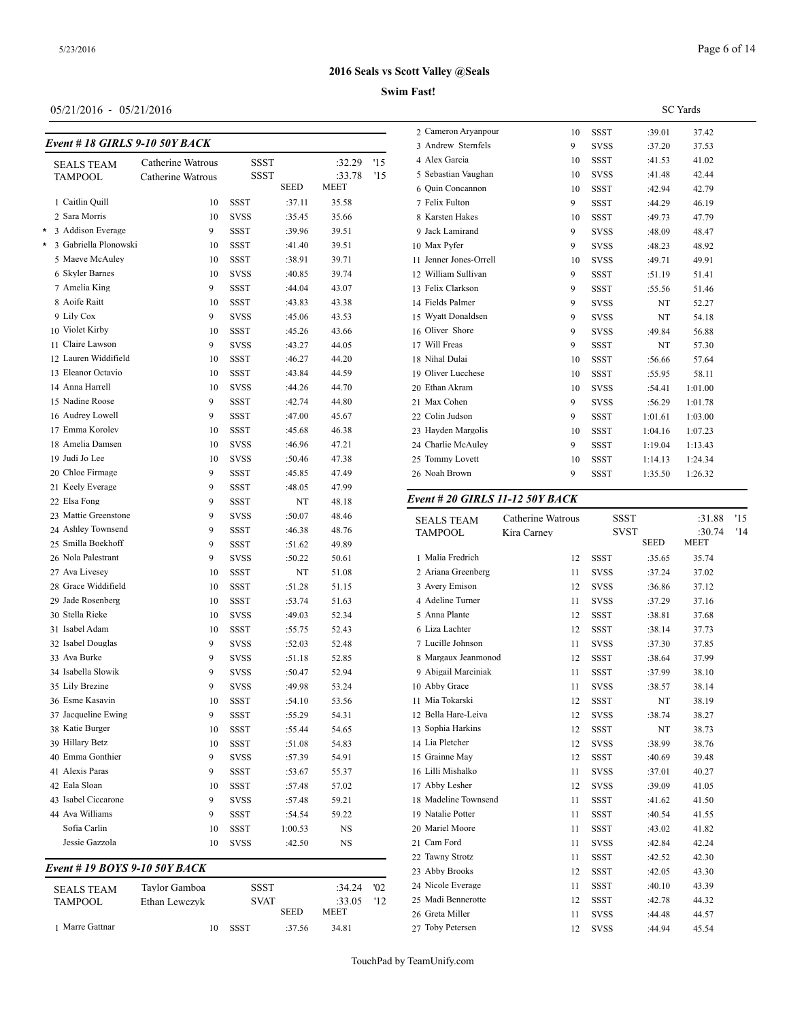## **Swim Fast!**

## 05/21/2016 - 05/21/2016

| Event # 18 GIRLS 9-10 50Y BA |  |  |
|------------------------------|--|--|

|   | Event #18 GIRLS 9-10 50Y BACK |                   |             |              |                |     | 3 Andrew Sternfe                  |
|---|-------------------------------|-------------------|-------------|--------------|----------------|-----|-----------------------------------|
|   | <b>SEALS TEAM</b>             | Catherine Watrous |             | SSST         | :32.29         | '15 | 4 Alex Garcia                     |
|   | TAMPOOL                       | Catherine Watrous |             | <b>SSST</b>  | :33.78         | '15 | 5 Sebastian Vaugh                 |
|   |                               |                   |             | SEED         | MEET           |     | 6 Quin Concannoi                  |
|   | 1 Caitlin Quill               | 10                | SSST        | :37.11       | 35.58          |     | 7 Felix Fulton                    |
|   | 2 Sara Morris                 | 10                | <b>SVSS</b> | :35.45       | 35.66          |     | 8 Karsten Hakes                   |
| * | 3 Addison Everage             | 9                 | SSST        | :39.96       | 39.51          |     | 9 Jack Lamirand                   |
| * | 3 Gabriella Plonowski         | 10                | SSST        | :41.40       | 39.51          |     | 10 Max Pyfer                      |
|   | 5 Maeve McAuley               | 10                | SSST        | :38.91       | 39.71          |     | 11 Jenner Jones-Or                |
|   | 6 Skyler Barnes               | 10                | SVSS        | :40.85       | 39.74          |     | 12 William Sullivar               |
|   | 7 Amelia King                 | 9                 | <b>SSST</b> | :44.04       | 43.07          |     | 13 Felix Clarkson                 |
|   | 8 Aoife Raitt                 | 10                | <b>SSST</b> | :43.83       | 43.38          |     | 14 Fields Palmer                  |
|   | 9 Lily Cox                    | 9                 | <b>SVSS</b> | :45.06       | 43.53          |     | 15 Wyatt Donaldse                 |
|   | 10 Violet Kirby               | 10                | SSST        | :45.26       | 43.66          |     | 16 Oliver Shore                   |
|   | 11 Claire Lawson              | 9                 | <b>SVSS</b> | :43.27       | 44.05          |     | 17 Will Freas                     |
|   | 12 Lauren Widdifield          | 10                | SSST        | :46.27       | 44.20          |     | 18 Nihal Dulai                    |
|   | 13 Eleanor Octavio            | 10                | SSST        | :43.84       | 44.59          |     | 19 Oliver Lucchese                |
|   | 14 Anna Harrell               | 10                | SVSS        | :44.26       | 44.70          |     | 20 Ethan Akram                    |
|   | 15 Nadine Roose               | 9                 | SSST        | :42.74       | 44.80          |     | 21 Max Cohen                      |
|   | 16 Audrey Lowell              | 9                 | SSST        | :47.00       | 45.67          |     | 22 Colin Judson                   |
|   | 17 Emma Korolev               | 10                | SSST        | :45.68       | 46.38          |     | 23 Hayden Margoli                 |
|   | 18 Amelia Damsen              | 10                | SVSS        | :46.96       | 47.21          |     | 24 Charlie McAule                 |
|   | 19 Judi Jo Lee                | 10                | <b>SVSS</b> | :50.46       | 47.38          |     | 25 Tommy Lovett                   |
|   | 20 Chloe Firmage              | 9                 | SSST        | :45.85       | 47.49          |     | 26 Noah Brown                     |
|   | 21 Keely Everage              | 9                 | <b>SSST</b> | :48.05       | 47.99          |     |                                   |
|   | 22 Elsa Fong                  | 9                 | SSST        | NT           | 48.18          |     | Event # 20 GIRI                   |
|   | 23 Mattie Greenstone          | 9                 | SVSS        | :50.07       | 48.46          |     | <b>SEALS TEAM</b>                 |
|   | 24 Ashley Townsend            | 9                 | SSST        | :46.38       | 48.76          |     | <b>TAMPOOL</b>                    |
|   | 25 Smilla Boekhoff            | 9                 | SSST        | :51.62       | 49.89          |     |                                   |
|   | 26 Nola Palestrant            | 9                 | <b>SVSS</b> | :50.22       | 50.61          |     | 1 Malia Fredrich                  |
|   | 27 Ava Livesey                | 10                | SSST        | NT           | 51.08          |     | 2 Ariana Greenber                 |
|   | 28 Grace Widdifield           | 10                | SSST        | :51.28       | 51.15          |     | 3 Avery Emison                    |
|   | 29 Jade Rosenberg             | 10                | SSST        | :53.74       | 51.63          |     | 4 Adeline Turner                  |
|   | 30 Stella Rieke               | 10                | <b>SVSS</b> | :49.03       | 52.34          |     | 5 Anna Plante                     |
|   | 31 Isabel Adam                | 10                | SSST        | :55.75       | 52.43          |     | 6 Liza Lachter                    |
|   | 32 Isabel Douglas             | 9                 | SVSS        | :52.03       | 52.48          |     | 7 Lucille Johnson                 |
|   | 33 Ava Burke                  | 9                 | SVSS        | :51.18       | 52.85          |     | 8 Margaux Jeanm                   |
|   | 34 Isabella Slowik            | 9                 | SVSS        | :50.47       | 52.94          |     | 9 Abigail Marcini                 |
|   | 35 Lily Brezine               | 9                 | <b>SVSS</b> | :49.98       | 53.24          |     | 10 Abby Grace                     |
|   | 36 Esme Kasavin               | 10                | SSST        | :54.10       | 53.56          |     | 11 Mia Tokarski                   |
|   | 37 Jacqueline Ewing           | 9                 | <b>SSST</b> | :55.29       | 54.31          |     | 12 Bella Hare-Leiv                |
|   | 38 Katie Burger               | 10                | SSST        | :55.44       | 54.65          |     | 13 Sophia Harkins                 |
|   | 39 Hillary Betz               | 10                | SSST        | :51.08       | 54.83          |     | 14 Lia Pletcher                   |
|   | 40 Emma Gonthier              | 9                 | SVSS        | :57.39       | 54.91          |     | 15 Grainne May                    |
|   | 41 Alexis Paras               | 9                 | SSST        | :53.67       | 55.37          |     | 16 Lilli Mishalko                 |
|   | 42 Eala Sloan                 | 10                | SSST        | :57.48       | 57.02          |     | 17 Abby Lesher                    |
|   | 43 Isabel Ciccarone           | 9                 |             |              |                |     | 18 Madeline Towns                 |
|   | 44 Ava Williams               |                   | SVSS        | :57.48       | 59.21          |     | 19 Natalie Potter                 |
|   |                               | 9                 | SSST        | :54.54       | 59.22          |     |                                   |
|   | Sofia Carlin                  | 10                | SSST        | 1:00.53      | NS             |     | 20 Mariel Moore                   |
|   | Jessie Gazzola                | 10                | SVSS        | :42.50       | NS             |     | 21 Cam Ford                       |
|   | Event # 19 BOYS 9-10 50Y BACK |                   |             |              |                |     | 22 Tawny Strotz<br>23 Abby Brooks |
|   |                               |                   |             |              |                |     |                                   |
|   | SEALS TEAM                    | Taylor Gamboa     |             | SSST         | :34.24         | 02  | 24 Nicole Everage                 |
|   | TAMPOOL                       | Ethan Lewczyk     |             | SVAT<br>SEED | :33.05<br>MEET | '12 | 25 Madi Bennerotto                |
|   | 1 Marre Gattnar               |                   |             |              |                |     | 26 Greta Miller                   |
|   |                               | 10                | SSST        | :37.56       | 34.81          |     | 27 Toby Petersen                  |

|                        |    |             | <b>SC</b> Yards |         |
|------------------------|----|-------------|-----------------|---------|
| 2 Cameron Aryanpour    | 10 | <b>SSST</b> | :39.01          | 37.42   |
| 3 Andrew Sternfels     | 9  | <b>SVSS</b> | :37.20          | 37.53   |
| 4 Alex Garcia          | 10 | <b>SSST</b> | :41.53          | 41.02   |
| 5 Sebastian Vaughan    | 10 | <b>SVSS</b> | :41.48          | 42.44   |
| 6 Ouin Concannon       | 10 | <b>SSST</b> | :42.94          | 42.79   |
| 7 Felix Fulton         | 9  | <b>SSST</b> | :44.29          | 46.19   |
| 8 Karsten Hakes        | 10 | <b>SSST</b> | :49.73          | 47.79   |
| 9 Jack Lamirand        | 9  | <b>SVSS</b> | :48.09          | 48.47   |
| 10 Max Pyfer           | 9  | <b>SVSS</b> | :48.23          | 48.92   |
| 11 Jenner Jones-Orrell | 10 | <b>SVSS</b> | :49.71          | 49.91   |
| 12 William Sullivan    | 9  | <b>SSST</b> | :51.19          | 51.41   |
| 13 Felix Clarkson      | 9  | <b>SSST</b> | :55.56          | 51.46   |
| 14 Fields Palmer       | 9  | <b>SVSS</b> | NT              | 52.27   |
| 15 Wyatt Donaldsen     | 9  | <b>SVSS</b> | NT              | 54.18   |
| 16 Oliver Shore        | 9  | <b>SVSS</b> | :49.84          | 56.88   |
| 17 Will Freas          | 9  | <b>SSST</b> | NT              | 57.30   |
| 18 Nihal Dulai         | 10 | <b>SSST</b> | :56.66          | 57.64   |
| 19 Oliver Lucchese     | 10 | <b>SSST</b> | :55.95          | 58.11   |
| 20 Ethan Akram         | 10 | <b>SVSS</b> | :54.41          | 1:01.00 |
| 21 Max Cohen           | 9  | <b>SVSS</b> | :56.29          | 1:01.78 |
| 22 Colin Judson        | 9  | <b>SSST</b> | 1:01.61         | 1:03.00 |
| 23 Hayden Margolis     | 10 | <b>SSST</b> | 1:04.16         | 1:07.23 |
| 24 Charlie McAuley     | 9  | <b>SSST</b> | 1:19.04         | 1:13.43 |
| 25 Tommy Lovett        | 10 | <b>SSST</b> | 1:14.13         | 1:24.34 |
| 26 Noah Brown          | 9  | SSST        | 1:35.50         | 1:26.32 |
|                        |    |             |                 |         |

#### *Event # 20 GIRLS 11-12 50Y BACK*

| <b>SEALS TEAM</b>    | Catherine Watrous |                            | <b>SSST</b>                | :31.88                | '15 |
|----------------------|-------------------|----------------------------|----------------------------|-----------------------|-----|
| <b>TAMPOOL</b>       | Kira Carney       |                            | <b>SVST</b><br><b>SEED</b> | :30.74<br><b>MEET</b> | '14 |
| 1 Malia Fredrich     | 12                | <b>SSST</b>                | :35.65                     | 35.74                 |     |
| 2 Ariana Greenberg   | 11                | <b>SVSS</b>                | :37.24                     | 37.02                 |     |
| 3 Avery Emison       | 12                | <b>SVSS</b>                | :36.86                     | 37.12                 |     |
| 4 Adeline Turner     | 11                | <b>SVSS</b>                | :37.29                     | 37.16                 |     |
| 5 Anna Plante        | 12                | <b>SSST</b>                | :38.81                     | 37.68                 |     |
| 6 Liza Lachter       | 12                | <b>SSST</b>                | :38.14                     | 37.73                 |     |
| 7 Lucille Johnson    | 11                | <b>SVSS</b>                | :37.30                     | 37.85                 |     |
| 8 Margaux Jeanmonod  | 12                | <b>SSST</b>                | :38.64                     | 37.99                 |     |
| 9 Abigail Marciniak  | 11                | <b>SSST</b>                |                            | 38.10                 |     |
| 10 Abby Grace        |                   |                            | :37.99                     |                       |     |
| 11 Mia Tokarski      | 11                | <b>SVSS</b><br><b>SSST</b> | :38.57                     | 38.14                 |     |
| 12 Bella Hare-Leiva  | 12                |                            | NT                         | 38.19                 |     |
| 13 Sophia Harkins    | 12                | <b>SVSS</b>                | :38.74                     | 38.27                 |     |
|                      | 12                | <b>SSST</b>                | NT                         | 38.73                 |     |
| 14 Lia Pletcher      | 12                | <b>SVSS</b>                | :38.99                     | 38.76                 |     |
| 15 Grainne May       | 12                | <b>SSST</b>                | :40.69                     | 39.48                 |     |
| 16 Lilli Mishalko    | 11                | <b>SVSS</b>                | :37.01                     | 40.27                 |     |
| 17 Abby Lesher       | 12                | <b>SVSS</b>                | :39.09                     | 41.05                 |     |
| 18 Madeline Townsend | 11                | <b>SSST</b>                | :41.62                     | 41.50                 |     |
| 19 Natalie Potter    | 11                | <b>SSST</b>                | :40.54                     | 41.55                 |     |
| 20 Mariel Moore      | 11                | <b>SSST</b>                | :43.02                     | 41.82                 |     |
| 21 Cam Ford          | 11                | <b>SVSS</b>                | :42.84                     | 42.24                 |     |
| 22 Tawny Strotz      | 11                | <b>SSST</b>                | :42.52                     | 42.30                 |     |
| 23 Abby Brooks       | 12                | <b>SSST</b>                | :42.05                     | 43.30                 |     |
| 24 Nicole Everage    | 11                | <b>SSST</b>                | :40.10                     | 43.39                 |     |
| 25 Madi Bennerotte   | 12                | <b>SSST</b>                | :42.78                     | 44.32                 |     |
| 26 Greta Miller      | 11                | <b>SVSS</b>                | :44.48                     | 44.57                 |     |
| 27 Toby Petersen     | 12                | <b>SVSS</b>                | :44.94                     | 45.54                 |     |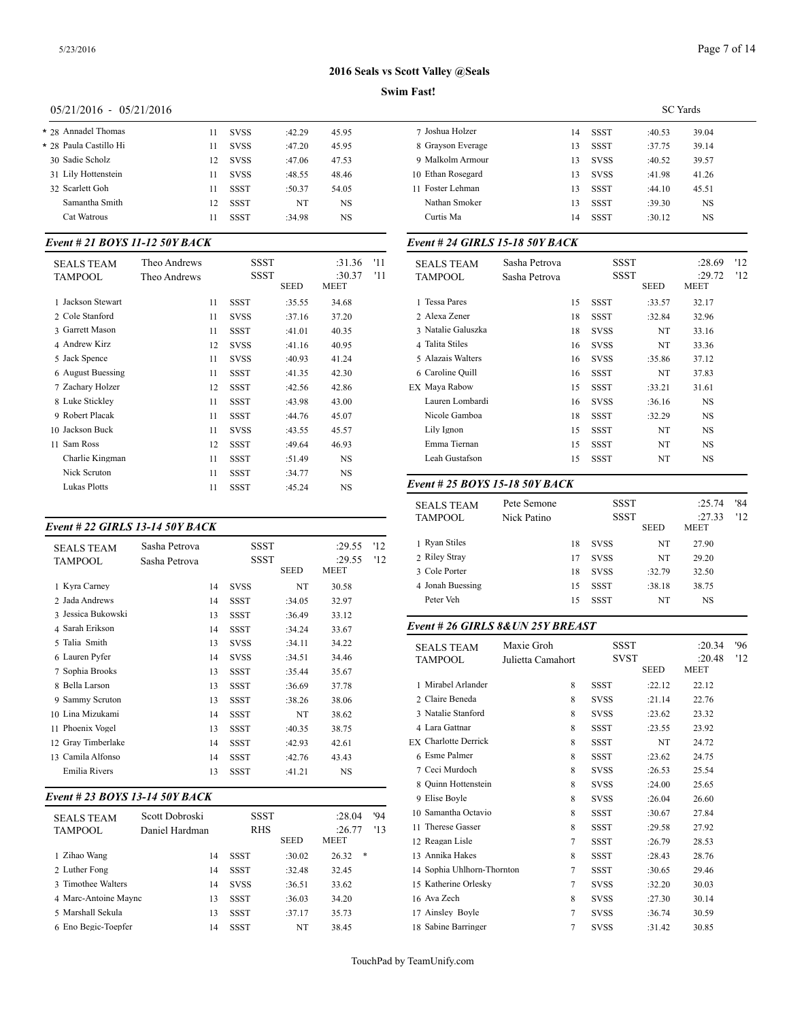## Page 7 of 14

## **2016 Seals vs Scott Valley @Seals**

## **Swim Fast!**

## 05/21/2016 - 05/21/2016

| * 28 Annadel Thomas    | 11 | <b>SVSS</b> | :42.29    | 45.95 | 7 Joshua  |
|------------------------|----|-------------|-----------|-------|-----------|
| * 28 Paula Castillo Hi | 11 | <b>SVSS</b> | :47.20    | 45.95 | 8 Grays   |
| 30 Sadie Scholz        | 12 | <b>SVSS</b> | :47.06    | 47.53 | 9 Malko   |
| 31 Lily Hottenstein    | 11 | <b>SVSS</b> | :48.55    | 48.46 | 10 Ethan  |
| 32 Scarlett Goh        | 11 | SSST        | :50.37    | 54.05 | 11 Foster |
| Samantha Smith         | 12 | SSST        | <b>NT</b> | NS    | Nathai    |
| Cat Watrous            | 11 | SSST        | :34.98    | NS    | Curtis    |
|                        |    |             |           |       |           |

## *Event # 21 BOYS 11-12 50Y BACK*

| <b>SEALS TEAM</b><br>TAMPOOL | Theo Andrews<br>Theo Andrews |             | SSST<br>SSST | :31.36<br>:30.37 | '11<br>'11 | <b>SEALS TEAM</b><br><b>TAMPOOL</b> |
|------------------------------|------------------------------|-------------|--------------|------------------|------------|-------------------------------------|
|                              |                              |             | <b>SEED</b>  | MEET             |            |                                     |
| 1 Jackson Stewart            | 11                           | SSST        | :35.55       | 34.68            |            | 1 Tessa Pares                       |
| 2 Cole Stanford              | 11                           | <b>SVSS</b> | :37.16       | 37.20            |            | 2 Alexa Zener                       |
| 3 Garrett Mason              | 11                           | SSST        | :41.01       | 40.35            |            | 3 Natalie Galuszk                   |
| 4 Andrew Kirz                | 12                           | <b>SVSS</b> | :41.16       | 40.95            |            | 4 Talita Stiles                     |
| 5 Jack Spence                | 11                           | <b>SVSS</b> | :40.93       | 41.24            |            | 5 Alazais Walters                   |
| 6 August Buessing            | 11                           | <b>SSST</b> | :41.35       | 42.30            |            | 6 Caroline Quill                    |
| 7 Zachary Holzer             | 12                           | <b>SSST</b> | :42.56       | 42.86            |            | EX Mava Rabow                       |
| 8 Luke Stickley              | 11                           | <b>SSST</b> | :43.98       | 43.00            |            | Lauren Lombard                      |
| 9 Robert Placak              | 11                           | <b>SSST</b> | :44.76       | 45.07            |            | Nicole Gamboa                       |
| 10 Jackson Buck              | 11                           | <b>SVSS</b> | :43.55       | 45.57            |            | Lily Ignon                          |
| 11 Sam Ross                  | 12                           | <b>SSST</b> | :49.64       | 46.93            |            | Emma Tiernan                        |
| Charlie Kingman              | 11                           | <b>SSST</b> | :51.49       | NS.              |            | Leah Gustafson                      |
| Nick Scruton                 | 11                           | <b>SSST</b> | :34.77       | NS.              |            |                                     |
| <b>Lukas Plotts</b>          | 11                           | <b>SSST</b> | :45.24       | <b>NS</b>        |            | Event # 25 $BOY$                    |
|                              |                              |             |              |                  |            |                                     |

## *Event # 22 GIRLS 13-14 50Y BACK*

| <b>SEALS TEAM</b>  | Sasha Petrova |    | SSST<br>SSST |        | :29.55<br>:29.55 | 12<br>'12 | 1 Ryan Stiles<br>2 Riley Stray |
|--------------------|---------------|----|--------------|--------|------------------|-----------|--------------------------------|
| TAMPOOL            | Sasha Petrova |    |              | SEED   | MEET             |           | 3 Cole Porter                  |
| 1 Kyra Carney      |               | 14 | <b>SVSS</b>  | NT     | 30.58            |           | 4 Jonah Buessing               |
| 2 Jada Andrews     |               | 14 | <b>SSST</b>  | :34.05 | 32.97            |           | Peter Veh                      |
| 3 Jessica Bukowski |               | 13 | SSST         | :36.49 | 33.12            |           |                                |
| 4 Sarah Erikson    |               | 14 | <b>SSST</b>  | :34.24 | 33.67            |           | Event # 26 GIRI                |
| 5 Talia Smith      |               | 13 | <b>SVSS</b>  | :34.11 | 34.22            |           | <b>SEALS TEAM</b>              |
| 6 Lauren Pyfer     |               | 14 | <b>SVSS</b>  | :34.51 | 34.46            |           | TAMPOOL                        |
| 7 Sophia Brooks    |               | 13 | SSST         | :35.44 | 35.67            |           |                                |
| 8 Bella Larson     |               | 13 | SSST         | :36.69 | 37.78            |           | 1 Mirabel Arlande              |
| 9 Sammy Scruton    |               | 13 | SSST         | :38.26 | 38.06            |           | 2 Claire Beneda                |
| 10 Lina Mizukami   |               | 14 | <b>SSST</b>  | NT     | 38.62            |           | 3 Natalie Stanford             |
| 11 Phoenix Vogel   |               | 13 | <b>SSST</b>  | :40.35 | 38.75            |           | 4 Lara Gattnar                 |
| 12 Gray Timberlake |               | 14 | SSST         | :42.93 | 42.61            |           | <b>EX</b> Charlotte Derric     |
| 13 Camila Alfonso  |               | 14 | <b>SSST</b>  | :42.76 | 43.43            |           | 6 Esme Palmer                  |
| Emilia Rivers      |               | 13 | <b>SSST</b>  | :41.21 | <b>NS</b>        |           | 7 Ceci Murdoch                 |
|                    |               |    |              |        |                  |           |                                |

## *Event # 23 BOYS 13-14 50Y BACK*

| <b>SEALS TEAM</b>    | Scott Dobroski | SSST        |             | :28.04     | '94 | 10 Samantha Octav   |
|----------------------|----------------|-------------|-------------|------------|-----|---------------------|
| <b>TAMPOOL</b>       | Daniel Hardman | RHS         |             | :26.77     | 13  | 11 Therese Gasser   |
|                      |                |             | <b>SEED</b> | MEET       |     | 12 Reagan Lisle     |
| 1 Zihao Wang         | 14             | SSST        | :30.02      | *<br>26.32 |     | 13 Annika Hakes     |
| 2 Luther Fong        | 14             | SSST        | :32.48      | 32.45      |     | 14 Sophia Uhlhorn-  |
| 3 Timothee Walters   | 14             | <b>SVSS</b> | :36.51      | 33.62      |     | 15 Katherine Orlesl |
| 4 Marc-Antoine Maync | 13             | <b>SSST</b> | :36.03      | 34.20      |     | 16 Ava Zech         |
| 5 Marshall Sekula    | 13             | <b>SSST</b> | :37.17      | 35.73      |     | 17 Ainsley Boyle    |
| 6 Eno Begic-Toepfer  | 14             | <b>SSST</b> | NT          | 38.45      |     | 18 Sabine Barringe  |

|                   |    |             | <b>SC</b> Yards |           |  |
|-------------------|----|-------------|-----------------|-----------|--|
| 7 Joshua Holzer   | 14 | <b>SSST</b> | :40.53          | 39.04     |  |
| 8 Grayson Everage | 13 | <b>SSST</b> | :37.75          | 39.14     |  |
| 9 Malkolm Armour  | 13 | <b>SVSS</b> | :40.52          | 39.57     |  |
| 10 Ethan Rosegard | 13 | <b>SVSS</b> | :41.98          | 41.26     |  |
| 11 Foster Lehman  | 13 | SSST        | :44.10          | 45.51     |  |
| Nathan Smoker     | 13 | <b>SSST</b> | :39.30          | NS        |  |
| Curtis Ma         | 14 | <b>SSST</b> | :30.12          | <b>NS</b> |  |
|                   |    |             |                 |           |  |

## *Event # 24 GIRLS 15-18 50Y BACK*

| <b>SEALS TEAM</b><br><b>TAMPOOL</b> | Sasha Petrova<br>Sasha Petrova |    | <b>SSST</b><br><b>SSST</b> |             | :28.69<br>:29.72 | 12<br>'12 |
|-------------------------------------|--------------------------------|----|----------------------------|-------------|------------------|-----------|
|                                     |                                |    |                            | <b>SEED</b> | <b>MEET</b>      |           |
| 1 Tessa Pares                       |                                | 15 | <b>SSST</b>                | :33.57      | 32.17            |           |
| 2 Alexa Zener                       |                                | 18 | <b>SSST</b>                | :32.84      | 32.96            |           |
| 3 Natalie Galuszka                  |                                | 18 | <b>SVSS</b>                | NT          | 33.16            |           |
| 4 Talita Stiles                     |                                | 16 | <b>SVSS</b>                | NT          | 33.36            |           |
| 5 Alazais Walters                   |                                | 16 | <b>SVSS</b>                | :35.86      | 37.12            |           |
| 6 Caroline Quill                    |                                | 16 | <b>SSST</b>                | NT          | 37.83            |           |
| EX Maya Rabow                       |                                | 15 | SSST                       | :33.21      | 31.61            |           |
| Lauren Lombardi                     |                                | 16 | <b>SVSS</b>                | :36.16      | <b>NS</b>        |           |
| Nicole Gamboa                       |                                | 18 | SSST                       | :32.29      | <b>NS</b>        |           |
| Lily Ignon                          |                                | 15 | <b>SSST</b>                | NT          | <b>NS</b>        |           |
| Emma Tiernan                        |                                | 15 | SSST                       | NT          | <b>NS</b>        |           |
| Leah Gustafson                      |                                | 15 | <b>SSST</b>                | NT          | <b>NS</b>        |           |
|                                     |                                |    |                            |             |                  |           |

## *Event # 25 BOYS 15-18 50Y BACK*

| <b>SEALS TEAM</b><br>TAMPOOL | Pete Semone<br>Nick Patino |    | <b>SSST</b><br><b>SSST</b> | <b>SEED</b> | :25.74<br>:27.33<br><b>MEET</b> | '84<br>'12 |
|------------------------------|----------------------------|----|----------------------------|-------------|---------------------------------|------------|
| 1 Ryan Stiles                |                            | 18 | <b>SVSS</b>                | NT          | 27.90                           |            |
| 2 Riley Stray                |                            | 17 | <b>SVSS</b>                | NT          | 29.20                           |            |
| 3 Cole Porter                |                            | 18 | <b>SVSS</b>                | :32.79      | 32.50                           |            |
| 4 Jonah Buessing             |                            | 15 | SSST                       | :38.18      | 38.75                           |            |
| Peter Veh                    |                            | 15 | <b>SSST</b>                | NT          | NS                              |            |
|                              |                            |    |                            |             |                                 |            |

#### *Event # 26 GIRLS 8&UN 25Y BREAST*

| <b>SEALS TEAM</b>           | Maxie Groh        |             | <b>SSST</b> | :20.34      | 96  |
|-----------------------------|-------------------|-------------|-------------|-------------|-----|
| <b>TAMPOOL</b>              | Julietta Camahort |             | <b>SVST</b> | :20.48      | '12 |
|                             |                   |             | <b>SEED</b> | <b>MEET</b> |     |
| 1 Mirabel Arlander          | 8                 | <b>SSST</b> | :22.12      | 22.12       |     |
| 2 Claire Beneda             | 8                 | <b>SVSS</b> | : 21.14     | 22.76       |     |
| 3 Natalie Stanford          | 8                 | <b>SVSS</b> | :23.62      | 23.32       |     |
| 4 Lara Gattnar              | 8                 | <b>SSST</b> | :23.55      | 23.92       |     |
| <b>EX Charlotte Derrick</b> | 8                 | <b>SSST</b> | NT          | 24.72       |     |
| 6 Esme Palmer               | 8                 | <b>SSST</b> | :23.62      | 24.75       |     |
| 7 Ceci Murdoch              | 8                 | <b>SVSS</b> | :26.53      | 25.54       |     |
| 8 Ouinn Hottenstein         | 8                 | <b>SVSS</b> | :24.00      | 25.65       |     |
| 9 Elise Boyle               | 8                 | <b>SVSS</b> | :26.04      | 26.60       |     |
| 10 Samantha Octavio         | 8                 | <b>SSST</b> | :30.67      | 27.84       |     |
| 11 Therese Gasser           | 8                 | <b>SSST</b> | :29.58      | 27.92       |     |
| 12 Reagan Lisle             | 7                 | <b>SSST</b> | :26.79      | 28.53       |     |
| 13 Annika Hakes             | 8                 | <b>SSST</b> | :28.43      | 28.76       |     |
| 14 Sophia Uhlhorn-Thornton  | 7                 | <b>SSST</b> | :30.65      | 29.46       |     |
| 15 Katherine Orlesky        | 7                 | <b>SVSS</b> | :32.20      | 30.03       |     |
| 16 Ava Zech                 | 8                 | <b>SVSS</b> | :27.30      | 30.14       |     |
| 17 Ainsley Boyle            | $\overline{7}$    | <b>SVSS</b> | :36.74      | 30.59       |     |
| 18 Sabine Barringer         | 7                 | <b>SVSS</b> | :31.42      | 30.85       |     |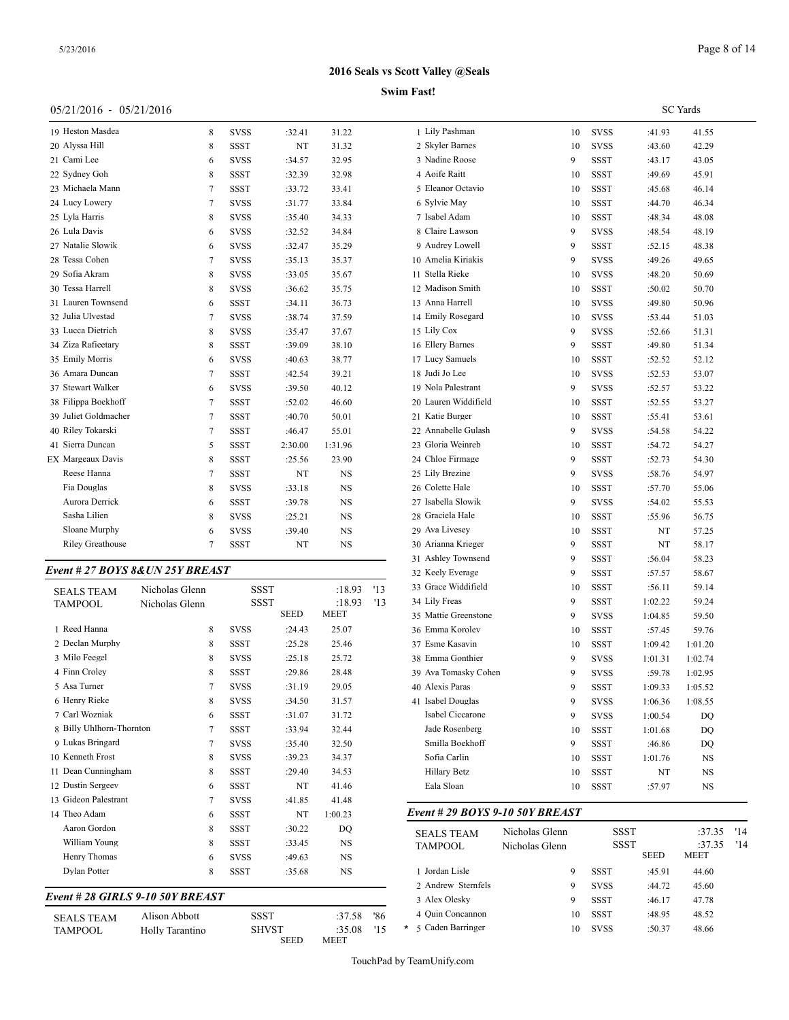#### **Swim Fast!**

| 05/21/2016 - 05/21/2016          |                |             |             |             |     |                      |    |             |         | <b>SC</b> Yards |  |
|----------------------------------|----------------|-------------|-------------|-------------|-----|----------------------|----|-------------|---------|-----------------|--|
| 19 Heston Masdea                 | 8              | <b>SVSS</b> | :32.41      | 31.22       |     | 1 Lily Pashman       | 10 | <b>SVSS</b> | :41.93  | 41.55           |  |
| 20 Alyssa Hill                   | 8              | <b>SSST</b> | NT          | 31.32       |     | 2 Skyler Barnes      | 10 | <b>SVSS</b> | :43.60  | 42.29           |  |
| 21 Cami Lee                      | 6              | <b>SVSS</b> | :34.57      | 32.95       |     | 3 Nadine Roose       | 9  | <b>SSST</b> | :43.17  | 43.05           |  |
| 22 Sydney Goh                    | 8              | <b>SSST</b> | :32.39      | 32.98       |     | 4 Aoife Raitt        | 10 | <b>SSST</b> | :49.69  | 45.91           |  |
| 23 Michaela Mann                 | $\overline{7}$ | <b>SSST</b> | :33.72      | 33.41       |     | 5 Eleanor Octavio    | 10 | <b>SSST</b> | :45.68  | 46.14           |  |
| 24 Lucy Lowery                   | $\overline{7}$ | <b>SVSS</b> | :31.77      | 33.84       |     | 6 Sylvie May         | 10 | <b>SSST</b> | :44.70  | 46.34           |  |
| 25 Lyla Harris                   | 8              | <b>SVSS</b> | :35.40      | 34.33       |     | 7 Isabel Adam        | 10 | <b>SSST</b> | :48.34  | 48.08           |  |
| 26 Lula Davis                    | 6              | <b>SVSS</b> | :32.52      | 34.84       |     | 8 Claire Lawson      | 9  | <b>SVSS</b> | :48.54  | 48.19           |  |
| 27 Natalie Slowik                | 6              | <b>SVSS</b> | :32.47      | 35.29       |     | 9 Audrey Lowell      | 9  | <b>SSST</b> | :52.15  | 48.38           |  |
| 28 Tessa Cohen                   | $\overline{7}$ | <b>SVSS</b> | :35.13      | 35.37       |     | 10 Amelia Kiriakis   | 9  | <b>SVSS</b> | :49.26  | 49.65           |  |
| 29 Sofia Akram                   | 8              | <b>SVSS</b> | :33.05      | 35.67       |     | 11 Stella Rieke      | 10 | <b>SVSS</b> | :48.20  | 50.69           |  |
| 30 Tessa Harrell                 | 8              | <b>SVSS</b> | :36.62      | 35.75       |     | 12 Madison Smith     | 10 | <b>SSST</b> | :50.02  | 50.70           |  |
| 31 Lauren Townsend               | 6              | <b>SSST</b> | :34.11      | 36.73       |     | 13 Anna Harrell      | 10 | <b>SVSS</b> | :49.80  | 50.96           |  |
| 32 Julia Ulvestad                | $\overline{7}$ | <b>SVSS</b> | :38.74      | 37.59       |     | 14 Emily Rosegard    | 10 | <b>SVSS</b> | :53.44  | 51.03           |  |
| 33 Lucca Dietrich                | 8              | <b>SVSS</b> | :35.47      | 37.67       |     | 15 Lily Cox          | 9  | <b>SVSS</b> | :52.66  | 51.31           |  |
| 34 Ziza Rafieetary               | 8              | <b>SSST</b> | :39.09      | 38.10       |     | 16 Ellery Barnes     | 9  | <b>SSST</b> | :49.80  | 51.34           |  |
| 35 Emily Morris                  | 6              | <b>SVSS</b> | :40.63      | 38.77       |     | 17 Lucy Samuels      | 10 | <b>SSST</b> | :52.52  | 52.12           |  |
| 36 Amara Duncan                  | $\overline{7}$ | SSST        | :42.54      | 39.21       |     | 18 Judi Jo Lee       | 10 | <b>SVSS</b> | :52.53  | 53.07           |  |
| 37 Stewart Walker                | 6              | <b>SVSS</b> | :39.50      | 40.12       |     | 19 Nola Palestrant   | 9  | <b>SVSS</b> | :52.57  | 53.22           |  |
| 38 Filippa Boekhoff              | $\tau$         | <b>SSST</b> | :52.02      | 46.60       |     | 20 Lauren Widdifield | 10 | <b>SSST</b> | :52.55  | 53.27           |  |
| 39 Juliet Goldmacher             | $\overline{7}$ | <b>SSST</b> | :40.70      | 50.01       |     | 21 Katie Burger      | 10 | <b>SSST</b> | :55.41  | 53.61           |  |
| 40 Riley Tokarski                | $\overline{7}$ | <b>SSST</b> | :46.47      | 55.01       |     | 22 Annabelle Gulash  | 9  | <b>SVSS</b> | :54.58  | 54.22           |  |
| 41 Sierra Duncan                 | 5              | SSST        | 2:30.00     | 1:31.96     |     | 23 Gloria Weinreb    | 10 | <b>SSST</b> | :54.72  | 54.27           |  |
| <b>FX</b> Margeaux Davis         | 8              | <b>SSST</b> | :25.56      | 23.90       |     | 24 Chloe Firmage     | 9  | <b>SSST</b> | :52.73  | 54.30           |  |
| Reese Hanna                      | $\overline{7}$ | <b>SSST</b> | NT          | <b>NS</b>   |     | 25 Lily Brezine      | 9  | <b>SVSS</b> | :58.76  | 54.97           |  |
| Fia Douglas                      | 8              | <b>SVSS</b> | :33.18      | <b>NS</b>   |     | 26 Colette Hale      | 10 | <b>SSST</b> | :57.70  | 55.06           |  |
| Aurora Derrick                   | 6              | SSST        | :39.78      | <b>NS</b>   |     | 27 Isabella Slowik   | 9  | <b>SVSS</b> | :54.02  | 55.53           |  |
| Sasha Lilien                     | 8              | <b>SVSS</b> | :25.21      | <b>NS</b>   |     | 28 Graciela Hale     | 10 | <b>SSST</b> | :55.96  | 56.75           |  |
| Sloane Murphy                    | 6              | <b>SVSS</b> | :39.40      | <b>NS</b>   |     | 29 Ava Livesey       | 10 | <b>SSST</b> | NT      | 57.25           |  |
| <b>Riley Greathouse</b>          | $\overline{7}$ | <b>SSST</b> | NT          | <b>NS</b>   |     | 30 Arianna Krieger   | 9  | <b>SSST</b> | NT      | 58.17           |  |
|                                  |                |             |             |             |     | 31 Ashley Townsend   | 9  | <b>SSST</b> | :56.04  | 58.23           |  |
| Event # 27 BOYS 8& UN 25Y BREAST |                |             |             |             |     | 32 Keely Everage     | 9  | <b>SSST</b> | :57.57  | 58.67           |  |
| <b>SEALS TEAM</b>                | Nicholas Glenn |             | <b>SSST</b> | :18.93      | '13 | 33 Grace Widdifield  | 10 | <b>SSST</b> | :56.11  | 59.14           |  |
| <b>TAMPOOL</b>                   | Nicholas Glenn |             | <b>SSST</b> | :18.93      | '13 | 34 Lily Freas        | 9  | <b>SSST</b> | 1:02.22 | 59.24           |  |
|                                  |                |             | <b>SEED</b> | <b>MEET</b> |     | 35 Mattie Greenstone | 9  | <b>SVSS</b> | 1:04.85 | 59.50           |  |
| 1 Reed Hanna                     | 8              | <b>SVSS</b> | :24.43      | 25.07       |     | 36 Emma Korolev      | 10 | <b>SSST</b> | :57.45  | 59.76           |  |
| 2 Declan Murphy                  | 8              | <b>SSST</b> | :25.28      | 25.46       |     | 37 Esme Kasavin      | 10 | <b>SSST</b> | 1:09.42 | 1:01.20         |  |
| 3 Milo Feegel                    | 8              | <b>SVSS</b> | :25.18      | 25.72       |     | 38 Emma Gonthier     | 9  | <b>SVSS</b> | 1:01.31 | 1:02.74         |  |
| 4 Finn Croley                    | 8              | <b>SSST</b> | :29.86      | 28.48       |     | 39 Ava Tomasky Cohen | 9  | <b>SVSS</b> | :59.78  | 1:02.95         |  |
| 5 Asa Turner                     | $\overline{7}$ | <b>SVSS</b> | :31.19      | 29.05       |     | 40 Alexis Paras      | 9  | <b>SSST</b> | 1:09.33 | 1:05.52         |  |

## *Event # 28 GIRLS 9-10 50Y BREAST*

| <b>SEALS TEAM</b> | Alison Abbott   | SSST         | $:37.58$ '86 |  | 4 Ouin Concannoi    |
|-------------------|-----------------|--------------|--------------|--|---------------------|
| TAMPOOL           | Holly Tarantino | <b>SHVST</b> | $:35.08$ '15 |  | * 5 Caden Barringer |
|                   |                 | <b>SEED</b>  | MEET         |  |                     |

12 Dustin Sergeev 6 SSST NT 41.46 Eala Sloan

 Henry Rieke 8 SVSS :34.50 31.57 Carl Wozniak 6 SSST :31.07 31.72 8 Billy Uhlhorn-Thornton 7 SSST :33.94 32.44 Lukas Bringard 7 SVSS :35.40 32.50 10 Kenneth Frost 8 SVSS :39.23 34.37 Dean Cunningham 8 SSST :29.40 34.53

13 Gideon Palestrant 7 SVSS :41.85 41.48 Theo Adam 6 SSST NT 1:00.23 Aaron Gordon 8 SSST :30.22 DQ William Young 8 SSST :33.45 NS Henry Thomas 6 SVSS :49.63 NS Dylan Potter 8 SSST :35.68 NS

| <b>SEALS TEAM</b><br><b>TAMPOOL</b> | Nicholas Glenn<br>Nicholas Glenn | <b>SSST</b><br><b>SSST</b> | <b>SEED</b> | :37.35<br>:37.35<br><b>MEET</b> | '14<br>'14 |
|-------------------------------------|----------------------------------|----------------------------|-------------|---------------------------------|------------|
| 1 Jordan Lisle                      | 9                                | SSST                       | :45.91      | 44.60                           |            |
| 2 Andrew Sternfels                  | 9                                | <b>SVSS</b>                | :44.72      | 45.60                           |            |
| 3 Alex Olesky                       | 9                                | <b>SSST</b>                | :46.17      | 47.78                           |            |
| 4 Quin Concannon                    | 10                               | <b>SSST</b>                | :48.95      | 48.52                           |            |
| * 5 Caden Barringer                 | 10                               | <b>SVSS</b>                | :50.37      | 48.66                           |            |
|                                     |                                  |                            |             |                                 |            |

Eala Sloan 10 SSST :57.97 NS

 Isabel Douglas 9 SVSS 1:06.36 1:08.55 Isabel Ciccarone 9 SVSS 1:00.54 DQ Jade Rosenberg 10 SSST 1:01.68 DQ Smilla Boekhoff 9 SSST :46.86 DQ Sofia Carlin 10 SSST 1:01.76 NS Hillary Betz 10 SSST NT NS

*Event # 29 BOYS 9-10 50Y BREAST*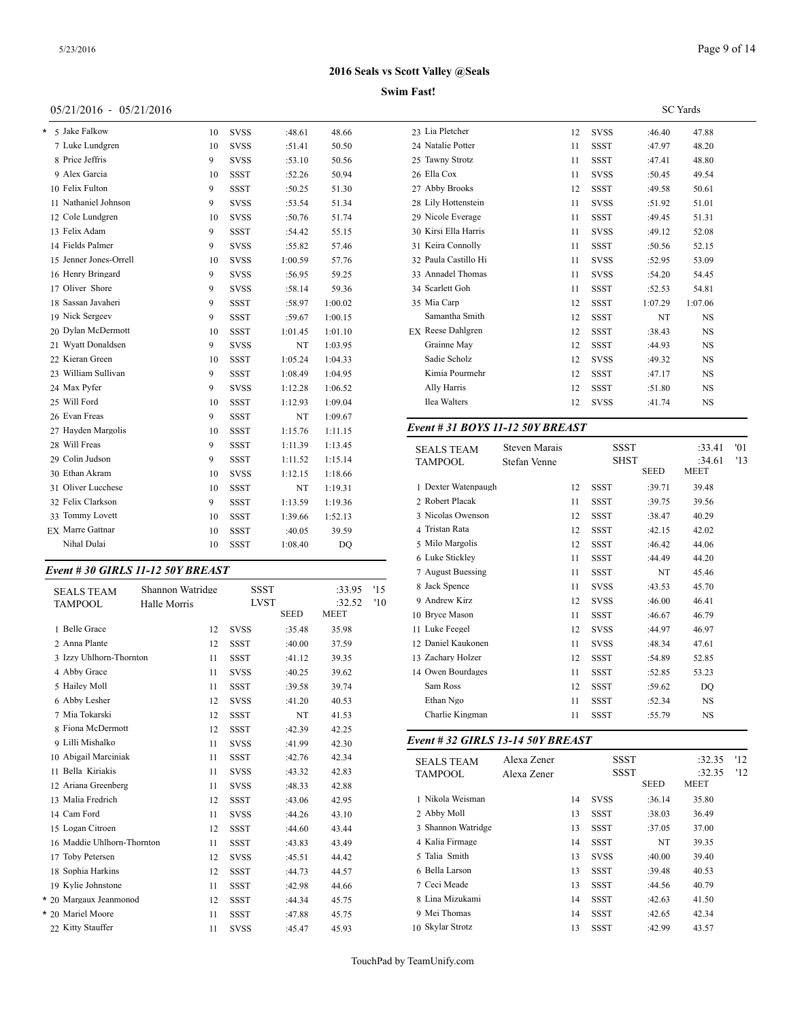## Page 9 of 14

## **2016 Seals vs Scott Valley @Seals**

## **Swim Fast!**

## 05/21/2016 - 05/21/2016

| * | 5 Jake Falkow          | 10 | <b>SVSS</b> | :48.61  | 48.66   | 23 Lia Pletcher         |
|---|------------------------|----|-------------|---------|---------|-------------------------|
|   | 7 Luke Lundgren        | 10 | <b>SVSS</b> | :51.41  | 50.50   | 24 Natalie Potter       |
|   | 8 Price Jeffris        | 9  | <b>SVSS</b> | :53.10  | 50.56   | 25 Tawny Strotz         |
|   | 9 Alex Garcia          | 10 | <b>SSST</b> | :52.26  | 50.94   | 26 Ella Cox             |
|   | 10 Felix Fulton        | 9  | <b>SSST</b> | :50.25  | 51.30   | 27 Abby Brooks          |
|   | 11 Nathaniel Johnson   | 9  | <b>SVSS</b> | :53.54  | 51.34   | 28 Lily Hottenste       |
|   | 12 Cole Lundgren       | 10 | <b>SVSS</b> | :50.76  | 51.74   | 29 Nicole Everag        |
|   | 13 Felix Adam          | 9  | <b>SSST</b> | :54.42  | 55.15   | 30 Kirsi Ella Har       |
|   | 14 Fields Palmer       | 9  | <b>SVSS</b> | :55.82  | 57.46   | 31 Keira Connoll        |
|   | 15 Jenner Jones-Orrell | 10 | <b>SVSS</b> | 1:00.59 | 57.76   | 32 Paula Castillo       |
|   | 16 Henry Bringard      | 9  | <b>SVSS</b> | :56.95  | 59.25   | 33 Annadel Thon         |
|   | 17 Oliver Shore        | 9  | <b>SVSS</b> | :58.14  | 59.36   | 34 Scarlett Goh         |
|   | 18 Sassan Javaheri     | 9  | <b>SSST</b> | :58.97  | 1:00.02 | 35 Mia Carp             |
|   | 19 Nick Sergeev        | 9  | <b>SSST</b> | :59.67  | 1:00.15 | Samantha Smi            |
|   | 20 Dylan McDermott     | 10 | <b>SSST</b> | 1:01.45 | 1:01.10 | <b>EX</b> Reese Dahlgre |
|   | 21 Wyatt Donaldsen     | 9  | <b>SVSS</b> | NT      | 1:03.95 | Grainne May             |
|   | 22 Kieran Green        | 10 | <b>SSST</b> | 1:05.24 | 1:04.33 | Sadie Scholz            |
|   | 23 William Sullivan    | 9  | <b>SSST</b> | 1:08.49 | 1:04.95 | Kimia Pourme            |
|   | 24 Max Pyfer           | 9  | <b>SVSS</b> | 1:12.28 | 1:06.52 | Ally Harris             |
|   | 25 Will Ford           | 10 | <b>SSST</b> | 1:12.93 | 1:09.04 | Ilea Walters            |
|   | 26 Evan Freas          | 9  | <b>SSST</b> | NT      | 1:09.67 |                         |
|   | 27 Hayden Margolis     | 10 | <b>SSST</b> | 1:15.76 | 1:11.15 | Event # 31 $BO$         |
|   | 28 Will Freas          | 9  | <b>SSST</b> | 1:11.39 | 1:13.45 | <b>SEALS TEAM</b>       |
|   | 29 Colin Judson        | 9  | <b>SSST</b> | 1:11.52 | 1:15.14 | <b>TAMPOOL</b>          |
|   | 30 Ethan Akram         | 10 | <b>SVSS</b> | 1:12.15 | 1:18.66 |                         |
|   | 31 Oliver Lucchese     | 10 | <b>SSST</b> | NT      | 1:19.31 | 1 Dexter Waten          |
|   | 32 Felix Clarkson      | 9  | <b>SSST</b> | 1:13.59 | 1:19.36 | 2 Robert Placak         |
|   | 33 Tommy Lovett        | 10 | <b>SSST</b> | 1:39.66 | 1:52.13 | 3 Nicolas Owen          |
|   | EX Marre Gattnar       | 10 | <b>SSST</b> | :40.05  | 39.59   | 4 Tristan Rata          |
|   | Nihal Dulai            | 10 | <b>SSST</b> | 1:08.40 | DQ      | 5 Milo Margolis         |
|   |                        |    |             |         |         | $-1$ 0.11               |

## *Event # 30 GIRLS 11-12 50Y BREAST*

| <b>SEALS TEAM</b>          | Shannon Watridge |             | <b>SSST</b> | :33.95      | '15 | 8 Jack Spence     |
|----------------------------|------------------|-------------|-------------|-------------|-----|-------------------|
| <b>TAMPOOL</b>             | Halle Morris     |             | <b>LVST</b> | :32.52      | '10 | 9 Andrew Kirz     |
|                            |                  |             | <b>SEED</b> | <b>MEET</b> |     | 10 Bryce Mason    |
| 1 Belle Grace              | 12               | <b>SVSS</b> | :35.48      | 35.98       |     | 11 Luke Feegel    |
| 2 Anna Plante              | 12               | <b>SSST</b> | :40.00      | 37.59       |     | 12 Daniel Kaukone |
| 3 Izzy Uhlhorn-Thornton    | 11               | <b>SSST</b> | :41.12      | 39.35       |     | 13 Zachary Holzer |
| 4 Abby Grace               | 11               | <b>SVSS</b> | :40.25      | 39.62       |     | 14 Owen Bourdage  |
| 5 Hailey Moll              | 11               | <b>SSST</b> | :39.58      | 39.74       |     | Sam Ross          |
| 6 Abby Lesher              | 12               | <b>SVSS</b> | :41.20      | 40.53       |     | Ethan Ngo         |
| 7 Mia Tokarski             | 12               | <b>SSST</b> | NT          | 41.53       |     | Charlie Kingma    |
| 8 Fiona McDermott          | 12               | <b>SSST</b> | :42.39      | 42.25       |     |                   |
| 9 Lilli Mishalko           | 11               | <b>SVSS</b> | :41.99      | 42.30       |     | Event # 32 GIRI   |
| 10 Abigail Marciniak       | 11               | <b>SSST</b> | :42.76      | 42.34       |     | <b>SEALS TEAM</b> |
| 11 Bella Kiriakis          | 11               | <b>SVSS</b> | :43.32      | 42.83       |     | <b>TAMPOOL</b>    |
| 12 Ariana Greenberg        | 11               | <b>SVSS</b> | :48.33      | 42.88       |     |                   |
| 13 Malia Fredrich          | 12               | <b>SSST</b> | :43.06      | 42.95       |     | 1 Nikola Weismar  |
| 14 Cam Ford                | 11               | <b>SVSS</b> | :44.26      | 43.10       |     | 2 Abby Moll       |
| 15 Logan Citroen           | 12               | <b>SSST</b> | :44.60      | 43.44       |     | 3 Shannon Watrid  |
| 16 Maddie Uhlhorn-Thornton | 11               | <b>SSST</b> | :43.83      | 43.49       |     | 4 Kalia Firmage   |
| <b>Toby Petersen</b><br>17 | 12               | <b>SVSS</b> | :45.51      | 44.42       |     | 5 Talia Smith     |
| 18 Sophia Harkins          | 12               | <b>SSST</b> | :44.73      | 44.57       |     | 6 Bella Larson    |
| 19 Kylie Johnstone         | 11               | <b>SSST</b> | :42.98      | 44.66       |     | 7 Ceci Meade      |
| * 20 Margaux Jeanmonod     | 12               | <b>SSST</b> | :44.34      | 45.75       |     | 8 Lina Mizukami   |
| * 20 Mariel Moore          | 11               | <b>SSST</b> | :47.88      | 45.75       |     | 9 Mei Thomas      |
| 22 Kitty Stauffer          | 11               | <b>SVSS</b> | :45.47      | 45.93       |     | 10 Skylar Strotz  |

|                          |    |             | <b>SC</b> Yards |           |  |  |  |
|--------------------------|----|-------------|-----------------|-----------|--|--|--|
| 23 Lia Pletcher          | 12 | <b>SVSS</b> | :46.40          | 47.88     |  |  |  |
| 24 Natalie Potter        | 11 | <b>SSST</b> | :47.97          | 48.20     |  |  |  |
| 25 Tawny Strotz          | 11 | <b>SSST</b> | :47.41          | 48.80     |  |  |  |
| 26 Ella Cox              | 11 | <b>SVSS</b> | :50.45          | 49.54     |  |  |  |
| 27 Abby Brooks           | 12 | <b>SSST</b> | :49.58          | 50.61     |  |  |  |
| 28 Lily Hottenstein      | 11 | <b>SVSS</b> | :51.92          | 51.01     |  |  |  |
| 29 Nicole Everage        | 11 | <b>SSST</b> | :49.45          | 51.31     |  |  |  |
| 30 Kirsi Ella Harris     | 11 | <b>SVSS</b> | :49.12          | 52.08     |  |  |  |
| 31 Keira Connolly        | 11 | <b>SSST</b> | :50.56          | 52.15     |  |  |  |
| 32 Paula Castillo Hi     | 11 | <b>SVSS</b> | :52.95          | 53.09     |  |  |  |
| 33 Annadel Thomas        | 11 | <b>SVSS</b> | :54.20          | 54.45     |  |  |  |
| 34 Scarlett Goh          | 11 | <b>SSST</b> | :52.53          | 54.81     |  |  |  |
| 35 Mia Carp              | 12 | <b>SSST</b> | 1:07.29         | 1:07.06   |  |  |  |
| Samantha Smith           | 12 | <b>SSST</b> | NT              | <b>NS</b> |  |  |  |
| <b>EX</b> Reese Dahlgren | 12 | <b>SSST</b> | :38.43          | <b>NS</b> |  |  |  |
| Grainne May              | 12 | <b>SSST</b> | :44.93          | <b>NS</b> |  |  |  |
| Sadie Scholz             | 12 | <b>SVSS</b> | :49.32          | <b>NS</b> |  |  |  |
| Kimia Pourmehr           | 12 | <b>SSST</b> | :47.17          | <b>NS</b> |  |  |  |
| Ally Harris              | 12 | <b>SSST</b> | :51.80          | <b>NS</b> |  |  |  |
| Ilea Walters             | 12 | <b>SVSS</b> | :41.74          | <b>NS</b> |  |  |  |
|                          |    |             |                 |           |  |  |  |

## *Event # 31 BOYS 11-12 50Y BREAST*

| <b>SEALS TEAM</b>   | <b>Steven Marais</b> |    | SSST        |             | :33.41<br>:34.61 | '01 |  |
|---------------------|----------------------|----|-------------|-------------|------------------|-----|--|
| <b>TAMPOOL</b>      | Stefan Venne         |    |             | <b>SHST</b> |                  | '13 |  |
|                     |                      |    |             | <b>SEED</b> | <b>MEET</b>      |     |  |
| 1 Dexter Watenpaugh |                      | 12 | <b>SSST</b> | :39.71      | 39.48            |     |  |
| 2 Robert Placak     |                      | 11 | <b>SSST</b> | :39.75      | 39.56            |     |  |
| 3 Nicolas Owenson   |                      | 12 | <b>SSST</b> | :38.47      | 40.29            |     |  |
| 4 Tristan Rata      |                      | 12 | <b>SSST</b> | :42.15      | 42.02            |     |  |
| 5 Milo Margolis     |                      | 12 | <b>SSST</b> | :46.42      | 44.06            |     |  |
| 6 Luke Stickley     |                      | 11 | <b>SSST</b> | :44.49      | 44.20            |     |  |
| 7 August Buessing   |                      | 11 | <b>SSST</b> | NT          | 45.46            |     |  |
| 8 Jack Spence       |                      | 11 | <b>SVSS</b> | :43.53      | 45.70            |     |  |
| 9 Andrew Kirz       |                      | 12 | <b>SVSS</b> | :46.00      | 46.41            |     |  |
| 10 Bryce Mason      |                      | 11 | <b>SSST</b> | :46.67      | 46.79            |     |  |
| 11 Luke Feegel      |                      | 12 | <b>SVSS</b> | :44.97      | 46.97            |     |  |
| 12 Daniel Kaukonen  |                      | 11 | <b>SVSS</b> | :48.34      | 47.61            |     |  |
| 13 Zachary Holzer   |                      | 12 | <b>SSST</b> | :54.89      | 52.85            |     |  |
| 14 Owen Bourdages   |                      | 11 | <b>SSST</b> | :52.85      | 53.23            |     |  |
| Sam Ross            |                      | 12 | <b>SSST</b> | :59.62      | DQ               |     |  |
| Ethan Ngo           |                      | 11 | <b>SSST</b> | :52.34      | <b>NS</b>        |     |  |
| Charlie Kingman     |                      | 11 | <b>SSST</b> | :55.79      | <b>NS</b>        |     |  |
|                     |                      |    |             |             |                  |     |  |

## *Event # 32 GIRLS 13-14 50Y BREAST*

| <b>SEALS TEAM</b><br><b>TAMPOOL</b> | Alexa Zener<br>Alexa Zener |    | <b>SSST</b><br><b>SSST</b> |             | :32.35<br>:32.35 | '12<br>'12 |
|-------------------------------------|----------------------------|----|----------------------------|-------------|------------------|------------|
|                                     |                            |    |                            | <b>SEED</b> | <b>MEET</b>      |            |
| 1 Nikola Weisman                    |                            | 14 | <b>SVSS</b>                | :36.14      | 35.80            |            |
| 2 Abby Moll                         |                            | 13 | <b>SSST</b>                | :38.03      | 36.49            |            |
| 3 Shannon Watridge                  |                            | 13 | <b>SSST</b>                | :37.05      | 37.00            |            |
| 4 Kalia Firmage                     |                            | 14 | <b>SSST</b>                | NT          | 39.35            |            |
| 5 Talia Smith                       |                            | 13 | <b>SVSS</b>                | :40.00      | 39.40            |            |
| 6 Bella Larson                      |                            | 13 | <b>SSST</b>                | :39.48      | 40.53            |            |
| 7 Ceci Meade                        |                            | 13 | <b>SSST</b>                | :44.56      | 40.79            |            |
| 8 Lina Mizukami                     |                            | 14 | <b>SSST</b>                | :42.63      | 41.50            |            |
| 9 Mei Thomas                        |                            | 14 | <b>SSST</b>                | :42.65      | 42.34            |            |
| 10 Skylar Strotz                    |                            | 13 | <b>SSST</b>                | :42.99      | 43.57            |            |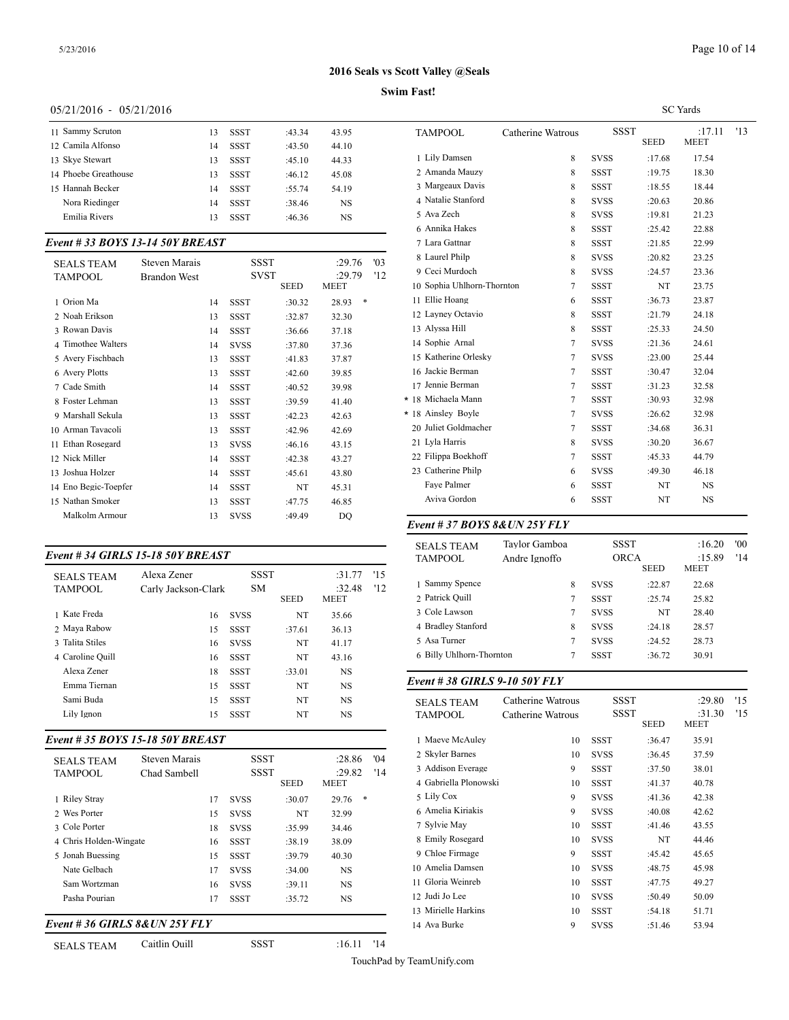## **Swim Fast!**

## 05/21/2016 - 05/21/2016

| 11 Sammy Scruton     | 13 | SSST        | :43.34 | 43.95 | <b>TAMPC</b> |
|----------------------|----|-------------|--------|-------|--------------|
| 12 Camila Alfonso    | 14 | <b>SSST</b> | :43.50 | 44.10 |              |
| 13 Skye Stewart      | 13 | <b>SSST</b> | :45.10 | 44.33 | 1 Lily D     |
| 14 Phoebe Greathouse | 13 | <b>SSST</b> | :46.12 | 45.08 | 2 Aman       |
| 15 Hannah Becker     | 14 | <b>SSST</b> | :55.74 | 54.19 | 3 Marge      |
| Nora Riedinger       | 14 | <b>SSST</b> | :38.46 | NS    | 4 Natali     |
| Emilia Rivers        | 13 | <b>SSST</b> | :46.36 | NS    | 5 Ava Z      |
|                      |    |             |        |       |              |

## *Event # 33 BOYS 13-14 50Y BREAST*

| <b>SEALS TEAM</b>    | <b>Steven Marais</b> |    | SSST        |             | :29.76     | '03 | 8 Laurel Philp       |
|----------------------|----------------------|----|-------------|-------------|------------|-----|----------------------|
| TAMPOOL              | <b>Brandon West</b>  |    | <b>SVST</b> |             | :29.79     | '12 | 9 Ceci Murdoch       |
|                      |                      |    |             | <b>SEED</b> | MEET       |     | 10 Sophia Uhlhorn-   |
| 1 Orion Ma           |                      | 14 | <b>SSST</b> | :30.32      | *<br>28.93 |     | 11 Ellie Hoang       |
| 2 Noah Erikson       |                      | 13 | <b>SSST</b> | :32.87      | 32.30      |     | 12 Layney Octavio    |
| 3 Rowan Davis        |                      | 14 | <b>SSST</b> | :36.66      | 37.18      |     | 13 Alyssa Hill       |
| 4 Timothee Walters   |                      | 14 | <b>SVSS</b> | :37.80      | 37.36      |     | 14 Sophie Arnal      |
| 5 Avery Fischbach    |                      | 13 | <b>SSST</b> | :41.83      | 37.87      |     | 15 Katherine Orlesl  |
| 6 Avery Plotts       |                      | 13 | <b>SSST</b> | :42.60      | 39.85      |     | 16 Jackie Berman     |
| 7 Cade Smith         |                      | 14 | SSST        | :40.52      | 39.98      |     | 17 Jennie Berman     |
| 8 Foster Lehman      |                      | 13 | <b>SSST</b> | :39.59      | 41.40      |     | * 18 Michaela Mann   |
| 9 Marshall Sekula    |                      | 13 | <b>SSST</b> | :42.23      | 42.63      |     | * 18 Ainsley Boyle   |
| 10 Arman Tavacoli    |                      | 13 | <b>SSST</b> | :42.96      | 42.69      |     | 20 Juliet Goldmach   |
| 11 Ethan Rosegard    |                      | 13 | <b>SVSS</b> | :46.16      | 43.15      |     | 21 Lyla Harris       |
| 12 Nick Miller       |                      | 14 | <b>SSST</b> | :42.38      | 43.27      |     | 22 Filippa Boekhof   |
| 13 Joshua Holzer     |                      | 14 | <b>SSST</b> | :45.61      | 43.80      |     | 23 Catherine Philp   |
| 14 Eno Begic-Toepfer |                      | 14 | <b>SSST</b> | NT          | 45.31      |     | Faye Palmer          |
| 15 Nathan Smoker     |                      | 13 | <b>SSST</b> | :47.75      | 46.85      |     | Aviva Gordon         |
| Malkolm Armour       |                      | 13 | <b>SVSS</b> | :49.49      | DO.        |     |                      |
|                      |                      |    |             |             |            |     | $F_{v}$ ant # 27 ROV |

## *Event # 34 GIRLS 15-18 50Y BREAST*

| <b>SEALS TEAM</b><br><b>TAMPOOL</b> | Alexa Zener<br>Carly Jackson-Clark | <b>SSST</b><br><b>SM</b> |             | :31.77<br>:32.48 | '15<br>'12 | 1 Sammy Spence     |
|-------------------------------------|------------------------------------|--------------------------|-------------|------------------|------------|--------------------|
|                                     |                                    |                          | <b>SEED</b> | MEET             |            | 2 Patrick Ouill    |
| 1 Kate Freda                        | 16                                 | <b>SVSS</b>              | NT          | 35.66            |            | 3 Cole Lawson      |
| 2 Mava Rabow                        | 15                                 | <b>SSST</b>              | :37.61      | 36.13            |            | 4 Bradley Stanfore |
| 3 Talita Stiles                     | 16                                 | <b>SVSS</b>              | NT          | 41.17            |            | 5 Asa Turner       |
| 4 Caroline Ouill                    | 16                                 | <b>SSST</b>              | NT          | 43.16            |            | 6 Billy Uhlhorn-T  |
| Alexa Zener                         | 18                                 | <b>SSST</b>              | :33.01      | <b>NS</b>        |            |                    |
| Emma Tiernan                        | 15                                 | <b>SSST</b>              | NT          | <b>NS</b>        |            | Event #38 GIRI     |
| Sami Buda                           | 15                                 | <b>SSST</b>              | NT          | NS.              |            | <b>SEALS TEAM</b>  |
| Lily Ignon                          | 15                                 | <b>SSST</b>              | NT          | NS               |            | <b>TAMPOOL</b>     |
|                                     |                                    |                          |             |                  |            |                    |

## *Event # 35 BOYS 15-18 50Y BREAST*

| <b>SEALS TEAM</b><br><b>TAMPOOL</b> | Steven Marais<br>Chad Sambell |    | <b>SSST</b><br><b>SSST</b> | <b>SEED</b> | :28.86<br>:29.82<br>MEET | '04<br>'14 | 2 Skyler Barnes<br>3 Addison Everag<br>4 Gabriella Plonov |
|-------------------------------------|-------------------------------|----|----------------------------|-------------|--------------------------|------------|-----------------------------------------------------------|
| 1 Riley Stray                       |                               | 17 | <b>SVSS</b>                | :30.07      | $*$<br>29.76             |            | 5 Lily Cox                                                |
| 2 Wes Porter                        |                               | 15 | <b>SVSS</b>                | NT          | 32.99                    |            | 6 Amelia Kiriakis                                         |
| 3 Cole Porter                       |                               | 18 | <b>SVSS</b>                | :35.99      | 34.46                    |            | 7 Sylvie May                                              |
| 4 Chris Holden-Wingate              |                               | 16 | <b>SSST</b>                | :38.19      | 38.09                    |            | 8 Emily Rosegard                                          |
| 5 Jonah Buessing                    |                               | 15 | <b>SSST</b>                | :39.79      | 40.30                    |            | 9 Chloe Firmage                                           |
| Nate Gelbach                        |                               | 17 | <b>SVSS</b>                | :34.00      | <b>NS</b>                |            | 10 Amelia Damsen                                          |
| Sam Wortzman                        |                               | 16 | <b>SVSS</b>                | :39.11      | <b>NS</b>                |            | 11 Gloria Weinreb                                         |
| Pasha Pourian                       |                               | 17 | <b>SSST</b>                | :35.72      | NS                       |            | 12 Judi Jo Lee                                            |
|                                     |                               |    |                            |             |                          |            | 13 Mirielle Harkins                                       |
| Event # 36 GIRLS 8& UN 25Y FLY      |                               |    |                            |             |                          |            | 14 Ava Burke                                              |

SEALS TEAM Caitlin Quill SSST :16.11 '14

|                            |                   |             |             | <b>SC</b> Yards       |     |
|----------------------------|-------------------|-------------|-------------|-----------------------|-----|
| <b>TAMPOOL</b>             | Catherine Watrous | <b>SSST</b> | <b>SEED</b> | :17.11<br><b>MEET</b> | '13 |
| 1 Lily Damsen              | 8                 | <b>SVSS</b> | :17.68      | 17.54                 |     |
| 2 Amanda Mauzy             | 8                 | <b>SSST</b> | :19.75      | 18.30                 |     |
| 3 Margeaux Davis           | 8                 | <b>SSST</b> | :18.55      | 18.44                 |     |
| 4 Natalie Stanford         | 8                 | <b>SVSS</b> | :20.63      | 20.86                 |     |
| 5 Ava Zech                 | 8                 | <b>SVSS</b> | :19.81      | 21.23                 |     |
| 6 Annika Hakes             | 8                 | <b>SSST</b> | :25.42      | 22.88                 |     |
| 7 Lara Gattnar             | 8                 | <b>SSST</b> | :21.85      | 22.99                 |     |
| 8 Laurel Philp             | 8                 | <b>SVSS</b> | :20.82      | 23.25                 |     |
| 9 Ceci Murdoch             | 8                 | <b>SVSS</b> | :24.57      | 23.36                 |     |
| 10 Sophia Uhlhorn-Thornton | 7                 | <b>SSST</b> | NT          | 23.75                 |     |
| 11 Ellie Hoang             | 6                 | <b>SSST</b> | :36.73      | 23.87                 |     |
| 12 Layney Octavio          | 8                 | <b>SSST</b> | :21.79      | 24.18                 |     |
| 13 Alyssa Hill             | 8                 | <b>SSST</b> | :25.33      | 24.50                 |     |
| 14 Sophie Arnal            | $\tau$            | <b>SVSS</b> | :21.36      | 24.61                 |     |
| 15 Katherine Orlesky       | 7                 | <b>SVSS</b> | :23.00      | 25.44                 |     |
| 16 Jackie Berman           | 7                 | <b>SSST</b> | :30.47      | 32.04                 |     |
| 17 Jennie Berman           | $\tau$            | <b>SSST</b> | :31.23      | 32.58                 |     |
| * 18 Michaela Mann         | 7                 | <b>SSST</b> | :30.93      | 32.98                 |     |
| * 18 Ainsley Boyle         | 7                 | <b>SVSS</b> | :26.62      | 32.98                 |     |
| 20 Juliet Goldmacher       | $\tau$            | <b>SSST</b> | :34.68      | 36.31                 |     |
| 21 Lyla Harris             | 8                 | <b>SVSS</b> | :30.20      | 36.67                 |     |
| 22 Filippa Boekhoff        | 7                 | <b>SSST</b> | :45.33      | 44.79                 |     |
| 23 Catherine Philp         | 6                 | <b>SVSS</b> | :49.30      | 46.18                 |     |
| Faye Palmer                | 6                 | <b>SSST</b> | NT          | <b>NS</b>             |     |
| Aviva Gordon               | 6                 | <b>SSST</b> | NT          | <b>NS</b>             |     |

## *Event # 37 BOYS 8&UN 25Y FLY*

| <b>SEALS TEAM</b><br><b>TAMPOOL</b> | Tavlor Gamboa<br>Andre Ignoffo |   |             | <b>SSST</b><br><b>ORCA</b><br><b>SEED</b> | :16.20<br>:15.89<br><b>MEET</b> | '00<br>'14 |
|-------------------------------------|--------------------------------|---|-------------|-------------------------------------------|---------------------------------|------------|
| 1 Sammy Spence                      | 8                              |   | <b>SVSS</b> | :22.87                                    | 22.68                           |            |
| 2 Patrick Quill                     |                                | 7 | SSST        | :25.74                                    | 25.82                           |            |
| 3 Cole Lawson                       |                                | 7 | <b>SVSS</b> | NT                                        | 28.40                           |            |
| 4 Bradley Stanford                  |                                | 8 | <b>SVSS</b> | :24.18                                    | 28.57                           |            |
| 5 Asa Turner                        |                                | 7 | <b>SVSS</b> | :24.52                                    | 28.73                           |            |
| 6 Billy Uhlhorn-Thornton            |                                | 7 | SSST        | :36.72                                    | 30.91                           |            |
|                                     |                                |   |             |                                           |                                 |            |

## *Event # 38 GIRLS 9-10 50Y FLY*

| <b>SEALS TEAM</b><br><b>TAMPOOL</b> | Catherine Watrous<br>Catherine Watrous |             | SSST<br><b>SSST</b><br><b>SEED</b> | :29.80<br>:31.30<br><b>MEET</b> | '15<br>'15 |
|-------------------------------------|----------------------------------------|-------------|------------------------------------|---------------------------------|------------|
| 1 Maeve McAuley                     | 10                                     | <b>SSST</b> | :36.47                             | 35.91                           |            |
| 2 Skyler Barnes                     | 10                                     | <b>SVSS</b> | :36.45                             | 37.59                           |            |
| 3 Addison Everage                   | 9                                      | <b>SSST</b> | :37.50                             | 38.01                           |            |
| 4 Gabriella Plonowski               | 10                                     | <b>SSST</b> | :41.37                             | 40.78                           |            |
| 5 Lily Cox                          | 9                                      | <b>SVSS</b> | :41.36                             | 42.38                           |            |
| 6 Amelia Kiriakis                   | 9                                      | <b>SVSS</b> | :40.08                             | 42.62                           |            |
| 7 Sylvie May                        | 10                                     | <b>SSST</b> | :41.46                             | 43.55                           |            |
| 8 Emily Rosegard                    | 10                                     | <b>SVSS</b> | NT                                 | 44.46                           |            |
| 9 Chloe Firmage                     | 9                                      | SSST        | :45.42                             | 45.65                           |            |
| 10 Amelia Damsen                    | 10                                     | <b>SVSS</b> | :48.75                             | 45.98                           |            |
| 11 Gloria Weinreb                   | 10                                     | SSST        | :47.75                             | 49.27                           |            |
| 12 Judi Jo Lee                      | 10                                     | <b>SVSS</b> | :50.49                             | 50.09                           |            |
| 13 Mirielle Harkins                 | 10                                     | <b>SSST</b> | :54.18                             | 51.71                           |            |
| 14 Ava Burke                        | 9                                      | <b>SVSS</b> | :51.46                             | 53.94                           |            |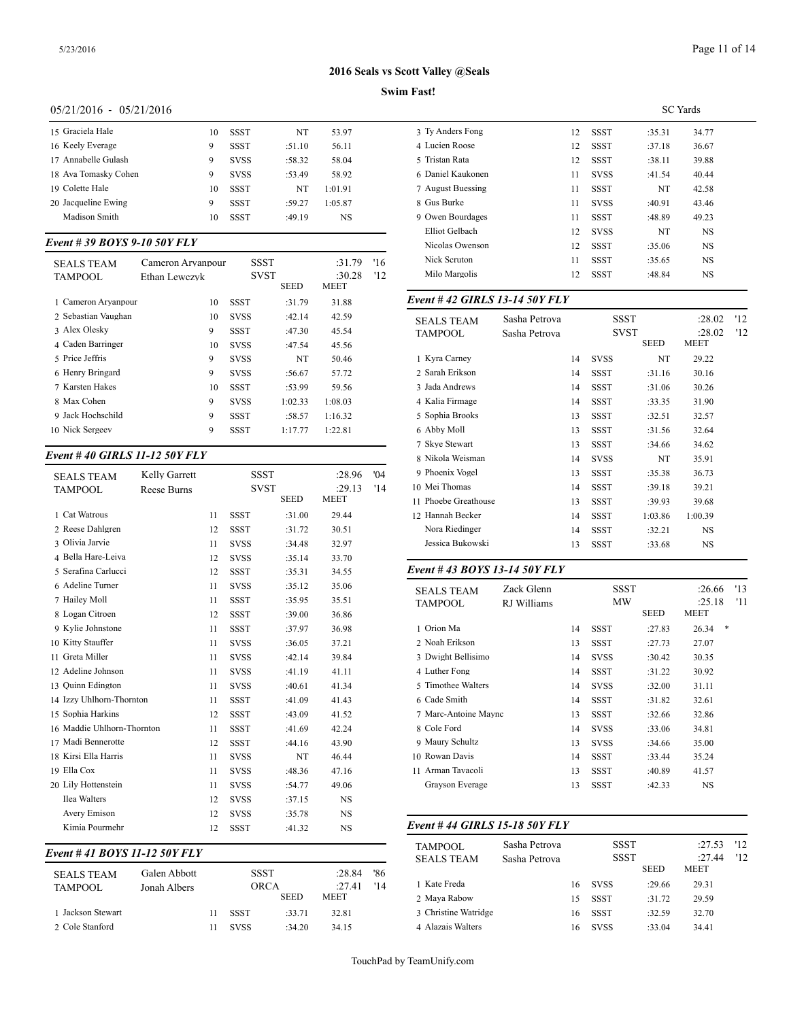## **Swim Fast!**

## 05/21/2016 - 05/21/2016

| 15 Graciela Hale     | 10 | <b>SSST</b> | NT     | 53.97   | 3 Ty An   |
|----------------------|----|-------------|--------|---------|-----------|
| 16 Keely Everage     | 9  | SSST        | :51.10 | 56.11   | 4 Lucier  |
| 17 Annabelle Gulash  | 9  | <b>SVSS</b> | :58.32 | 58.04   | 5 Tristar |
| 18 Ava Tomasky Cohen | 9  | <b>SVSS</b> | :53.49 | 58.92   | 6 Daniel  |
| 19 Colette Hale      | 10 | <b>SSST</b> | NT     | 1:01.91 | 7 Augus   |
| 20 Jacqueline Ewing  | 9  | <b>SSST</b> | :59.27 | 1:05.87 | 8 Gus B   |
| Madison Smith        | 10 | SSST        | :49.19 | NS      | 9 Owen    |
|                      |    |             |        |         |           |

## *Event # 39 BOYS 9-10 50Y FLY*

| <b>SEALS TEAM</b><br>TAMPOOL | Cameron Arvanpour<br>Ethan Lewczyk | <b>SSST</b><br><b>SVST</b> | <b>SEED</b> | :31.79<br>:30.28<br><b>MEET</b> | 16<br>'12 | Nick Scruton<br>Milo Margolis |
|------------------------------|------------------------------------|----------------------------|-------------|---------------------------------|-----------|-------------------------------|
| 1 Cameron Aryanpour          | 10                                 | <b>SSST</b>                | :31.79      | 31.88                           |           | Event #42 GIRI                |
| 2 Sebastian Vaughan          | 10                                 | <b>SVSS</b>                | :42.14      | 42.59                           |           | <b>SEALS TEAM</b>             |
| 3 Alex Olesky                | 9                                  | <b>SSST</b>                | :47.30      | 45.54                           |           | <b>TAMPOOL</b>                |
| 4 Caden Barringer            | 10                                 | <b>SVSS</b>                | :47.54      | 45.56                           |           |                               |
| 5 Price Jeffris              | 9                                  | <b>SVSS</b>                | NT          | 50.46                           |           | 1 Kvra Carnev                 |
| 6 Henry Bringard             | 9                                  | <b>SVSS</b>                | :56.67      | 57.72                           |           | 2. Sarah Erikson              |
| 7 Karsten Hakes              | 10                                 | SSST                       | :53.99      | 59.56                           |           | 3 Jada Andrews                |
| 8 Max Cohen                  | 9                                  | <b>SVSS</b>                | 1:02.33     | 1:08.03                         |           | 4 Kalia Firmage               |
| 9 Jack Hochschild            | 9                                  | <b>SSST</b>                | :58.57      | 1:16.32                         |           | 5 Sophia Brooks               |
| 10 Nick Sergeev              | 9                                  | <b>SSST</b>                | 1:17.77     | 1:22.81                         |           | 6 Abby Moll                   |

## *Event # 40 GIRLS 11-12 50Y FLY*

| <b>SEALS TEAM</b>          | Kelly Garrett      |    | <b>SSST</b> |             | :28.96      | '04 | 9 Phoenix Vogel   |
|----------------------------|--------------------|----|-------------|-------------|-------------|-----|-------------------|
| <b>TAMPOOL</b>             | <b>Reese Burns</b> |    |             | <b>SVST</b> | :29.13      | '14 | 10 Mei Thomas     |
|                            |                    |    |             | <b>SEED</b> | <b>MEET</b> |     | 11 Phoebe Greatho |
| 1 Cat Watrous              |                    | 11 | <b>SSST</b> | :31.00      | 29.44       |     | 12 Hannah Becker  |
| 2 Reese Dahlgren           |                    | 12 | <b>SSST</b> | :31.72      | 30.51       |     | Nora Riedinger    |
| 3 Olivia Jarvie            |                    | 11 | <b>SVSS</b> | :34.48      | 32.97       |     | Jessica Bukowsl   |
| 4 Bella Hare-Leiva         |                    | 12 | <b>SVSS</b> | :35.14      | 33.70       |     |                   |
| 5 Serafina Carlucci        |                    | 12 | <b>SSST</b> | :35.31      | 34.55       |     | Event #43 BOY     |
| 6 Adeline Turner           |                    | 11 | <b>SVSS</b> | :35.12      | 35.06       |     | <b>SEALS TEAM</b> |
| 7 Hailey Moll              |                    | 11 | <b>SSST</b> | :35.95      | 35.51       |     | <b>TAMPOOL</b>    |
| 8 Logan Citroen            |                    | 12 | <b>SSST</b> | :39.00      | 36.86       |     |                   |
| 9 Kylie Johnstone          |                    | 11 | <b>SSST</b> | :37.97      | 36.98       |     | 1 Orion Ma        |
| 10 Kitty Stauffer          |                    | 11 | <b>SVSS</b> | :36.05      | 37.21       |     | 2 Noah Erikson    |
| 11 Greta Miller            |                    | 11 | <b>SVSS</b> | :42.14      | 39.84       |     | 3 Dwight Bellisim |
| 12 Adeline Johnson         |                    | 11 | <b>SVSS</b> | :41.19      | 41.11       |     | 4 Luther Fong     |
| 13 Quinn Edington          |                    | 11 | <b>SVSS</b> | :40.61      | 41.34       |     | 5 Timothee Walter |
| 14 Izzy Uhlhorn-Thornton   |                    | 11 | <b>SSST</b> | :41.09      | 41.43       |     | 6 Cade Smith      |
| 15 Sophia Harkins          |                    | 12 | <b>SSST</b> | :43.09      | 41.52       |     | 7 Marc-Antoine M  |
| 16 Maddie Uhlhorn-Thornton |                    | 11 | <b>SSST</b> | :41.69      | 42.24       |     | 8 Cole Ford       |
| 17 Madi Bennerotte         |                    | 12 | <b>SSST</b> | :44.16      | 43.90       |     | 9 Maury Schultz   |
| 18 Kirsi Ella Harris       |                    | 11 | <b>SVSS</b> | NT          | 46.44       |     | 10 Rowan Davis    |
| 19 Ella Cox                |                    | 11 | <b>SVSS</b> | :48.36      | 47.16       |     | 11 Arman Tavacoli |
| 20 Lily Hottenstein        |                    | 11 | <b>SVSS</b> | :54.77      | 49.06       |     | Grayson Everag    |
| Ilea Walters               |                    | 12 | <b>SVSS</b> | :37.15      | <b>NS</b>   |     |                   |
| Avery Emison               |                    | 12 | <b>SVSS</b> | :35.78      | <b>NS</b>   |     |                   |
| Kimia Pourmehr             |                    | 12 | <b>SSST</b> | :41.32      | <b>NS</b>   |     | Event #44 GIRI    |
|                            |                    |    |             |             |             |     |                   |

## *Event # 41 BOYS 11-12 50Y FLY*

| <b>SEALS TEAM</b><br><b>TAMPOOL</b> | Galen Abbott<br>Jonah Albers | <b>SSST</b><br>ORCA | <b>SEED</b> | :28.84<br>:27.41<br><b>MEET</b> | '86<br>'14 | 1 Kate Freda<br>2 Maya Rabow |
|-------------------------------------|------------------------------|---------------------|-------------|---------------------------------|------------|------------------------------|
| 1 Jackson Stewart                   |                              | SSST                | :33.71      | 32.81                           |            | 3 Christine Watrid           |
| 2 Cole Stanford                     |                              | <b>SVSS</b>         | :34.20      | 34.15                           |            | 4 Alazais Walters            |

|                   |    | <b>SC</b> Yards |        |           |  |
|-------------------|----|-----------------|--------|-----------|--|
| 3 Tv Anders Fong  | 12 | <b>SSST</b>     | :35.31 | 34.77     |  |
| 4 Lucien Roose    | 12 | <b>SSST</b>     | :37.18 | 36.67     |  |
| 5 Tristan Rata    | 12 | <b>SSST</b>     | :38.11 | 39.88     |  |
| 6 Daniel Kaukonen | 11 | <b>SVSS</b>     | :41.54 | 40.44     |  |
| 7 August Buessing | 11 | <b>SSST</b>     | NT     | 42.58     |  |
| 8 Gus Burke       | 11 | <b>SVSS</b>     | :40.91 | 43.46     |  |
| 9 Owen Bourdages  | 11 | <b>SSST</b>     | :48.89 | 49.23     |  |
| Elliot Gelbach    | 12 | <b>SVSS</b>     | NT     | <b>NS</b> |  |
| Nicolas Owenson   | 12 | <b>SSST</b>     | :35.06 | <b>NS</b> |  |
| Nick Scruton      | 11 | <b>SSST</b>     | :35.65 | <b>NS</b> |  |
| Milo Margolis     | 12 | <b>SSST</b>     | :48.84 | <b>NS</b> |  |
|                   |    |                 |        |           |  |

## *Event # 42 GIRLS 13-14 50Y FLY*

| <b>SEALS TEAM</b>    | Sasha Petrova |    | SSST        |             | :28.02      | '12 |
|----------------------|---------------|----|-------------|-------------|-------------|-----|
| TAMPOOL              | Sasha Petrova |    | <b>SVST</b> |             | :28.02      | '12 |
|                      |               |    |             | <b>SEED</b> | <b>MEET</b> |     |
| 1 Kyra Carney        |               | 14 | <b>SVSS</b> | NT          | 29.22       |     |
| 2 Sarah Erikson      |               | 14 | <b>SSST</b> | :31.16      | 30.16       |     |
| 3 Jada Andrews       |               | 14 | <b>SSST</b> | :31.06      | 30.26       |     |
| 4 Kalia Firmage      |               | 14 | <b>SSST</b> | :33.35      | 31.90       |     |
| 5 Sophia Brooks      |               | 13 | SSST        | :32.51      | 32.57       |     |
| 6 Abby Moll          |               | 13 | <b>SSST</b> | :31.56      | 32.64       |     |
| 7 Skye Stewart       |               | 13 | <b>SSST</b> | :34.66      | 34.62       |     |
| 8 Nikola Weisman     |               | 14 | <b>SVSS</b> | NT          | 35.91       |     |
| 9 Phoenix Vogel      |               | 13 | <b>SSST</b> | :35.38      | 36.73       |     |
| 10 Mei Thomas        |               | 14 | <b>SSST</b> | :39.18      | 39.21       |     |
| 11 Phoebe Greathouse |               | 13 | <b>SSST</b> | :39.93      | 39.68       |     |
| 12 Hannah Becker     |               | 14 | <b>SSST</b> | 1:03.86     | 1:00.39     |     |
| Nora Riedinger       |               | 14 | <b>SSST</b> | :32.21      | <b>NS</b>   |     |
| Jessica Bukowski     |               | 13 | <b>SSST</b> | :33.68      | NS          |     |
|                      |               |    |             |             |             |     |

## *Event # 43 BOYS 13-14 50Y FLY*

| Zack Glenn<br><b>SEALS TEAM</b> |             | <b>SSST</b> |             |             | :26.66     | '13 |  |
|---------------------------------|-------------|-------------|-------------|-------------|------------|-----|--|
| <b>TAMPOOL</b>                  | RJ Williams |             | MW          |             | :25.18     | '11 |  |
|                                 |             |             |             | <b>SEED</b> | MEET       |     |  |
| 1 Orion Ma                      |             | 14          | <b>SSST</b> | :27.83      | *<br>26.34 |     |  |
| 2 Noah Erikson                  |             | 13          | <b>SSST</b> | :27.73      | 27.07      |     |  |
| 3 Dwight Bellisimo              |             | 14          | <b>SVSS</b> | :30.42      | 30.35      |     |  |
| 4 Luther Fong                   |             | 14          | <b>SSST</b> | :31.22      | 30.92      |     |  |
| 5 Timothee Walters              |             | 14          | <b>SVSS</b> | :32.00      | 31.11      |     |  |
| 6 Cade Smith                    |             | 14          | <b>SSST</b> | :31.82      | 32.61      |     |  |
| 7 Marc-Antoine Maync            |             | 13          | <b>SSST</b> | :32.66      | 32.86      |     |  |
| 8 Cole Ford                     |             | 14          | <b>SVSS</b> | :33.06      | 34.81      |     |  |
| 9 Maury Schultz                 |             | 13          | <b>SVSS</b> | :34.66      | 35.00      |     |  |
| 10 Rowan Davis                  |             | 14          | <b>SSST</b> | :33.44      | 35.24      |     |  |
| 11 Arman Tavacoli               |             | 13          | <b>SSST</b> | :40.89      | 41.57      |     |  |
| Grayson Everage                 |             | 13          | <b>SSST</b> | :42.33      | NS.        |     |  |
|                                 |             |             |             |             |            |     |  |

## *Event # 44 GIRLS 15-18 50Y FLY*

| TAMPOOL<br><b>SEALS TEAM</b> | Sasha Petrova<br>Sasha Petrova |    | <b>SSST</b><br><b>SSST</b> |             | :27.53<br>:27.44 | 12<br>'12 |
|------------------------------|--------------------------------|----|----------------------------|-------------|------------------|-----------|
|                              |                                |    |                            | <b>SEED</b> | <b>MEET</b>      |           |
| 1 Kate Freda                 |                                | 16 | <b>SVSS</b>                | :29.66      | 29.31            |           |
| 2 Maya Rabow                 |                                | 15 | SSST                       | :31.72      | 29.59            |           |
| 3 Christine Watridge         |                                | 16 | SSST                       | :32.59      | 32.70            |           |
| 4 Alazais Walters            |                                | 16 | <b>SVSS</b>                | :33.04      | 34.41            |           |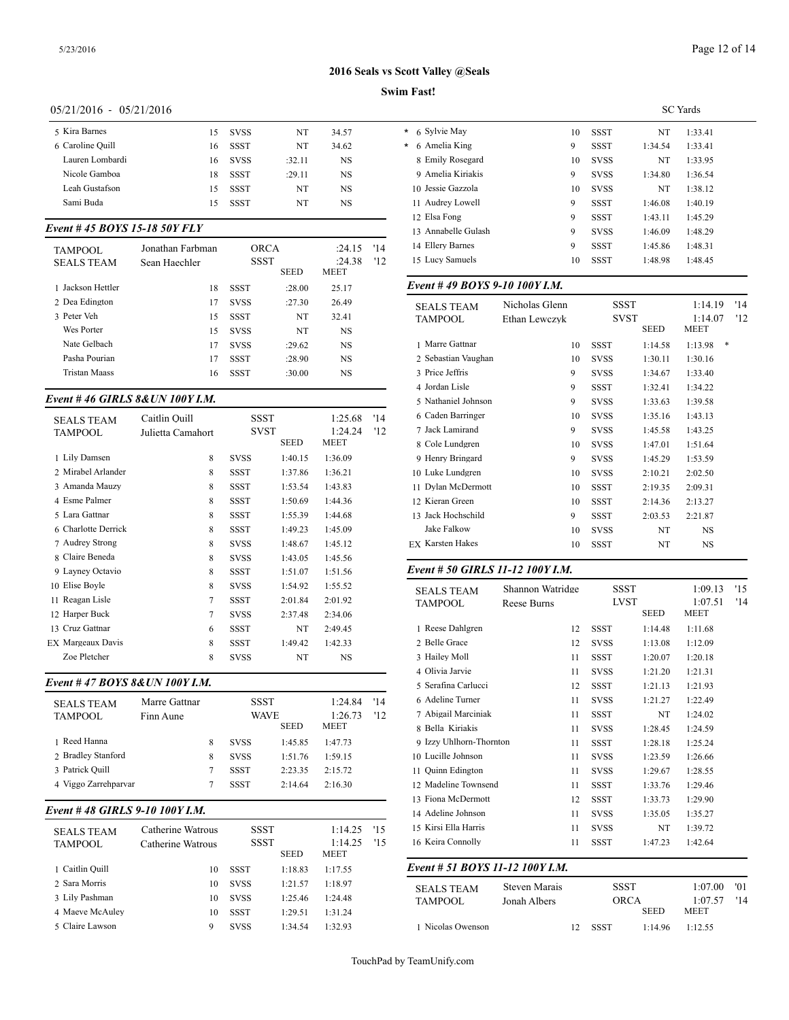## Page 12 of 14

## **2016 Seals vs Scott Valley @Seals**

## **Swim Fast!**

## 05/21/2016 - 05/21/2016

| 5 Kira Barnes    | 15 | <b>SVSS</b> | NT     | 34.57 | * 6 Sylvie |
|------------------|----|-------------|--------|-------|------------|
| 6 Caroline Ouill | 16 | SSST        | NT     | 34.62 | * 6 Ameli  |
| Lauren Lombardi  | 16 | <b>SVSS</b> | :32.11 | NS    | 8 Emily    |
| Nicole Gamboa    | 18 | SSST        | :29.11 | NS    | 9 Ameli    |
| Leah Gustafson   | 15 | SSST        | NT     | NS    | 10 Jessie  |
| Sami Buda        | 15 | SSST        | NT     | NS    | 11 Audre   |
|                  |    |             |        |       |            |

## *Event # 45 BOYS 15-18 50Y FLY*

| TAMPOOL<br><b>SEALS TEAM</b> | Jonathan Farbman<br>Sean Haechler | ORCA<br><b>SSST</b><br><b>SEED</b> |        | :24.15<br>:24.38<br><b>MEET</b> | '14<br>12 | 14 Ellery Barnes<br>15 Lucy Samuels |
|------------------------------|-----------------------------------|------------------------------------|--------|---------------------------------|-----------|-------------------------------------|
| 1 Jackson Hettler            | 18                                | <b>SSST</b>                        | :28.00 | 25.17                           |           | Event #49 BOY                       |
| 2 Dea Edington               | 17                                | <b>SVSS</b>                        | :27.30 | 26.49                           |           | <b>SEALS TEAM</b>                   |
| 3 Peter Veh                  | 15                                | <b>SSST</b>                        | NT     | 32.41                           |           | <b>TAMPOOL</b>                      |
| Wes Porter                   | 15                                | <b>SVSS</b>                        | NT     | NS                              |           |                                     |
| Nate Gelbach                 | 17                                | <b>SVSS</b>                        | :29.62 | NS                              |           | 1 Marre Gattnar                     |
| Pasha Pourian                | 17                                | <b>SSST</b>                        | :28.90 | NS                              |           | 2 Sebastian Vaugh                   |
| <b>Tristan Maass</b>         | 16                                | <b>SSST</b>                        | :30.00 | NS                              |           | 3 Price Jeffris                     |
|                              |                                   |                                    |        |                                 |           |                                     |

## *Event # 46 GIRLS 8&UN 100Y I.M.*

| <b>SEALS TEAM</b>   | Caitlin Ouill     |             | SSST        | 1:25.68   | '14 | 6 Caden Barringer       |
|---------------------|-------------------|-------------|-------------|-----------|-----|-------------------------|
| <b>TAMPOOL</b>      | Julietta Camahort | <b>SVST</b> |             | 1:24.24   | '12 | 7 Jack Lamirand         |
|                     |                   |             | <b>SEED</b> | MEET      |     | 8 Cole Lundgren         |
| 1 Lily Damsen       | 8                 | <b>SVSS</b> | 1:40.15     | 1:36.09   |     | 9 Henry Bringard        |
| 2 Mirabel Arlander  | 8                 | <b>SSST</b> | 1:37.86     | 1:36.21   |     | 10 Luke Lundgren        |
| 3 Amanda Mauzy      | 8                 | <b>SSST</b> | 1:53.54     | 1:43.83   |     | 11 Dylan McDermo        |
| 4 Esme Palmer       | 8                 | <b>SSST</b> | 1:50.69     | 1:44.36   |     | 12 Kieran Green         |
| 5 Lara Gattnar      | 8                 | <b>SSST</b> | 1:55.39     | 1:44.68   |     | 13 Jack Hochschild      |
| 6 Charlotte Derrick | 8                 | <b>SSST</b> | 1:49.23     | 1:45.09   |     | Jake Falkow             |
| 7 Audrey Strong     | 8                 | <b>SVSS</b> | 1:48.67     | 1:45.12   |     | <b>EX Karsten Hakes</b> |
| 8 Claire Beneda     | 8                 | <b>SVSS</b> | 1:43.05     | 1:45.56   |     |                         |
| 9 Layney Octavio    | 8                 | <b>SSST</b> | 1:51.07     | 1:51.56   |     | Event # 50 GIRI         |
| 10 Elise Boyle      | 8                 | <b>SVSS</b> | 1:54.92     | 1:55.52   |     | <b>SEALS TEAM</b>       |
| 11 Reagan Lisle     | $\tau$            | <b>SSST</b> | 2:01.84     | 2:01.92   |     | TAMPOOL                 |
| 12 Harper Buck      | 7                 | <b>SVSS</b> | 2:37.48     | 2:34.06   |     |                         |
| 13 Cruz Gattnar     | 6                 | <b>SSST</b> | NT          | 2:49.45   |     | 1 Reese Dahlgren        |
| EX Margeaux Davis   | 8                 | <b>SSST</b> | 1:49.42     | 1:42.33   |     | 2 Belle Grace           |
| Zoe Pletcher        | 8                 | <b>SVSS</b> | NT          | <b>NS</b> |     | 3 Hailey Moll           |
|                     |                   |             |             |           |     |                         |

## *Event # 47 BOYS 8&UN 100Y I.M.*

| <b>SEALS TEAM</b><br><b>TAMPOOL</b> | Marre Gattnar<br>Finn Aune |   | <b>SSST</b><br><b>WAVE</b><br><b>SEED</b> |         | 1:24.84<br>1:26.73<br><b>MEET</b> | '14<br>'12 | 6 Adeline Turner<br>7 Abigail Marcini<br>8 Bella Kiriakis |
|-------------------------------------|----------------------------|---|-------------------------------------------|---------|-----------------------------------|------------|-----------------------------------------------------------|
| 1 Reed Hanna                        |                            | 8 | <b>SVSS</b>                               | 1:45.85 | 1:47.73                           |            | 9 Izzy Uhlhorn-Th                                         |
| 2 Bradley Stanford                  |                            | 8 | <b>SVSS</b>                               | 1:51.76 | 1:59.15                           |            | 10 Lucille Johnson                                        |
| 3 Patrick Ouill                     |                            |   | <b>SSST</b>                               | 2:23.35 | 2:15.72                           |            | 11 Quinn Edington                                         |
| 4 Viggo Zarrehparvar                |                            |   | <b>SSST</b>                               | 2:14.64 | 2:16.30                           |            | 12 Madeline Towns                                         |
|                                     |                            |   |                                           |         |                                   |            |                                                           |

## *Event # 48 GIRLS 9-10 100Y I.M.*

| <b>SEALS TEAM</b><br>TAMPOOL | Catherine Watrous<br>Catherine Watrous | <b>SSST</b><br><b>SSST</b> | <b>SEED</b> | 1:14.25<br>1:14.25<br>MEET | - '15<br>15 | 15 Kirsi Ella Harris<br>16 Keira Connolly |
|------------------------------|----------------------------------------|----------------------------|-------------|----------------------------|-------------|-------------------------------------------|
| 1 Caitlin Quill              | 10                                     | SSST                       | 1:18.83     | 1:17.55                    |             | Event # 51 $BOY$                          |
| 2 Sara Morris                | 10                                     | <b>SVSS</b>                | 1:21.57     | 1:18.97                    |             | <b>SEALS TEAM</b>                         |
| 3 Lily Pashman               | 10                                     | <b>SVSS</b>                | 1:25.46     | 1:24.48                    |             | <b>TAMPOOL</b>                            |
| 4 Maeve McAuley              | 10                                     | SSST                       | 1:29.51     | 1:31.24                    |             |                                           |
| 5 Claire Lawson              | 9                                      | <b>SVSS</b>                | 1:34.54     | 1:32.93                    |             | 1 Nicolas Owenso                          |

|                         |    | <b>SC</b> Yards |         |         |  |  |  |
|-------------------------|----|-----------------|---------|---------|--|--|--|
| 6 Sylvie May<br>$\star$ | 10 | <b>SSST</b>     | NT      | 1:33.41 |  |  |  |
| 6 Amelia King<br>¥.     | 9  | <b>SSST</b>     | 1:34.54 | 1:33.41 |  |  |  |
| 8 Emily Rosegard        | 10 | <b>SVSS</b>     | NT      | 1:33.95 |  |  |  |
| 9 Amelia Kiriakis       | 9  | <b>SVSS</b>     | 1:34.80 | 1:36.54 |  |  |  |
| 10 Jessie Gazzola       | 10 | <b>SVSS</b>     | NT      | 1:38.12 |  |  |  |
| 11 Audrey Lowell        | 9  | <b>SSST</b>     | 1:46.08 | 1:40.19 |  |  |  |
| 12 Elsa Fong            | 9  | <b>SSST</b>     | 1:43.11 | 1:45.29 |  |  |  |
| 13 Annabelle Gulash     | 9  | <b>SVSS</b>     | 1:46.09 | 1:48.29 |  |  |  |
| 14 Ellery Barnes        | 9  | <b>SSST</b>     | 1:45.86 | 1:48.31 |  |  |  |
| 15 Lucy Samuels         | 10 | <b>SSST</b>     | 1:48.98 | 1:48.45 |  |  |  |
|                         |    |                 |         |         |  |  |  |

## *Event # 49 BOYS 9-10 100Y I.M.*

| <b>SEALS TEAM</b><br><b>TAMPOOL</b> | Nicholas Glenn<br>Ethan Lewczyk | <b>SSST</b><br><b>SVST</b> |         | 1:14.19<br>1:14.07 | '14<br>'12 |
|-------------------------------------|---------------------------------|----------------------------|---------|--------------------|------------|
|                                     |                                 |                            | SEED    | MEET               |            |
| 1 Marre Gattnar                     | 10                              | <b>SSST</b>                | 1:14.58 | *<br>1:13.98       |            |
| 2 Sebastian Vaughan                 | 10                              | <b>SVSS</b>                | 1:30.11 | 1:30.16            |            |
| 3 Price Jeffris                     | 9                               | <b>SVSS</b>                | 1:34.67 | 1:33.40            |            |
| 4 Jordan Lisle                      | 9                               | <b>SSST</b>                | 1:32.41 | 1:34.22            |            |
| 5 Nathaniel Johnson                 | 9                               | <b>SVSS</b>                | 1:33.63 | 1:39.58            |            |
| 6 Caden Barringer                   | 10                              | <b>SVSS</b>                | 1:35.16 | 1:43.13            |            |
| 7 Jack Lamirand                     | 9                               | <b>SVSS</b>                | 1:45.58 | 1:43.25            |            |
| 8 Cole Lundgren                     | 10                              | <b>SVSS</b>                | 1:47.01 | 1:51.64            |            |
| 9 Henry Bringard                    | 9                               | <b>SVSS</b>                | 1:45.29 | 1:53.59            |            |
| 10 Luke Lundgren                    | 10                              | <b>SVSS</b>                | 2:10.21 | 2:02.50            |            |
| 11 Dylan McDermott                  | 10                              | <b>SSST</b>                | 2:19.35 | 2:09.31            |            |
| 12 Kieran Green                     | 10                              | SSST                       | 2:14.36 | 2:13.27            |            |
| 13 Jack Hochschild                  | 9                               | <b>SSST</b>                | 2:03.53 | 2:21.87            |            |
| <b>Jake Falkow</b>                  | 10                              | <b>SVSS</b>                | NT      | NS                 |            |
| <b>EX Karsten Hakes</b>             | 10                              | <b>SSST</b>                | NT      | NS                 |            |
|                                     |                                 |                            |         |                    |            |

## *Event # 50 GIRLS 11-12 100Y I.M.*

| <b>SEALS TEAM</b><br><b>TAMPOOL</b> | Shannon Watridge<br><b>Reese Burns</b> |             | <b>SSST</b><br><b>LVST</b><br><b>SEED</b> | 1:09.13<br>1:07.51<br><b>MEET</b> | '15<br>'14 |
|-------------------------------------|----------------------------------------|-------------|-------------------------------------------|-----------------------------------|------------|
| 1 Reese Dahlgren                    | 12                                     | <b>SSST</b> | 1:14.48                                   | 1:11.68                           |            |
| 2 Belle Grace                       | 12                                     | <b>SVSS</b> | 1:13.08                                   | 1:12.09                           |            |
| 3 Hailey Moll                       | 11                                     | <b>SSST</b> | 1:20.07                                   | 1:20.18                           |            |
| 4 Olivia Jarvie                     | 11                                     | <b>SVSS</b> | 1:21.20                                   | 1:21.31                           |            |
| 5 Serafina Carlucci                 | 12                                     | <b>SSST</b> | 1:21.13                                   | 1:21.93                           |            |
| 6 Adeline Turner                    | 11                                     | <b>SVSS</b> | 1:21.27                                   | 1:22.49                           |            |
| 7 Abigail Marciniak                 | 11                                     | <b>SSST</b> | NT                                        | 1:24.02                           |            |
| 8 Bella Kiriakis                    | 11                                     | <b>SVSS</b> | 1:28.45                                   | 1:24.59                           |            |
| 9 Izzy Uhlhorn-Thornton             | 11                                     | <b>SSST</b> | 1:28.18                                   | 1:25.24                           |            |
| 10 Lucille Johnson                  | 11                                     | <b>SVSS</b> | 1:23.59                                   | 1:26.66                           |            |
| 11 Quinn Edington                   | 11                                     | <b>SVSS</b> | 1:29.67                                   | 1:28.55                           |            |
| 12 Madeline Townsend                | 11                                     | <b>SSST</b> | 1:33.76                                   | 1:29.46                           |            |
| 13 Fiona McDermott                  | 12                                     | <b>SSST</b> | 1:33.73                                   | 1:29.90                           |            |
| 14 Adeline Johnson                  | 11                                     | <b>SVSS</b> | 1:35.05                                   | 1:35.27                           |            |
| 15 Kirsi Ella Harris                | 11                                     | <b>SVSS</b> | NT                                        | 1:39.72                           |            |
| 16 Keira Connolly                   | 11                                     | <b>SSST</b> | 1:47.23                                   | 1:42.64                           |            |
| Event # 51 BOYS 11-12 100Y I.M.     | $\sim$ $\sim$ $\sim$<br>$-$            |             | 0000                                      | $\sim$ 0.0 0.0                    |            |

| <b>SEALS TEAM</b> | Steven Marais |    | SSST        |                     |         | '01 |
|-------------------|---------------|----|-------------|---------------------|---------|-----|
| <b>TAMPOOL</b>    | Jonah Albers  |    |             | ORCA<br><b>SEED</b> |         | '14 |
| 1 Nicolas Owenson |               | 12 | <b>SSST</b> | 1.1496              | 1:12.55 |     |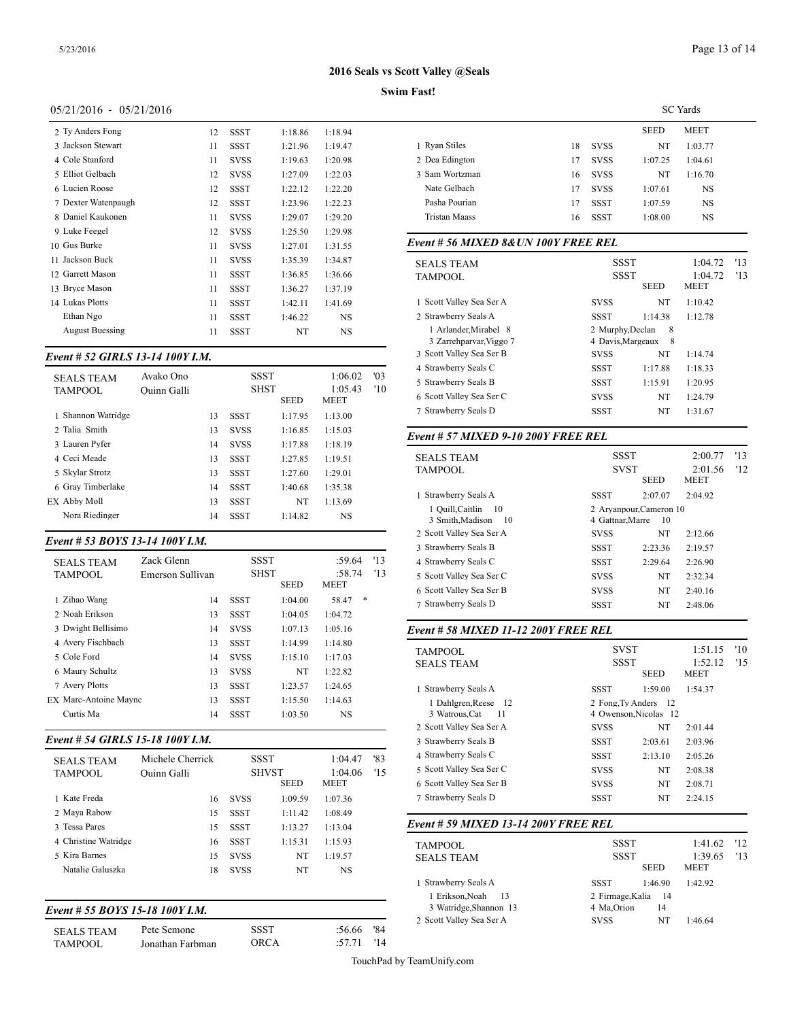#### **Swim Fast!**

## 05/21/2016 - 05/21/2016

| 2 Ty Anders Fong       | 12 | <b>SSST</b> | 1:18.86 | 1:18.94   |              |
|------------------------|----|-------------|---------|-----------|--------------|
| 3 Jackson Stewart      | 11 | <b>SSST</b> | 1:21.96 | 1:19.47   | 1 Ryan 9     |
| 4 Cole Stanford        | 11 | <b>SVSS</b> | 1:19.63 | 1:20.98   | 2 Dea E      |
| 5 Elliot Gelbach       | 12 | <b>SVSS</b> | 1:27.09 | 1:22.03   | 3 Sam V      |
| 6 Lucien Roose         | 12 | SSST        | 1:22.12 | 1:22.20   | Nate C       |
| 7 Dexter Watenpaugh    | 12 | <b>SSST</b> | 1:23.96 | 1:22.23   | Pasha        |
| 8 Daniel Kaukonen      | 11 | <b>SVSS</b> | 1:29.07 | 1:29.20   | Tristar      |
| 9 Luke Feegel          | 12 | <b>SVSS</b> | 1:25.50 | 1:29.98   |              |
| 10 Gus Burke           | 11 | <b>SVSS</b> | 1:27.01 | 1:31.55   | $Event#$ .   |
| 11 Jackson Buck        | 11 | <b>SVSS</b> | 1:35.39 | 1:34.87   | <b>SEALS</b> |
| 12 Garrett Mason       | 11 | SSST        | 1:36.85 | 1:36.66   | <b>TAMPC</b> |
| 13 Brvce Mason         | 11 | <b>SSST</b> | 1:36.27 | 1:37.19   |              |
| 14 Lukas Plotts        | 11 | <b>SSST</b> | 1:42.11 | 1:41.69   | 1 Scott \    |
| Ethan Ngo              | 11 | <b>SSST</b> | 1:46.22 | NS        | 2 Strawl     |
| <b>August Buessing</b> | 11 | <b>SSST</b> | NT      | <b>NS</b> | 1 Arl        |

#### *Event # 52 GIRLS 13-14 100Y I.M.*

| <b>SEALS TEAM</b><br><b>TAMPOOL</b> | Avako Ono<br>Ouinn Galli |    | <b>SSST</b><br><b>SHST</b><br><b>SEED</b> |         | 1:06.02<br>1:05.43<br>MEET | '03<br>'10 | 4 Strawberry Seal:<br>5 Strawberry Seal:<br>6 Scott Valley Sea |  |
|-------------------------------------|--------------------------|----|-------------------------------------------|---------|----------------------------|------------|----------------------------------------------------------------|--|
| 1 Shannon Watridge                  |                          | 13 | SSST                                      | 1:17.95 | 1:13.00                    |            | 7 Strawberry Seal:                                             |  |
| 2 Talia Smith                       |                          | 13 | <b>SVSS</b>                               | 1:16.85 | 1:15.03                    |            | Event # $57$ MIX                                               |  |
| 3 Lauren Pyfer                      |                          | 14 | <b>SVSS</b>                               | 1:17.88 | 1:18.19                    |            |                                                                |  |
| 4 Ceci Meade                        |                          | 13 | <b>SSST</b>                               | 1:27.85 | 1:19.51                    |            | <b>SEALS TEAM</b>                                              |  |
| 5 Skylar Strotz                     |                          | 13 | <b>SSST</b>                               | 1:27.60 | 1:29.01                    |            | <b>TAMPOOL</b>                                                 |  |
| 6 Gray Timberlake                   |                          | 14 | <b>SSST</b>                               | 1:40.68 | 1:35.38                    |            |                                                                |  |
| EX Abby Moll                        |                          | 13 | <b>SSST</b>                               | NT      | 1:13.69                    |            | 1 Strawberry Seal:                                             |  |
| Nora Riedinger                      |                          | 14 | <b>SSST</b>                               | 1:14.82 | <b>NS</b>                  |            | 1 Quill, Caitlin<br>3 Smith, Madis                             |  |

#### *Event # 53 BOYS 13-14 100Y I.M.*

|                                     |                                |             |                                    |                                 |            | $3$ Duawoury Dual                                             |
|-------------------------------------|--------------------------------|-------------|------------------------------------|---------------------------------|------------|---------------------------------------------------------------|
| <b>SEALS TEAM</b><br><b>TAMPOOL</b> | Zack Glenn<br>Emerson Sullivan |             | SSST<br><b>SHST</b><br><b>SEED</b> | :59.64<br>:58.74<br><b>MEET</b> | '13<br>'13 | 4 Strawberry Seal<br>5 Scott Valley Sea<br>6 Scott Valley Sea |
| 1 Zihao Wang                        | 14                             | <b>SSST</b> | 1:04.00                            | *<br>58.47                      |            | 7 Strawberry Seal:                                            |
| 2 Noah Erikson                      | 13                             | <b>SSST</b> | 1:04.05                            | 1:04.72                         |            |                                                               |
| 3 Dwight Bellisimo                  | 14                             | <b>SVSS</b> | 1:07.13                            | 1:05.16                         |            | Event # 58 MIX                                                |
| 4 Avery Fischbach                   | 13                             | <b>SSST</b> | 1:14.99                            | 1:14.80                         |            |                                                               |
| 5 Cole Ford                         | 14                             | <b>SVSS</b> | 1:15.10                            | 1:17.03                         |            | <b>TAMPOOL</b><br><b>SEALS TEAM</b>                           |
| 6 Maury Schultz                     | 13                             | <b>SVSS</b> | NT                                 | 1:22.82                         |            |                                                               |
| 7 Avery Plotts                      | 13                             | <b>SSST</b> | 1:23.57                            | 1:24.65                         |            | 1 Strawberry Seal:                                            |
| <b>EX Marc-Antoine Maync</b>        | 13                             | <b>SSST</b> | 1:15.50                            | 1:14.63                         |            | 1 Dahlgren, Re                                                |
| Curtis Ma                           | 14                             | <b>SSST</b> | 1:03.50                            | NS                              |            | 3 Watrous.Cat                                                 |
|                                     |                                |             |                                    |                                 |            | $   +$ $+$ $+$ $ -$                                           |

## *Event # 54 GIRLS 15-18 100Y I.M.*

| <b>SEALS TEAM</b><br><b>TAMPOOL</b> | Michele Cherrick<br>Ouinn Galli | SSST        | <b>SHVST</b><br><b>SEED</b> | 1:04.47<br>1:04.06<br>MEET | '83<br>'15 | 4 Strawberry Seal:<br>5 Scott Valley Sea<br>6 Scott Valley Sea |
|-------------------------------------|---------------------------------|-------------|-----------------------------|----------------------------|------------|----------------------------------------------------------------|
| 1 Kate Freda                        | 16                              | <b>SVSS</b> | 1:09.59                     | 1:07.36                    |            | 7 Strawberry Seal                                              |
| 2 Maya Rabow                        | 15                              | <b>SSST</b> | 1:11.42                     | 1:08.49                    |            |                                                                |
| 3 Tessa Pares                       | 15                              | <b>SSST</b> | 1:13.27                     | 1:13.04                    |            | Event # 59 $MIX$                                               |
| 4 Christine Watridge                | 16                              | <b>SSST</b> | 1:15.31                     | 1:15.93                    |            | <b>TAMPOOL</b>                                                 |
| 5 Kira Barnes                       | 15                              | <b>SVSS</b> | NT                          | 1:19.57                    |            | <b>SEALS TEAM</b>                                              |
| Natalie Galuszka                    | 18                              | <b>SVSS</b> | NT                          | <b>NS</b>                  |            |                                                                |
|                                     |                                 |             |                             |                            |            | 1 Strawberry Seal:                                             |
|                                     |                                 |             |                             |                            |            | 1 Erikson Noal                                                 |

## *Event # 55 BOYS 15-18 100Y I.M.*

| <b>SEALS TEAM</b> | Pete Semone      | <b>SSST</b> | $:56.66$ '84 | 2 DOOR VAIIOV DOG |
|-------------------|------------------|-------------|--------------|-------------------|
| <b>TAMPOOL</b>    | Jonathan Farbman | ORCA        | $:57.71$ '14 |                   |

|                |    |             |             | <b>SC</b> Yards |
|----------------|----|-------------|-------------|-----------------|
|                |    |             | <b>SEED</b> | <b>MEET</b>     |
| 1 Ryan Stiles  | 18 | <b>SVSS</b> | NT          | 1:03.77         |
| 2 Dea Edington | 17 | <b>SVSS</b> | 1:07.25     | 1:04.61         |
| 3 Sam Wortzman | 16 | <b>SVSS</b> | NT          | 1:16.70         |
| Nate Gelbach   | 17 | <b>SVSS</b> | 1:07.61     | <b>NS</b>       |
| Pasha Pourian  | 17 | SSST        | 1:07.59     | <b>NS</b>       |
| Tristan Maass  | 16 | SSST        | 1:08.00     | <b>NS</b>       |
|                |    |             |             |                 |

## *Event # 56 MIXED 8&UN 100Y FREE REL*

| <b>SEALS TEAM</b>        |                   | <b>SSST</b> |             | '13 |
|--------------------------|-------------------|-------------|-------------|-----|
| <b>TAMPOOL</b>           |                   | <b>SSST</b> |             | '13 |
|                          |                   | <b>SEED</b> | <b>MEET</b> |     |
| 1 Scott Valley Sea Ser A | <b>SVSS</b>       | NT          | 1:10.42     |     |
| 2 Strawberry Seals A     | <b>SSST</b>       | 1:14.38     | 1:12.78     |     |
| 1 Arlander, Mirabel 8    | 2 Murphy, Declan  | -8          |             |     |
| 3 Zarrehparvar, Viggo 7  | 4 Davis, Margeaux | 8           |             |     |
| 3 Scott Valley Sea Ser B | <b>SVSS</b>       | NT          | 1:14.74     |     |
| 4 Strawberry Seals C     | <b>SSST</b>       | 1:17.88     | 1:18.33     |     |
| 5 Strawberry Seals B     | <b>SSST</b>       | 1:15.91     | 1:20.95     |     |
| 6 Scott Valley Sea Ser C | <b>SVSS</b>       | NT          | 1:24.79     |     |
| 7 Strawberry Seals D     | <b>SSST</b>       | NT          | 1:31.67     |     |
|                          |                   |             |             |     |

## *Event # 57 MIXED 9-10 200Y FREE REL*

| <b>SEALS TEAM</b><br>TAMPOOL                    | <b>SSST</b><br><b>SVST</b> | <b>SEED</b>                    | 2:00.77<br>2:01.56<br><b>MEET</b> | '13<br>'12 |
|-------------------------------------------------|----------------------------|--------------------------------|-----------------------------------|------------|
| 1 Strawberry Seals A                            | SSST                       | 2:07.07                        | 2:04.92                           |            |
| 1 Quill, Caitlin 10<br>3 Smith, Madison<br>- 10 | 4 Gattnar, Marre           | 2 Aryanpour, Cameron 10<br>-10 |                                   |            |
| 2 Scott Valley Sea Ser A                        | <b>SVSS</b>                | NT                             | 2:12.66                           |            |
| 3 Strawberry Seals B                            | <b>SSST</b>                | 2:23.36                        | 2:19.57                           |            |
| 4 Strawberry Seals C                            | <b>SSST</b>                | 2:29.64                        | 2:26.90                           |            |
| 5 Scott Valley Sea Ser C                        | <b>SVSS</b>                | NT                             | 2:32.34                           |            |
| 6 Scott Valley Sea Ser B                        | <b>SVSS</b>                | NT                             | 2:40.16                           |            |
| 7 Strawberry Seals D                            | <b>SSST</b>                | NT                             | 2:48.06                           |            |

## *Event # 58 MIXED 11-12 200Y FREE REL*

| TAMPOOL                                      | <b>SVST</b> |                                               | 1:51.15                | '10  |
|----------------------------------------------|-------------|-----------------------------------------------|------------------------|------|
| <b>SEALS TEAM</b>                            | <b>SSST</b> | <b>SEED</b>                                   | 1:52.12<br><b>MEET</b> | 11.5 |
| 1 Strawberry Seals A                         | <b>SSST</b> | 1:59.00                                       | 1:54.37                |      |
| 1 Dahlgren, Reese 12<br>3 Watrous, Cat<br>11 |             | 2 Fong, Ty Anders 12<br>4 Owenson, Nicolas 12 |                        |      |
| 2 Scott Valley Sea Ser A                     | <b>SVSS</b> | NT                                            | 2:01.44                |      |
| 3 Strawberry Seals B                         | <b>SSST</b> | 2:03.61                                       | 2:03.96                |      |
| 4 Strawberry Seals C                         | SSST        | 2:13.10                                       | 2:05.26                |      |
| 5 Scott Valley Sea Ser C                     | <b>SVSS</b> | NT                                            | 2:08.38                |      |
| 6 Scott Valley Sea Ser B                     | <b>SVSS</b> | NT                                            | 2:08.71                |      |
| 7 Strawberry Seals D                         | <b>SSST</b> | NT                                            | 2:24.15                |      |

## *Event # 59 MIXED 13-14 200Y FREE REL*

| TAMPOOL<br><b>SEALS TEAM</b>                | SSST<br><b>SSST</b>               | <b>SEED</b> | $1:41.62$ '12<br>1:39.65<br><b>MEET</b> | 13 |
|---------------------------------------------|-----------------------------------|-------------|-----------------------------------------|----|
| 1 Strawberry Seals A                        | SSST                              | 1:46.90     | 1:42.92                                 |    |
| 1 Erikson.Noah 13<br>3 Watridge, Shannon 13 | 2 Firmage, Kalia 14<br>4 Ma.Orion | 14          |                                         |    |
| 2 Scott Valley Sea Ser A                    | <b>SVSS</b>                       | NT          | 1:46.64                                 |    |